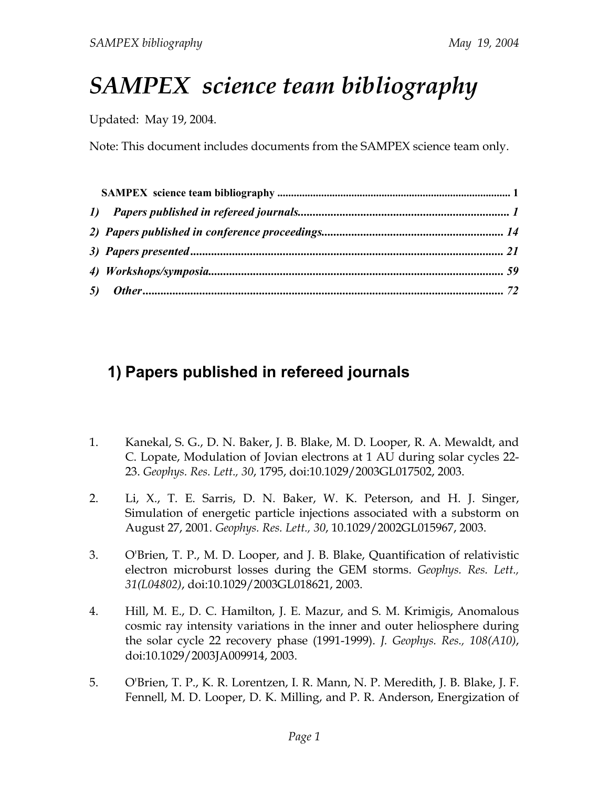## *SAMPEX science team bibliography*

Updated: May 19, 2004.

Note: This document includes documents from the SAMPEX science team only.

## **1) Papers published in refereed journals**

- 1. Kanekal, S. G., D. N. Baker, J. B. Blake, M. D. Looper, R. A. Mewaldt, and C. Lopate, Modulation of Jovian electrons at 1 AU during solar cycles 22- 23. *Geophys. Res. Lett., 30*, 1795, doi:10.1029/2003GL017502, 2003.
- 2. Li, X., T. E. Sarris, D. N. Baker, W. K. Peterson, and H. J. Singer, Simulation of energetic particle injections associated with a substorm on August 27, 2001. *Geophys. Res. Lett., 30*, 10.1029/2002GL015967, 2003.
- 3. O'Brien, T. P., M. D. Looper, and J. B. Blake, Quantification of relativistic electron microburst losses during the GEM storms. *Geophys. Res. Lett., 31(L04802)*, doi:10.1029/2003GL018621, 2003.
- 4. Hill, M. E., D. C. Hamilton, J. E. Mazur, and S. M. Krimigis, Anomalous cosmic ray intensity variations in the inner and outer heliosphere during the solar cycle 22 recovery phase (1991-1999). *J. Geophys. Res., 108(A10)*, doi:10.1029/2003JA009914, 2003.
- 5. O'Brien, T. P., K. R. Lorentzen, I. R. Mann, N. P. Meredith, J. B. Blake, J. F. Fennell, M. D. Looper, D. K. Milling, and P. R. Anderson, Energization of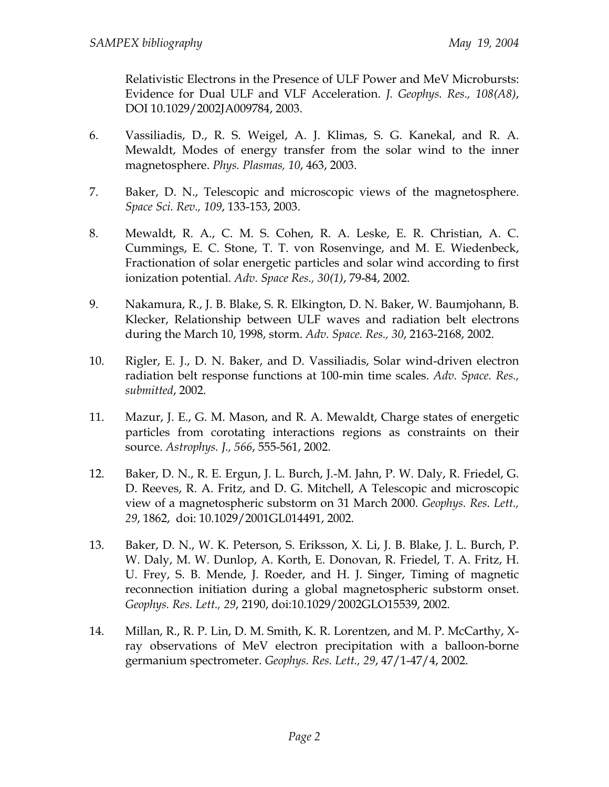Relativistic Electrons in the Presence of ULF Power and MeV Microbursts: Evidence for Dual ULF and VLF Acceleration. *J. Geophys. Res., 108(A8)*, DOI 10.1029/2002JA009784, 2003.

- 6. Vassiliadis, D., R. S. Weigel, A. J. Klimas, S. G. Kanekal, and R. A. Mewaldt, Modes of energy transfer from the solar wind to the inner magnetosphere. *Phys. Plasmas, 10*, 463, 2003.
- 7. Baker, D. N., Telescopic and microscopic views of the magnetosphere. *Space Sci. Rev., 109*, 133-153, 2003.
- 8. Mewaldt, R. A., C. M. S. Cohen, R. A. Leske, E. R. Christian, A. C. Cummings, E. C. Stone, T. T. von Rosenvinge, and M. E. Wiedenbeck, Fractionation of solar energetic particles and solar wind according to first ionization potential. *Adv. Space Res., 30(1)*, 79-84, 2002.
- 9. Nakamura, R., J. B. Blake, S. R. Elkington, D. N. Baker, W. Baumjohann, B. Klecker, Relationship between ULF waves and radiation belt electrons during the March 10, 1998, storm. *Adv. Space. Res., 30*, 2163-2168, 2002.
- 10. Rigler, E. J., D. N. Baker, and D. Vassiliadis, Solar wind-driven electron radiation belt response functions at 100-min time scales. *Adv. Space. Res., submitted*, 2002.
- 11. Mazur, J. E., G. M. Mason, and R. A. Mewaldt, Charge states of energetic particles from corotating interactions regions as constraints on their source. *Astrophys. J., 566*, 555-561, 2002.
- 12. Baker, D. N., R. E. Ergun, J. L. Burch, J.-M. Jahn, P. W. Daly, R. Friedel, G. D. Reeves, R. A. Fritz, and D. G. Mitchell, A Telescopic and microscopic view of a magnetospheric substorm on 31 March 2000. *Geophys. Res. Lett., 29*, 1862, doi: 10.1029/2001GL014491, 2002.
- 13. Baker, D. N., W. K. Peterson, S. Eriksson, X. Li, J. B. Blake, J. L. Burch, P. W. Daly, M. W. Dunlop, A. Korth, E. Donovan, R. Friedel, T. A. Fritz, H. U. Frey, S. B. Mende, J. Roeder, and H. J. Singer, Timing of magnetic reconnection initiation during a global magnetospheric substorm onset. *Geophys. Res. Lett., 29*, 2190, doi:10.1029/2002GLO15539, 2002.
- 14. Millan, R., R. P. Lin, D. M. Smith, K. R. Lorentzen, and M. P. McCarthy, Xray observations of MeV electron precipitation with a balloon-borne germanium spectrometer. *Geophys. Res. Lett., 29*, 47/1-47/4, 2002.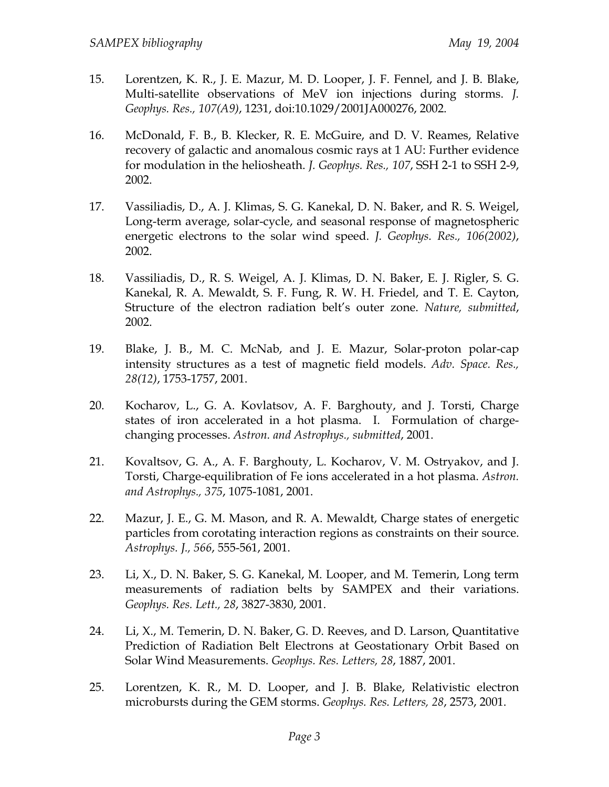- 15. Lorentzen, K. R., J. E. Mazur, M. D. Looper, J. F. Fennel, and J. B. Blake, Multi-satellite observations of MeV ion injections during storms. *J. Geophys. Res., 107(A9)*, 1231, doi:10.1029/2001JA000276, 2002.
- 16. McDonald, F. B., B. Klecker, R. E. McGuire, and D. V. Reames, Relative recovery of galactic and anomalous cosmic rays at 1 AU: Further evidence for modulation in the heliosheath. *J. Geophys. Res., 107*, SSH 2-1 to SSH 2-9, 2002.
- 17. Vassiliadis, D., A. J. Klimas, S. G. Kanekal, D. N. Baker, and R. S. Weigel, Long-term average, solar-cycle, and seasonal response of magnetospheric energetic electrons to the solar wind speed. *J. Geophys. Res., 106(2002)*, 2002.
- 18. Vassiliadis, D., R. S. Weigel, A. J. Klimas, D. N. Baker, E. J. Rigler, S. G. Kanekal, R. A. Mewaldt, S. F. Fung, R. W. H. Friedel, and T. E. Cayton, Structure of the electron radiation belt's outer zone. *Nature, submitted*, 2002.
- 19. Blake, J. B., M. C. McNab, and J. E. Mazur, Solar-proton polar-cap intensity structures as a test of magnetic field models. *Adv. Space. Res., 28(12)*, 1753-1757, 2001.
- 20. Kocharov, L., G. A. Kovlatsov, A. F. Barghouty, and J. Torsti, Charge states of iron accelerated in a hot plasma. I. Formulation of chargechanging processes. *Astron. and Astrophys., submitted*, 2001.
- 21. Kovaltsov, G. A., A. F. Barghouty, L. Kocharov, V. M. Ostryakov, and J. Torsti, Charge-equilibration of Fe ions accelerated in a hot plasma. *Astron. and Astrophys., 375*, 1075-1081, 2001.
- 22. Mazur, J. E., G. M. Mason, and R. A. Mewaldt, Charge states of energetic particles from corotating interaction regions as constraints on their source. *Astrophys. J., 566*, 555-561, 2001.
- 23. Li, X., D. N. Baker, S. G. Kanekal, M. Looper, and M. Temerin, Long term measurements of radiation belts by SAMPEX and their variations. *Geophys. Res. Lett., 28*, 3827-3830, 2001.
- 24. Li, X., M. Temerin, D. N. Baker, G. D. Reeves, and D. Larson, Quantitative Prediction of Radiation Belt Electrons at Geostationary Orbit Based on Solar Wind Measurements. *Geophys. Res. Letters, 28*, 1887, 2001.
- 25. Lorentzen, K. R., M. D. Looper, and J. B. Blake, Relativistic electron microbursts during the GEM storms. *Geophys. Res. Letters, 28*, 2573, 2001.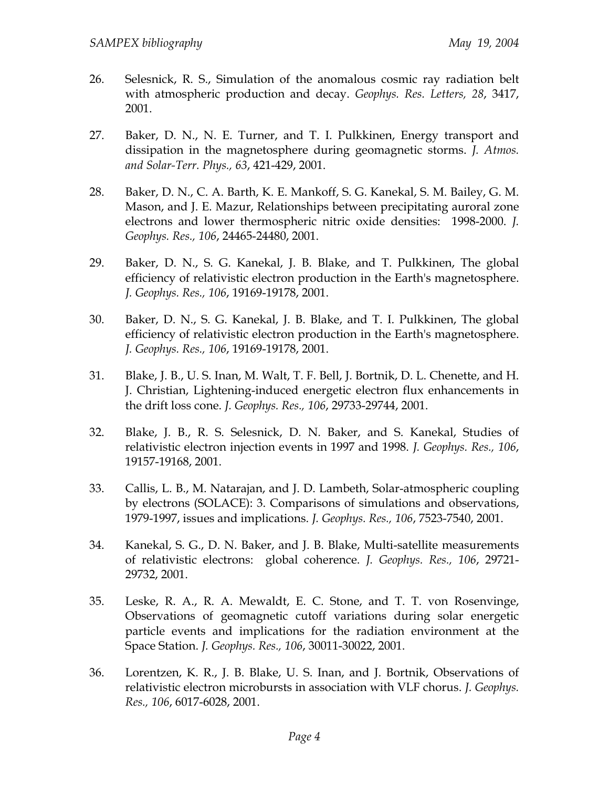- 26. Selesnick, R. S., Simulation of the anomalous cosmic ray radiation belt with atmospheric production and decay. *Geophys. Res. Letters, 28*, 3417, 2001.
- 27. Baker, D. N., N. E. Turner, and T. I. Pulkkinen, Energy transport and dissipation in the magnetosphere during geomagnetic storms. *J. Atmos. and Solar-Terr. Phys., 63*, 421-429, 2001.
- 28. Baker, D. N., C. A. Barth, K. E. Mankoff, S. G. Kanekal, S. M. Bailey, G. M. Mason, and J. E. Mazur, Relationships between precipitating auroral zone electrons and lower thermospheric nitric oxide densities: 1998-2000. *J. Geophys. Res., 106*, 24465-24480, 2001.
- 29. Baker, D. N., S. G. Kanekal, J. B. Blake, and T. Pulkkinen, The global efficiency of relativistic electron production in the Earth's magnetosphere. *J. Geophys. Res., 106*, 19169-19178, 2001.
- 30. Baker, D. N., S. G. Kanekal, J. B. Blake, and T. I. Pulkkinen, The global efficiency of relativistic electron production in the Earth's magnetosphere. *J. Geophys. Res., 106*, 19169-19178, 2001.
- 31. Blake, J. B., U. S. Inan, M. Walt, T. F. Bell, J. Bortnik, D. L. Chenette, and H. J. Christian, Lightening-induced energetic electron flux enhancements in the drift loss cone. *J. Geophys. Res., 106*, 29733-29744, 2001.
- 32. Blake, J. B., R. S. Selesnick, D. N. Baker, and S. Kanekal, Studies of relativistic electron injection events in 1997 and 1998. *J. Geophys. Res., 106*, 19157-19168, 2001.
- 33. Callis, L. B., M. Natarajan, and J. D. Lambeth, Solar-atmospheric coupling by electrons (SOLACE): 3. Comparisons of simulations and observations, 1979-1997, issues and implications. *J. Geophys. Res., 106*, 7523-7540, 2001.
- 34. Kanekal, S. G., D. N. Baker, and J. B. Blake, Multi-satellite measurements of relativistic electrons: global coherence. *J. Geophys. Res., 106*, 29721- 29732, 2001.
- 35. Leske, R. A., R. A. Mewaldt, E. C. Stone, and T. T. von Rosenvinge, Observations of geomagnetic cutoff variations during solar energetic particle events and implications for the radiation environment at the Space Station. *J. Geophys. Res., 106*, 30011-30022, 2001.
- 36. Lorentzen, K. R., J. B. Blake, U. S. Inan, and J. Bortnik, Observations of relativistic electron microbursts in association with VLF chorus. *J. Geophys. Res., 106*, 6017-6028, 2001.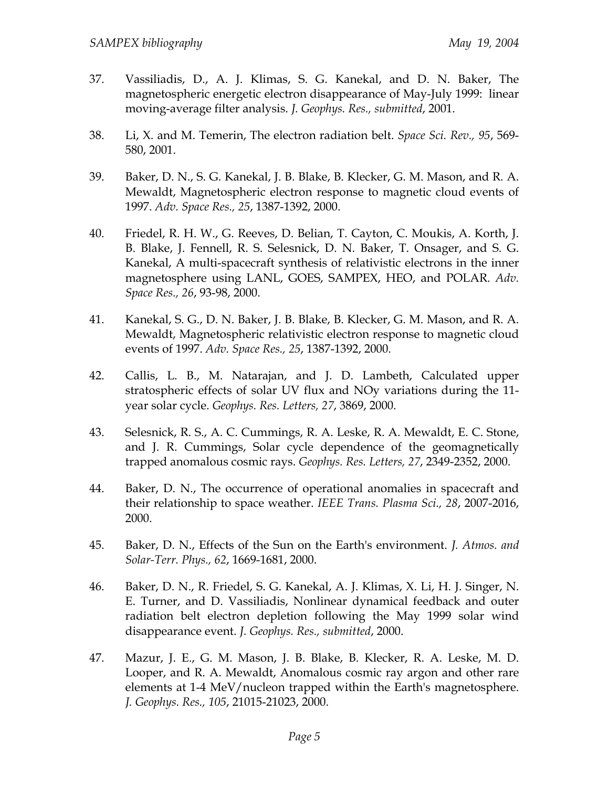- 37. Vassiliadis, D., A. J. Klimas, S. G. Kanekal, and D. N. Baker, The magnetospheric energetic electron disappearance of May-July 1999: linear moving-average filter analysis. *J. Geophys. Res., submitted*, 2001.
- 38. Li, X. and M. Temerin, The electron radiation belt. *Space Sci. Rev., 95*, 569- 580, 2001.
- 39. Baker, D. N., S. G. Kanekal, J. B. Blake, B. Klecker, G. M. Mason, and R. A. Mewaldt, Magnetospheric electron response to magnetic cloud events of 1997. *Adv. Space Res., 25*, 1387-1392, 2000.
- 40. Friedel, R. H. W., G. Reeves, D. Belian, T. Cayton, C. Moukis, A. Korth, J. B. Blake, J. Fennell, R. S. Selesnick, D. N. Baker, T. Onsager, and S. G. Kanekal, A multi-spacecraft synthesis of relativistic electrons in the inner magnetosphere using LANL, GOES, SAMPEX, HEO, and POLAR. *Adv. Space Res., 26*, 93-98, 2000.
- 41. Kanekal, S. G., D. N. Baker, J. B. Blake, B. Klecker, G. M. Mason, and R. A. Mewaldt, Magnetospheric relativistic electron response to magnetic cloud events of 1997. *Adv. Space Res., 25*, 1387-1392, 2000.
- 42. Callis, L. B., M. Natarajan, and J. D. Lambeth, Calculated upper stratospheric effects of solar UV flux and NOy variations during the 11 year solar cycle. *Geophys. Res. Letters, 27*, 3869, 2000.
- 43. Selesnick, R. S., A. C. Cummings, R. A. Leske, R. A. Mewaldt, E. C. Stone, and J. R. Cummings, Solar cycle dependence of the geomagnetically trapped anomalous cosmic rays. *Geophys. Res. Letters, 27*, 2349-2352, 2000.
- 44. Baker, D. N., The occurrence of operational anomalies in spacecraft and their relationship to space weather. *IEEE Trans. Plasma Sci., 28*, 2007-2016, 2000.
- 45. Baker, D. N., Effects of the Sun on the Earth's environment. *J. Atmos. and Solar-Terr. Phys., 62*, 1669-1681, 2000.
- 46. Baker, D. N., R. Friedel, S. G. Kanekal, A. J. Klimas, X. Li, H. J. Singer, N. E. Turner, and D. Vassiliadis, Nonlinear dynamical feedback and outer radiation belt electron depletion following the May 1999 solar wind disappearance event. *J. Geophys. Res., submitted*, 2000.
- 47. Mazur, J. E., G. M. Mason, J. B. Blake, B. Klecker, R. A. Leske, M. D. Looper, and R. A. Mewaldt, Anomalous cosmic ray argon and other rare elements at 1-4 MeV/nucleon trapped within the Earth's magnetosphere. *J. Geophys. Res., 105*, 21015-21023, 2000.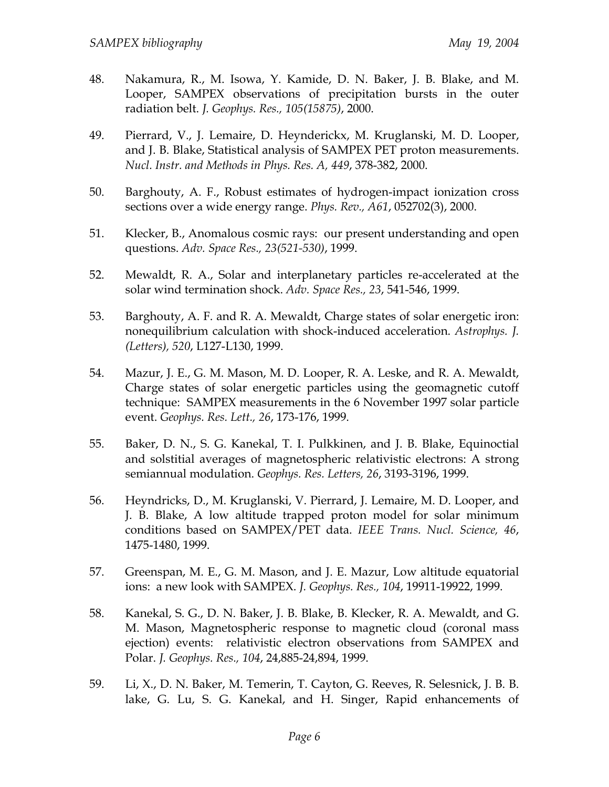- 48. Nakamura, R., M. Isowa, Y. Kamide, D. N. Baker, J. B. Blake, and M. Looper, SAMPEX observations of precipitation bursts in the outer radiation belt. *J. Geophys. Res., 105(15875)*, 2000.
- 49. Pierrard, V., J. Lemaire, D. Heynderickx, M. Kruglanski, M. D. Looper, and J. B. Blake, Statistical analysis of SAMPEX PET proton measurements. *Nucl. Instr. and Methods in Phys. Res. A, 449*, 378-382, 2000.
- 50. Barghouty, A. F., Robust estimates of hydrogen-impact ionization cross sections over a wide energy range. *Phys. Rev., A61*, 052702(3), 2000.
- 51. Klecker, B., Anomalous cosmic rays: our present understanding and open questions. *Adv. Space Res., 23(521-530)*, 1999.
- 52. Mewaldt, R. A., Solar and interplanetary particles re-accelerated at the solar wind termination shock. *Adv. Space Res., 23*, 541-546, 1999.
- 53. Barghouty, A. F. and R. A. Mewaldt, Charge states of solar energetic iron: nonequilibrium calculation with shock-induced acceleration. *Astrophys. J. (Letters), 520*, L127-L130, 1999.
- 54. Mazur, J. E., G. M. Mason, M. D. Looper, R. A. Leske, and R. A. Mewaldt, Charge states of solar energetic particles using the geomagnetic cutoff technique: SAMPEX measurements in the 6 November 1997 solar particle event. *Geophys. Res. Lett., 26*, 173-176, 1999.
- 55. Baker, D. N., S. G. Kanekal, T. I. Pulkkinen, and J. B. Blake, Equinoctial and solstitial averages of magnetospheric relativistic electrons: A strong semiannual modulation. *Geophys. Res. Letters, 26*, 3193-3196, 1999.
- 56. Heyndricks, D., M. Kruglanski, V. Pierrard, J. Lemaire, M. D. Looper, and J. B. Blake, A low altitude trapped proton model for solar minimum conditions based on SAMPEX/PET data. *IEEE Trans. Nucl. Science, 46*, 1475-1480, 1999.
- 57. Greenspan, M. E., G. M. Mason, and J. E. Mazur, Low altitude equatorial ions: a new look with SAMPEX. *J. Geophys. Res., 104*, 19911-19922, 1999.
- 58. Kanekal, S. G., D. N. Baker, J. B. Blake, B. Klecker, R. A. Mewaldt, and G. M. Mason, Magnetospheric response to magnetic cloud (coronal mass ejection) events: relativistic electron observations from SAMPEX and Polar. *J. Geophys. Res., 104*, 24,885-24,894, 1999.
- 59. Li, X., D. N. Baker, M. Temerin, T. Cayton, G. Reeves, R. Selesnick, J. B. B. lake, G. Lu, S. G. Kanekal, and H. Singer, Rapid enhancements of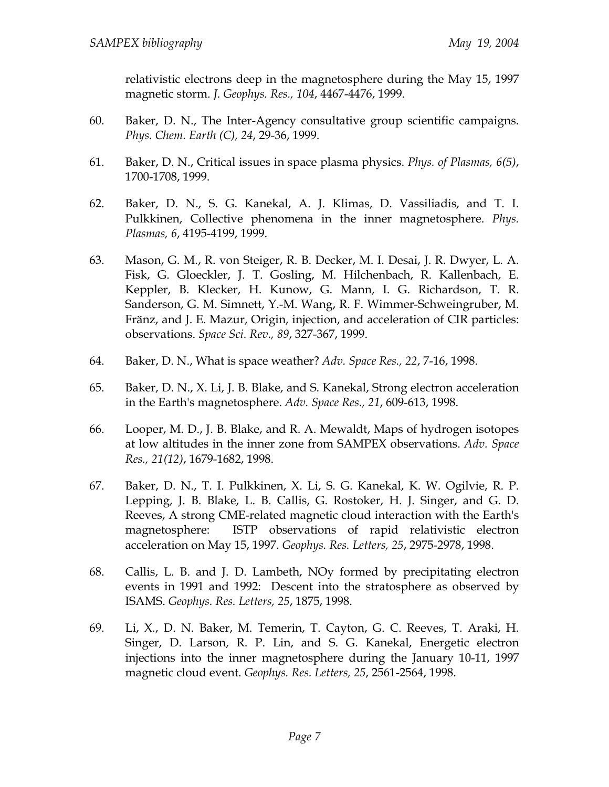relativistic electrons deep in the magnetosphere during the May 15, 1997 magnetic storm. *J. Geophys. Res., 104*, 4467-4476, 1999.

- 60. Baker, D. N., The Inter-Agency consultative group scientific campaigns. *Phys. Chem. Earth (C), 24*, 29-36, 1999.
- 61. Baker, D. N., Critical issues in space plasma physics. *Phys. of Plasmas, 6(5)*, 1700-1708, 1999.
- 62. Baker, D. N., S. G. Kanekal, A. J. Klimas, D. Vassiliadis, and T. I. Pulkkinen, Collective phenomena in the inner magnetosphere. *Phys. Plasmas, 6*, 4195-4199, 1999.
- 63. Mason, G. M., R. von Steiger, R. B. Decker, M. I. Desai, J. R. Dwyer, L. A. Fisk, G. Gloeckler, J. T. Gosling, M. Hilchenbach, R. Kallenbach, E. Keppler, B. Klecker, H. Kunow, G. Mann, I. G. Richardson, T. R. Sanderson, G. M. Simnett, Y.-M. Wang, R. F. Wimmer-Schweingruber, M. Fränz, and J. E. Mazur, Origin, injection, and acceleration of CIR particles: observations. *Space Sci. Rev., 89*, 327-367, 1999.
- 64. Baker, D. N., What is space weather? *Adv. Space Res., 22*, 7-16, 1998.
- 65. Baker, D. N., X. Li, J. B. Blake, and S. Kanekal, Strong electron acceleration in the Earth's magnetosphere. *Adv. Space Res., 21*, 609-613, 1998.
- 66. Looper, M. D., J. B. Blake, and R. A. Mewaldt, Maps of hydrogen isotopes at low altitudes in the inner zone from SAMPEX observations. *Adv. Space Res., 21(12)*, 1679-1682, 1998.
- 67. Baker, D. N., T. I. Pulkkinen, X. Li, S. G. Kanekal, K. W. Ogilvie, R. P. Lepping, J. B. Blake, L. B. Callis, G. Rostoker, H. J. Singer, and G. D. Reeves, A strong CME-related magnetic cloud interaction with the Earth's magnetosphere: ISTP observations of rapid relativistic electron acceleration on May 15, 1997. *Geophys. Res. Letters, 25*, 2975-2978, 1998.
- 68. Callis, L. B. and J. D. Lambeth, NOy formed by precipitating electron events in 1991 and 1992: Descent into the stratosphere as observed by ISAMS. *Geophys. Res. Letters, 25*, 1875, 1998.
- 69. Li, X., D. N. Baker, M. Temerin, T. Cayton, G. C. Reeves, T. Araki, H. Singer, D. Larson, R. P. Lin, and S. G. Kanekal, Energetic electron injections into the inner magnetosphere during the January 10-11, 1997 magnetic cloud event. *Geophys. Res. Letters, 25*, 2561-2564, 1998.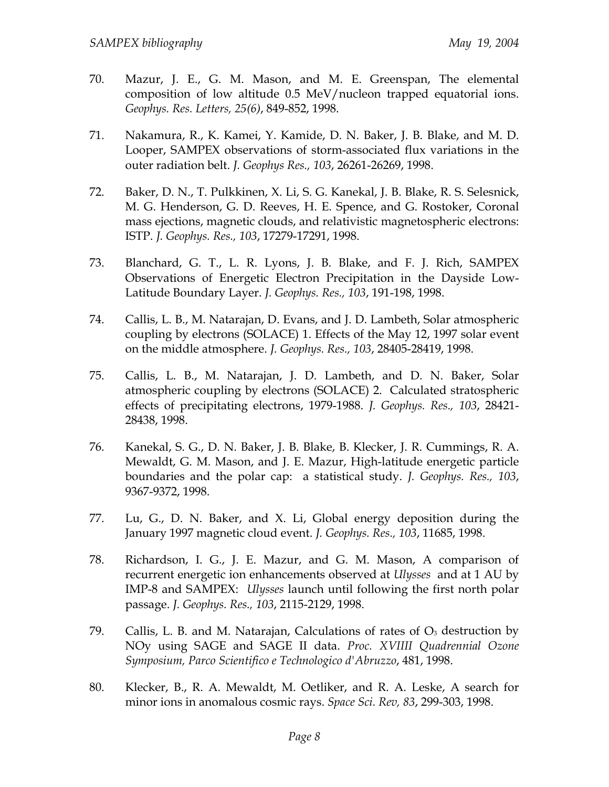- 70. Mazur, J. E., G. M. Mason, and M. E. Greenspan, The elemental composition of low altitude 0.5 MeV/nucleon trapped equatorial ions. *Geophys. Res. Letters, 25(6)*, 849-852, 1998.
- 71. Nakamura, R., K. Kamei, Y. Kamide, D. N. Baker, J. B. Blake, and M. D. Looper, SAMPEX observations of storm-associated flux variations in the outer radiation belt. *J. Geophys Res., 103*, 26261-26269, 1998.
- 72. Baker, D. N., T. Pulkkinen, X. Li, S. G. Kanekal, J. B. Blake, R. S. Selesnick, M. G. Henderson, G. D. Reeves, H. E. Spence, and G. Rostoker, Coronal mass ejections, magnetic clouds, and relativistic magnetospheric electrons: ISTP. *J. Geophys. Res., 103*, 17279-17291, 1998.
- 73. Blanchard, G. T., L. R. Lyons, J. B. Blake, and F. J. Rich, SAMPEX Observations of Energetic Electron Precipitation in the Dayside Low-Latitude Boundary Layer. *J. Geophys. Res., 103*, 191-198, 1998.
- 74. Callis, L. B., M. Natarajan, D. Evans, and J. D. Lambeth, Solar atmospheric coupling by electrons (SOLACE) 1. Effects of the May 12, 1997 solar event on the middle atmosphere. *J. Geophys. Res., 103*, 28405-28419, 1998.
- 75. Callis, L. B., M. Natarajan, J. D. Lambeth, and D. N. Baker, Solar atmospheric coupling by electrons (SOLACE) 2. Calculated stratospheric effects of precipitating electrons, 1979-1988. *J. Geophys. Res., 103*, 28421- 28438, 1998.
- 76. Kanekal, S. G., D. N. Baker, J. B. Blake, B. Klecker, J. R. Cummings, R. A. Mewaldt, G. M. Mason, and J. E. Mazur, High-latitude energetic particle boundaries and the polar cap: a statistical study. *J. Geophys. Res., 103*, 9367-9372, 1998.
- 77. Lu, G., D. N. Baker, and X. Li, Global energy deposition during the January 1997 magnetic cloud event. *J. Geophys. Res., 103*, 11685, 1998.
- 78. Richardson, I. G., J. E. Mazur, and G. M. Mason, A comparison of recurrent energetic ion enhancements observed at *Ulysses* and at 1 AU by IMP-8 and SAMPEX: *Ulysses* launch until following the first north polar passage. *J. Geophys. Res., 103*, 2115-2129, 1998.
- 79. Callis, L. B. and M. Natarajan, Calculations of rates of  $O<sub>3</sub>$  destruction by NOy using SAGE and SAGE II data. *Proc. XVIIII Quadrennial Ozone Symposium, Parco Scientifico e Technologico d'Abruzzo*, 481, 1998.
- 80. Klecker, B., R. A. Mewaldt, M. Oetliker, and R. A. Leske, A search for minor ions in anomalous cosmic rays. *Space Sci. Rev, 83*, 299-303, 1998.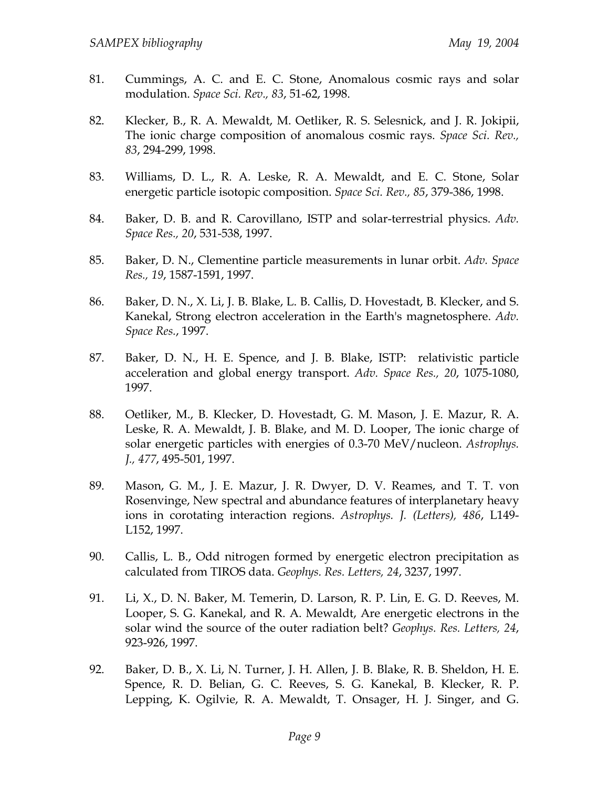- 81. Cummings, A. C. and E. C. Stone, Anomalous cosmic rays and solar modulation. *Space Sci. Rev., 83*, 51-62, 1998.
- 82. Klecker, B., R. A. Mewaldt, M. Oetliker, R. S. Selesnick, and J. R. Jokipii, The ionic charge composition of anomalous cosmic rays. *Space Sci. Rev., 83*, 294-299, 1998.
- 83. Williams, D. L., R. A. Leske, R. A. Mewaldt, and E. C. Stone, Solar energetic particle isotopic composition. *Space Sci. Rev., 85*, 379-386, 1998.
- 84. Baker, D. B. and R. Carovillano, ISTP and solar-terrestrial physics. *Adv. Space Res., 20*, 531-538, 1997.
- 85. Baker, D. N., Clementine particle measurements in lunar orbit. *Adv. Space Res., 19*, 1587-1591, 1997.
- 86. Baker, D. N., X. Li, J. B. Blake, L. B. Callis, D. Hovestadt, B. Klecker, and S. Kanekal, Strong electron acceleration in the Earth's magnetosphere. *Adv. Space Res.*, 1997.
- 87. Baker, D. N., H. E. Spence, and J. B. Blake, ISTP: relativistic particle acceleration and global energy transport. *Adv. Space Res., 20*, 1075-1080, 1997.
- 88. Oetliker, M., B. Klecker, D. Hovestadt, G. M. Mason, J. E. Mazur, R. A. Leske, R. A. Mewaldt, J. B. Blake, and M. D. Looper, The ionic charge of solar energetic particles with energies of 0.3-70 MeV/nucleon. *Astrophys. J., 477*, 495-501, 1997.
- 89. Mason, G. M., J. E. Mazur, J. R. Dwyer, D. V. Reames, and T. T. von Rosenvinge, New spectral and abundance features of interplanetary heavy ions in corotating interaction regions. *Astrophys. J. (Letters), 486*, L149- L152, 1997.
- 90. Callis, L. B., Odd nitrogen formed by energetic electron precipitation as calculated from TIROS data. *Geophys. Res. Letters, 24*, 3237, 1997.
- 91. Li, X., D. N. Baker, M. Temerin, D. Larson, R. P. Lin, E. G. D. Reeves, M. Looper, S. G. Kanekal, and R. A. Mewaldt, Are energetic electrons in the solar wind the source of the outer radiation belt? *Geophys. Res. Letters, 24*, 923-926, 1997.
- 92. Baker, D. B., X. Li, N. Turner, J. H. Allen, J. B. Blake, R. B. Sheldon, H. E. Spence, R. D. Belian, G. C. Reeves, S. G. Kanekal, B. Klecker, R. P. Lepping, K. Ogilvie, R. A. Mewaldt, T. Onsager, H. J. Singer, and G.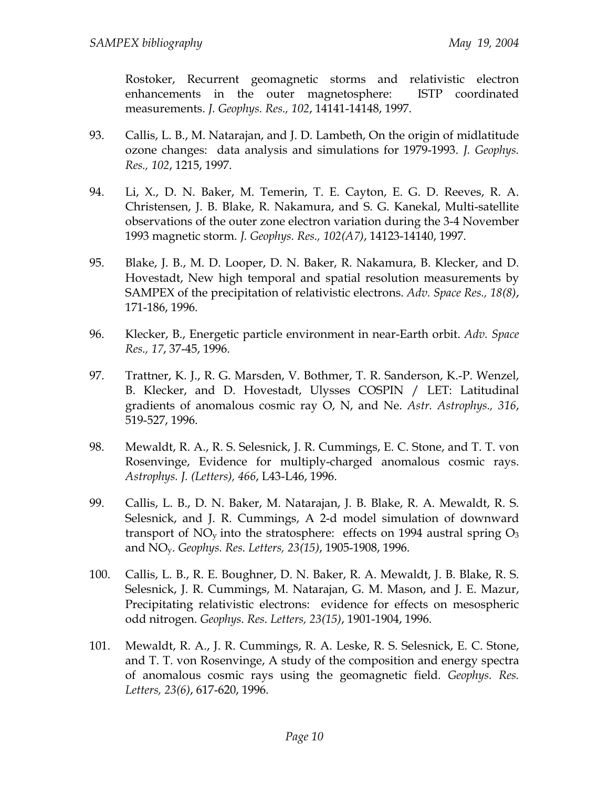Rostoker, Recurrent geomagnetic storms and relativistic electron enhancements in the outer magnetosphere: ISTP coordinated measurements. *J. Geophys. Res., 102*, 14141-14148, 1997.

- 93. Callis, L. B., M. Natarajan, and J. D. Lambeth, On the origin of midlatitude ozone changes: data analysis and simulations for 1979-1993. *J. Geophys. Res., 102*, 1215, 1997.
- 94. Li, X., D. N. Baker, M. Temerin, T. E. Cayton, E. G. D. Reeves, R. A. Christensen, J. B. Blake, R. Nakamura, and S. G. Kanekal, Multi-satellite observations of the outer zone electron variation during the 3-4 November 1993 magnetic storm. *J. Geophys. Res., 102(A7)*, 14123-14140, 1997.
- 95. Blake, J. B., M. D. Looper, D. N. Baker, R. Nakamura, B. Klecker, and D. Hovestadt, New high temporal and spatial resolution measurements by SAMPEX of the precipitation of relativistic electrons. *Adv. Space Res., 18(8)*, 171-186, 1996.
- 96. Klecker, B., Energetic particle environment in near-Earth orbit. *Adv. Space Res., 17*, 37-45, 1996.
- 97. Trattner, K. J., R. G. Marsden, V. Bothmer, T. R. Sanderson, K.-P. Wenzel, B. Klecker, and D. Hovestadt, Ulysses COSPIN / LET: Latitudinal gradients of anomalous cosmic ray O, N, and Ne. *Astr. Astrophys., 316*, 519-527, 1996.
- 98. Mewaldt, R. A., R. S. Selesnick, J. R. Cummings, E. C. Stone, and T. T. von Rosenvinge, Evidence for multiply-charged anomalous cosmic rays. *Astrophys. J. (Letters), 466*, L43-L46, 1996.
- 99. Callis, L. B., D. N. Baker, M. Natarajan, J. B. Blake, R. A. Mewaldt, R. S. Selesnick, and J. R. Cummings, A 2-d model simulation of downward transport of  $NO<sub>y</sub>$  into the stratosphere: effects on 1994 austral spring  $O<sub>3</sub>$ and NOy. *Geophys. Res. Letters, 23(15)*, 1905-1908, 1996.
- 100. Callis, L. B., R. E. Boughner, D. N. Baker, R. A. Mewaldt, J. B. Blake, R. S. Selesnick, J. R. Cummings, M. Natarajan, G. M. Mason, and J. E. Mazur, Precipitating relativistic electrons: evidence for effects on mesospheric odd nitrogen. *Geophys. Res. Letters, 23(15)*, 1901-1904, 1996.
- 101. Mewaldt, R. A., J. R. Cummings, R. A. Leske, R. S. Selesnick, E. C. Stone, and T. T. von Rosenvinge, A study of the composition and energy spectra of anomalous cosmic rays using the geomagnetic field. *Geophys. Res. Letters, 23(6)*, 617-620, 1996.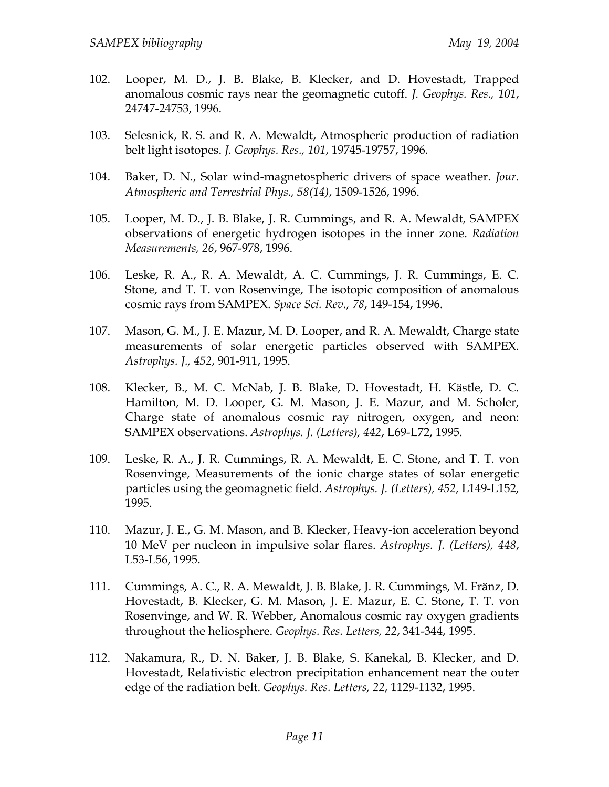- 102. Looper, M. D., J. B. Blake, B. Klecker, and D. Hovestadt, Trapped anomalous cosmic rays near the geomagnetic cutoff. *J. Geophys. Res., 101*, 24747-24753, 1996.
- 103. Selesnick, R. S. and R. A. Mewaldt, Atmospheric production of radiation belt light isotopes. *J. Geophys. Res., 101*, 19745-19757, 1996.
- 104. Baker, D. N., Solar wind-magnetospheric drivers of space weather. *Jour. Atmospheric and Terrestrial Phys., 58(14)*, 1509-1526, 1996.
- 105. Looper, M. D., J. B. Blake, J. R. Cummings, and R. A. Mewaldt, SAMPEX observations of energetic hydrogen isotopes in the inner zone. *Radiation Measurements, 26*, 967-978, 1996.
- 106. Leske, R. A., R. A. Mewaldt, A. C. Cummings, J. R. Cummings, E. C. Stone, and T. T. von Rosenvinge, The isotopic composition of anomalous cosmic rays from SAMPEX. *Space Sci. Rev., 78*, 149-154, 1996.
- 107. Mason, G. M., J. E. Mazur, M. D. Looper, and R. A. Mewaldt, Charge state measurements of solar energetic particles observed with SAMPEX. *Astrophys. J., 452*, 901-911, 1995.
- 108. Klecker, B., M. C. McNab, J. B. Blake, D. Hovestadt, H. Kästle, D. C. Hamilton, M. D. Looper, G. M. Mason, J. E. Mazur, and M. Scholer, Charge state of anomalous cosmic ray nitrogen, oxygen, and neon: SAMPEX observations. *Astrophys. J. (Letters), 442*, L69-L72, 1995.
- 109. Leske, R. A., J. R. Cummings, R. A. Mewaldt, E. C. Stone, and T. T. von Rosenvinge, Measurements of the ionic charge states of solar energetic particles using the geomagnetic field. *Astrophys. J. (Letters), 452*, L149-L152, 1995.
- 110. Mazur, J. E., G. M. Mason, and B. Klecker, Heavy-ion acceleration beyond 10 MeV per nucleon in impulsive solar flares. *Astrophys. J. (Letters), 448*, L53-L56, 1995.
- 111. Cummings, A. C., R. A. Mewaldt, J. B. Blake, J. R. Cummings, M. Fränz, D. Hovestadt, B. Klecker, G. M. Mason, J. E. Mazur, E. C. Stone, T. T. von Rosenvinge, and W. R. Webber, Anomalous cosmic ray oxygen gradients throughout the heliosphere. *Geophys. Res. Letters, 22*, 341-344, 1995.
- 112. Nakamura, R., D. N. Baker, J. B. Blake, S. Kanekal, B. Klecker, and D. Hovestadt, Relativistic electron precipitation enhancement near the outer edge of the radiation belt. *Geophys. Res. Letters, 22*, 1129-1132, 1995.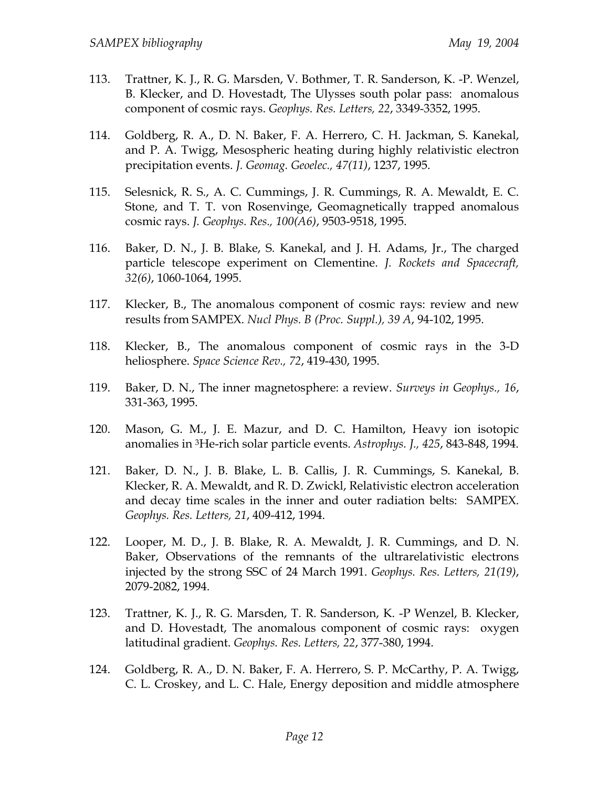- 113. Trattner, K. J., R. G. Marsden, V. Bothmer, T. R. Sanderson, K. -P. Wenzel, B. Klecker, and D. Hovestadt, The Ulysses south polar pass: anomalous component of cosmic rays. *Geophys. Res. Letters, 22*, 3349-3352, 1995.
- 114. Goldberg, R. A., D. N. Baker, F. A. Herrero, C. H. Jackman, S. Kanekal, and P. A. Twigg, Mesospheric heating during highly relativistic electron precipitation events. *J. Geomag. Geoelec., 47(11)*, 1237, 1995.
- 115. Selesnick, R. S., A. C. Cummings, J. R. Cummings, R. A. Mewaldt, E. C. Stone, and T. T. von Rosenvinge, Geomagnetically trapped anomalous cosmic rays. *J. Geophys. Res., 100(A6)*, 9503-9518, 1995.
- 116. Baker, D. N., J. B. Blake, S. Kanekal, and J. H. Adams, Jr., The charged particle telescope experiment on Clementine. *J. Rockets and Spacecraft, 32(6)*, 1060-1064, 1995.
- 117. Klecker, B., The anomalous component of cosmic rays: review and new results from SAMPEX. *Nucl Phys. B (Proc. Suppl.), 39 A*, 94-102, 1995.
- 118. Klecker, B., The anomalous component of cosmic rays in the 3-D heliosphere. *Space Science Rev., 72*, 419-430, 1995.
- 119. Baker, D. N., The inner magnetosphere: a review. *Surveys in Geophys., 16*, 331-363, 1995.
- 120. Mason, G. M., J. E. Mazur, and D. C. Hamilton, Heavy ion isotopic anomalies in 3He-rich solar particle events. *Astrophys. J., 425*, 843-848, 1994.
- 121. Baker, D. N., J. B. Blake, L. B. Callis, J. R. Cummings, S. Kanekal, B. Klecker, R. A. Mewaldt, and R. D. Zwickl, Relativistic electron acceleration and decay time scales in the inner and outer radiation belts: SAMPEX. *Geophys. Res. Letters, 21*, 409-412, 1994.
- 122. Looper, M. D., J. B. Blake, R. A. Mewaldt, J. R. Cummings, and D. N. Baker, Observations of the remnants of the ultrarelativistic electrons injected by the strong SSC of 24 March 1991. *Geophys. Res. Letters, 21(19)*, 2079-2082, 1994.
- 123. Trattner, K. J., R. G. Marsden, T. R. Sanderson, K. -P Wenzel, B. Klecker, and D. Hovestadt, The anomalous component of cosmic rays: oxygen latitudinal gradient. *Geophys. Res. Letters, 22*, 377-380, 1994.
- 124. Goldberg, R. A., D. N. Baker, F. A. Herrero, S. P. McCarthy, P. A. Twigg, C. L. Croskey, and L. C. Hale, Energy deposition and middle atmosphere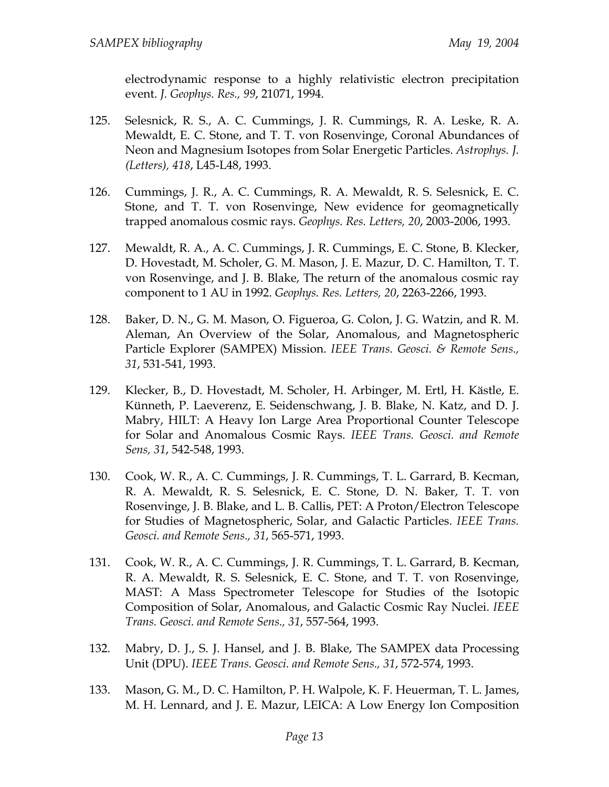electrodynamic response to a highly relativistic electron precipitation event. *J. Geophys. Res., 99*, 21071, 1994.

- 125. Selesnick, R. S., A. C. Cummings, J. R. Cummings, R. A. Leske, R. A. Mewaldt, E. C. Stone, and T. T. von Rosenvinge, Coronal Abundances of Neon and Magnesium Isotopes from Solar Energetic Particles. *Astrophys. J. (Letters), 418*, L45-L48, 1993.
- 126. Cummings, J. R., A. C. Cummings, R. A. Mewaldt, R. S. Selesnick, E. C. Stone, and T. T. von Rosenvinge, New evidence for geomagnetically trapped anomalous cosmic rays. *Geophys. Res. Letters, 20*, 2003-2006, 1993.
- 127. Mewaldt, R. A., A. C. Cummings, J. R. Cummings, E. C. Stone, B. Klecker, D. Hovestadt, M. Scholer, G. M. Mason, J. E. Mazur, D. C. Hamilton, T. T. von Rosenvinge, and J. B. Blake, The return of the anomalous cosmic ray component to 1 AU in 1992. *Geophys. Res. Letters, 20*, 2263-2266, 1993.
- 128. Baker, D. N., G. M. Mason, O. Figueroa, G. Colon, J. G. Watzin, and R. M. Aleman, An Overview of the Solar, Anomalous, and Magnetospheric Particle Explorer (SAMPEX) Mission. *IEEE Trans. Geosci. & Remote Sens., 31*, 531-541, 1993.
- 129. Klecker, B., D. Hovestadt, M. Scholer, H. Arbinger, M. Ertl, H. Kästle, E. Künneth, P. Laeverenz, E. Seidenschwang, J. B. Blake, N. Katz, and D. J. Mabry, HILT: A Heavy Ion Large Area Proportional Counter Telescope for Solar and Anomalous Cosmic Rays. *IEEE Trans. Geosci. and Remote Sens, 31*, 542-548, 1993.
- 130. Cook, W. R., A. C. Cummings, J. R. Cummings, T. L. Garrard, B. Kecman, R. A. Mewaldt, R. S. Selesnick, E. C. Stone, D. N. Baker, T. T. von Rosenvinge, J. B. Blake, and L. B. Callis, PET: A Proton/Electron Telescope for Studies of Magnetospheric, Solar, and Galactic Particles. *IEEE Trans. Geosci. and Remote Sens., 31*, 565-571, 1993.
- 131. Cook, W. R., A. C. Cummings, J. R. Cummings, T. L. Garrard, B. Kecman, R. A. Mewaldt, R. S. Selesnick, E. C. Stone, and T. T. von Rosenvinge, MAST: A Mass Spectrometer Telescope for Studies of the Isotopic Composition of Solar, Anomalous, and Galactic Cosmic Ray Nuclei. *IEEE Trans. Geosci. and Remote Sens., 31*, 557-564, 1993.
- 132. Mabry, D. J., S. J. Hansel, and J. B. Blake, The SAMPEX data Processing Unit (DPU). *IEEE Trans. Geosci. and Remote Sens., 31*, 572-574, 1993.
- 133. Mason, G. M., D. C. Hamilton, P. H. Walpole, K. F. Heuerman, T. L. James, M. H. Lennard, and J. E. Mazur, LEICA: A Low Energy Ion Composition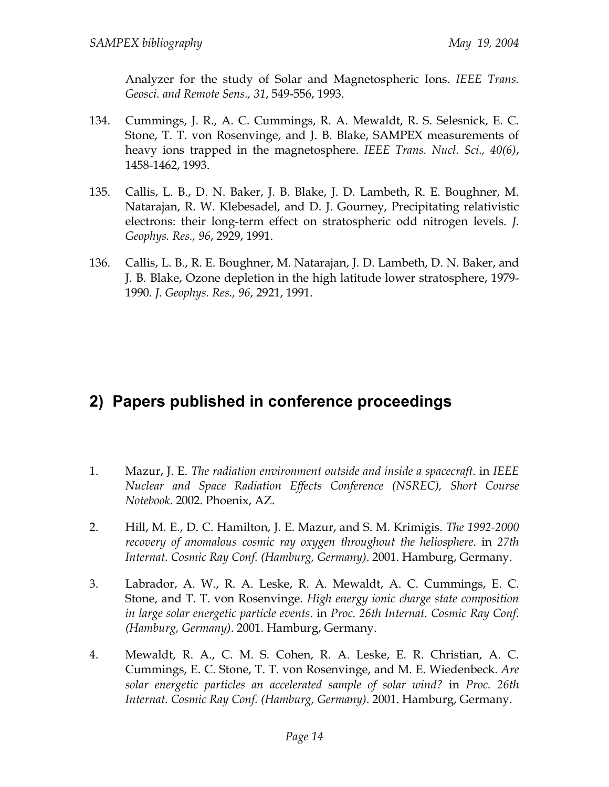Analyzer for the study of Solar and Magnetospheric Ions. *IEEE Trans. Geosci. and Remote Sens., 31*, 549-556, 1993.

- 134. Cummings, J. R., A. C. Cummings, R. A. Mewaldt, R. S. Selesnick, E. C. Stone, T. T. von Rosenvinge, and J. B. Blake, SAMPEX measurements of heavy ions trapped in the magnetosphere. *IEEE Trans. Nucl. Sci., 40(6)*, 1458-1462, 1993.
- 135. Callis, L. B., D. N. Baker, J. B. Blake, J. D. Lambeth, R. E. Boughner, M. Natarajan, R. W. Klebesadel, and D. J. Gourney, Precipitating relativistic electrons: their long-term effect on stratospheric odd nitrogen levels. *J. Geophys. Res., 96*, 2929, 1991.
- 136. Callis, L. B., R. E. Boughner, M. Natarajan, J. D. Lambeth, D. N. Baker, and J. B. Blake, Ozone depletion in the high latitude lower stratosphere, 1979- 1990. *J. Geophys. Res., 96*, 2921, 1991.

## **2) Papers published in conference proceedings**

- 1. Mazur, J. E. *The radiation environment outside and inside a spacecraft*. in *IEEE Nuclear and Space Radiation Effects Conference (NSREC), Short Course Notebook*. 2002. Phoenix, AZ.
- 2. Hill, M. E., D. C. Hamilton, J. E. Mazur, and S. M. Krimigis. *The 1992-2000 recovery of anomalous cosmic ray oxygen throughout the heliosphere*. in *27th Internat. Cosmic Ray Conf. (Hamburg, Germany)*. 2001. Hamburg, Germany.
- 3. Labrador, A. W., R. A. Leske, R. A. Mewaldt, A. C. Cummings, E. C. Stone, and T. T. von Rosenvinge. *High energy ionic charge state composition in large solar energetic particle events*. in *Proc. 26th Internat. Cosmic Ray Conf. (Hamburg, Germany)*. 2001. Hamburg, Germany.
- 4. Mewaldt, R. A., C. M. S. Cohen, R. A. Leske, E. R. Christian, A. C. Cummings, E. C. Stone, T. T. von Rosenvinge, and M. E. Wiedenbeck. *Are solar energetic particles an accelerated sample of solar wind?* in *Proc. 26th Internat. Cosmic Ray Conf. (Hamburg, Germany)*. 2001. Hamburg, Germany.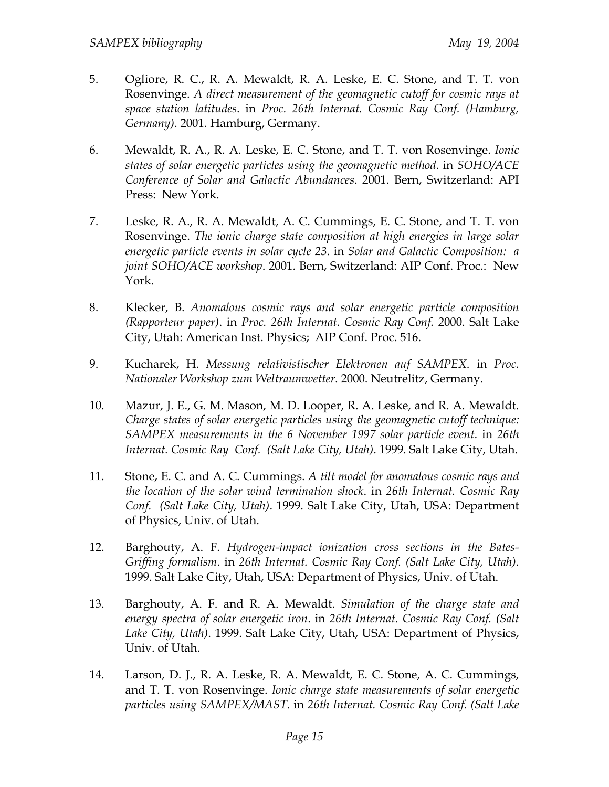- 5. Ogliore, R. C., R. A. Mewaldt, R. A. Leske, E. C. Stone, and T. T. von Rosenvinge. *A direct measurement of the geomagnetic cutoff for cosmic rays at space station latitudes*. in *Proc. 26th Internat. Cosmic Ray Conf. (Hamburg, Germany)*. 2001. Hamburg, Germany.
- 6. Mewaldt, R. A., R. A. Leske, E. C. Stone, and T. T. von Rosenvinge. *Ionic states of solar energetic particles using the geomagnetic method*. in *SOHO/ACE Conference of Solar and Galactic Abundances*. 2001. Bern, Switzerland: API Press: New York.
- 7. Leske, R. A., R. A. Mewaldt, A. C. Cummings, E. C. Stone, and T. T. von Rosenvinge. *The ionic charge state composition at high energies in large solar energetic particle events in solar cycle 23*. in *Solar and Galactic Composition: a joint SOHO/ACE workshop*. 2001. Bern, Switzerland: AIP Conf. Proc.: New York.
- 8. Klecker, B. *Anomalous cosmic rays and solar energetic particle composition (Rapporteur paper)*. in *Proc. 26th Internat. Cosmic Ray Conf.* 2000. Salt Lake City, Utah: American Inst. Physics; AIP Conf. Proc. 516.
- 9. Kucharek, H. *Messung relativistischer Elektronen auf SAMPEX*. in *Proc. Nationaler Workshop zum Weltraumwetter*. 2000. Neutrelitz, Germany.
- 10. Mazur, J. E., G. M. Mason, M. D. Looper, R. A. Leske, and R. A. Mewaldt. *Charge states of solar energetic particles using the geomagnetic cutoff technique: SAMPEX measurements in the 6 November 1997 solar particle event*. in *26th Internat. Cosmic Ray Conf. (Salt Lake City, Utah)*. 1999. Salt Lake City, Utah.
- 11. Stone, E. C. and A. C. Cummings. *A tilt model for anomalous cosmic rays and the location of the solar wind termination shock*. in *26th Internat. Cosmic Ray Conf. (Salt Lake City, Utah)*. 1999. Salt Lake City, Utah, USA: Department of Physics, Univ. of Utah.
- 12. Barghouty, A. F. *Hydrogen-impact ionization cross sections in the Bates-Griffing formalism*. in *26th Internat. Cosmic Ray Conf. (Salt Lake City, Utah)*. 1999. Salt Lake City, Utah, USA: Department of Physics, Univ. of Utah.
- 13. Barghouty, A. F. and R. A. Mewaldt. *Simulation of the charge state and energy spectra of solar energetic iron*. in *26th Internat. Cosmic Ray Conf. (Salt Lake City, Utah)*. 1999. Salt Lake City, Utah, USA: Department of Physics, Univ. of Utah.
- 14. Larson, D. J., R. A. Leske, R. A. Mewaldt, E. C. Stone, A. C. Cummings, and T. T. von Rosenvinge. *Ionic charge state measurements of solar energetic particles using SAMPEX/MAST*. in *26th Internat. Cosmic Ray Conf. (Salt Lake*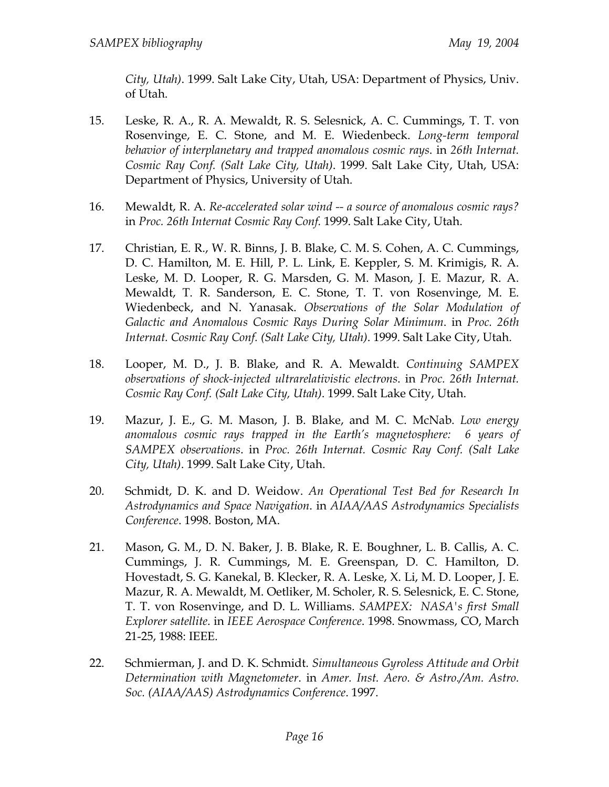*City, Utah)*. 1999. Salt Lake City, Utah, USA: Department of Physics, Univ. of Utah.

- 15. Leske, R. A., R. A. Mewaldt, R. S. Selesnick, A. C. Cummings, T. T. von Rosenvinge, E. C. Stone, and M. E. Wiedenbeck. *Long-term temporal behavior of interplanetary and trapped anomalous cosmic rays*. in *26th Internat. Cosmic Ray Conf. (Salt Lake City, Utah)*. 1999. Salt Lake City, Utah, USA: Department of Physics, University of Utah.
- 16. Mewaldt, R. A. *Re-accelerated solar wind -- a source of anomalous cosmic rays?* in *Proc. 26th Internat Cosmic Ray Conf.* 1999. Salt Lake City, Utah.
- 17. Christian, E. R., W. R. Binns, J. B. Blake, C. M. S. Cohen, A. C. Cummings, D. C. Hamilton, M. E. Hill, P. L. Link, E. Keppler, S. M. Krimigis, R. A. Leske, M. D. Looper, R. G. Marsden, G. M. Mason, J. E. Mazur, R. A. Mewaldt, T. R. Sanderson, E. C. Stone, T. T. von Rosenvinge, M. E. Wiedenbeck, and N. Yanasak. *Observations of the Solar Modulation of Galactic and Anomalous Cosmic Rays During Solar Minimum*. in *Proc. 26th Internat. Cosmic Ray Conf. (Salt Lake City, Utah)*. 1999. Salt Lake City, Utah.
- 18. Looper, M. D., J. B. Blake, and R. A. Mewaldt. *Continuing SAMPEX observations of shock-injected ultrarelativistic electrons*. in *Proc. 26th Internat. Cosmic Ray Conf. (Salt Lake City, Utah)*. 1999. Salt Lake City, Utah.
- 19. Mazur, J. E., G. M. Mason, J. B. Blake, and M. C. McNab. *Low energy anomalous cosmic rays trapped in the Earth's magnetosphere: 6 years of SAMPEX observations*. in *Proc. 26th Internat. Cosmic Ray Conf. (Salt Lake City, Utah)*. 1999. Salt Lake City, Utah.
- 20. Schmidt, D. K. and D. Weidow. *An Operational Test Bed for Research In Astrodynamics and Space Navigation*. in *AIAA/AAS Astrodynamics Specialists Conference*. 1998. Boston, MA.
- 21. Mason, G. M., D. N. Baker, J. B. Blake, R. E. Boughner, L. B. Callis, A. C. Cummings, J. R. Cummings, M. E. Greenspan, D. C. Hamilton, D. Hovestadt, S. G. Kanekal, B. Klecker, R. A. Leske, X. Li, M. D. Looper, J. E. Mazur, R. A. Mewaldt, M. Oetliker, M. Scholer, R. S. Selesnick, E. C. Stone, T. T. von Rosenvinge, and D. L. Williams. *SAMPEX: NASA's first Small Explorer satellite*. in *IEEE Aerospace Conference*. 1998. Snowmass, CO, March 21-25, 1988: IEEE.
- 22. Schmierman, J. and D. K. Schmidt. *Simultaneous Gyroless Attitude and Orbit Determination with Magnetometer*. in *Amer. Inst. Aero. & Astro./Am. Astro. Soc. (AIAA/AAS) Astrodynamics Conference*. 1997.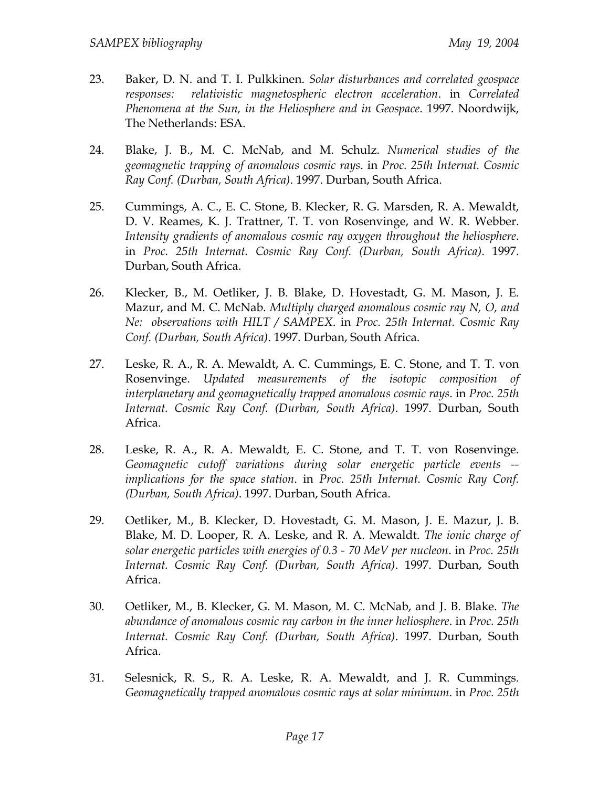- 23. Baker, D. N. and T. I. Pulkkinen. *Solar disturbances and correlated geospace responses: relativistic magnetospheric electron acceleration*. in *Correlated Phenomena at the Sun, in the Heliosphere and in Geospace*. 1997. Noordwijk, The Netherlands: ESA.
- 24. Blake, J. B., M. C. McNab, and M. Schulz. *Numerical studies of the geomagnetic trapping of anomalous cosmic rays*. in *Proc. 25th Internat. Cosmic Ray Conf. (Durban, South Africa)*. 1997. Durban, South Africa.
- 25. Cummings, A. C., E. C. Stone, B. Klecker, R. G. Marsden, R. A. Mewaldt, D. V. Reames, K. J. Trattner, T. T. von Rosenvinge, and W. R. Webber. *Intensity gradients of anomalous cosmic ray oxygen throughout the heliosphere*. in *Proc. 25th Internat. Cosmic Ray Conf. (Durban, South Africa)*. 1997. Durban, South Africa.
- 26. Klecker, B., M. Oetliker, J. B. Blake, D. Hovestadt, G. M. Mason, J. E. Mazur, and M. C. McNab. *Multiply charged anomalous cosmic ray N, O, and Ne: observations with HILT / SAMPEX*. in *Proc. 25th Internat. Cosmic Ray Conf. (Durban, South Africa)*. 1997. Durban, South Africa.
- 27. Leske, R. A., R. A. Mewaldt, A. C. Cummings, E. C. Stone, and T. T. von Rosenvinge. *Updated measurements of the isotopic composition of interplanetary and geomagnetically trapped anomalous cosmic rays*. in *Proc. 25th Internat. Cosmic Ray Conf. (Durban, South Africa)*. 1997. Durban, South Africa.
- 28. Leske, R. A., R. A. Mewaldt, E. C. Stone, and T. T. von Rosenvinge. *Geomagnetic cutoff variations during solar energetic particle events - implications for the space station*. in *Proc. 25th Internat. Cosmic Ray Conf. (Durban, South Africa)*. 1997. Durban, South Africa.
- 29. Oetliker, M., B. Klecker, D. Hovestadt, G. M. Mason, J. E. Mazur, J. B. Blake, M. D. Looper, R. A. Leske, and R. A. Mewaldt. *The ionic charge of solar energetic particles with energies of 0.3 - 70 MeV per nucleon*. in *Proc. 25th Internat. Cosmic Ray Conf. (Durban, South Africa)*. 1997. Durban, South Africa.
- 30. Oetliker, M., B. Klecker, G. M. Mason, M. C. McNab, and J. B. Blake. *The abundance of anomalous cosmic ray carbon in the inner heliosphere*. in *Proc. 25th Internat. Cosmic Ray Conf. (Durban, South Africa)*. 1997. Durban, South Africa.
- 31. Selesnick, R. S., R. A. Leske, R. A. Mewaldt, and J. R. Cummings. *Geomagnetically trapped anomalous cosmic rays at solar minimum*. in *Proc. 25th*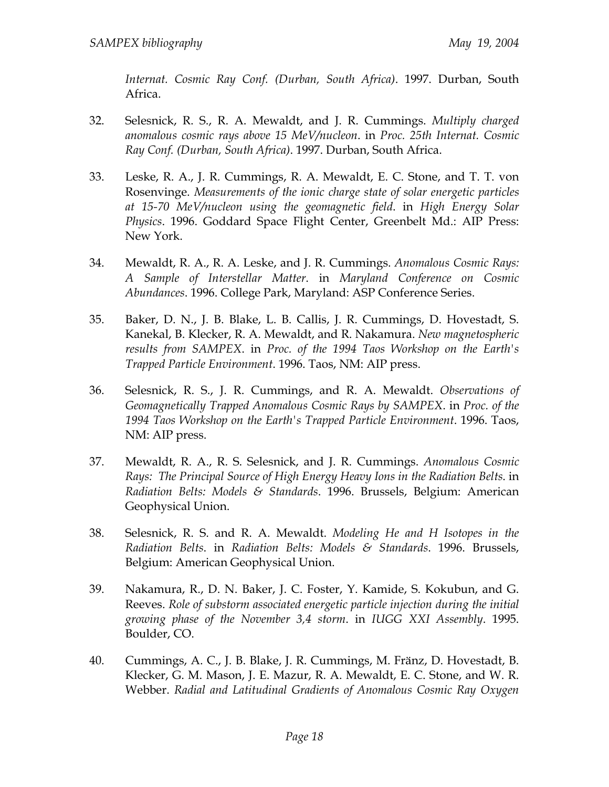*Internat. Cosmic Ray Conf. (Durban, South Africa)*. 1997. Durban, South Africa.

- 32. Selesnick, R. S., R. A. Mewaldt, and J. R. Cummings. *Multiply charged anomalous cosmic rays above 15 MeV/nucleon*. in *Proc. 25th Internat. Cosmic Ray Conf. (Durban, South Africa)*. 1997. Durban, South Africa.
- 33. Leske, R. A., J. R. Cummings, R. A. Mewaldt, E. C. Stone, and T. T. von Rosenvinge. *Measurements of the ionic charge state of solar energetic particles at 15-70 MeV/nucleon using the geomagnetic field*. in *High Energy Solar Physics*. 1996. Goddard Space Flight Center, Greenbelt Md.: AIP Press: New York.
- 34. Mewaldt, R. A., R. A. Leske, and J. R. Cummings. *Anomalous Cosmic Rays: A Sample of Interstellar Matter*. in *Maryland Conference on Cosmic Abundances*. 1996. College Park, Maryland: ASP Conference Series.
- 35. Baker, D. N., J. B. Blake, L. B. Callis, J. R. Cummings, D. Hovestadt, S. Kanekal, B. Klecker, R. A. Mewaldt, and R. Nakamura. *New magnetospheric results from SAMPEX*. in *Proc. of the 1994 Taos Workshop on the Earth's Trapped Particle Environment*. 1996. Taos, NM: AIP press.
- 36. Selesnick, R. S., J. R. Cummings, and R. A. Mewaldt. *Observations of Geomagnetically Trapped Anomalous Cosmic Rays by SAMPEX*. in *Proc. of the 1994 Taos Workshop on the Earth's Trapped Particle Environment*. 1996. Taos, NM: AIP press.
- 37. Mewaldt, R. A., R. S. Selesnick, and J. R. Cummings. *Anomalous Cosmic Rays: The Principal Source of High Energy Heavy Ions in the Radiation Belts*. in *Radiation Belts: Models & Standards*. 1996. Brussels, Belgium: American Geophysical Union.
- 38. Selesnick, R. S. and R. A. Mewaldt. *Modeling He and H Isotopes in the Radiation Belts*. in *Radiation Belts: Models & Standards*. 1996. Brussels, Belgium: American Geophysical Union.
- 39. Nakamura, R., D. N. Baker, J. C. Foster, Y. Kamide, S. Kokubun, and G. Reeves. *Role of substorm associated energetic particle injection during the initial growing phase of the November 3,4 storm*. in *IUGG XXI Assembly*. 1995. Boulder, CO.
- 40. Cummings, A. C., J. B. Blake, J. R. Cummings, M. Fränz, D. Hovestadt, B. Klecker, G. M. Mason, J. E. Mazur, R. A. Mewaldt, E. C. Stone, and W. R. Webber. *Radial and Latitudinal Gradients of Anomalous Cosmic Ray Oxygen*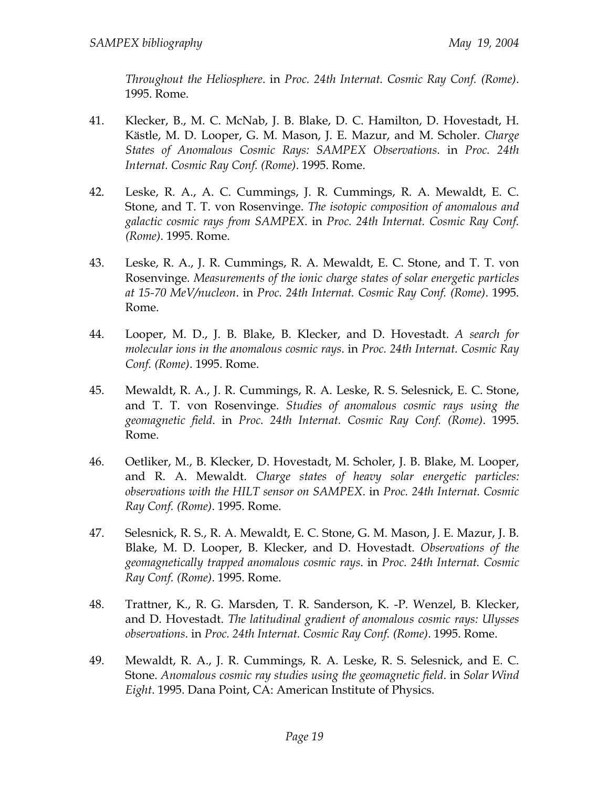*Throughout the Heliosphere*. in *Proc. 24th Internat. Cosmic Ray Conf. (Rome)*. 1995. Rome.

- 41. Klecker, B., M. C. McNab, J. B. Blake, D. C. Hamilton, D. Hovestadt, H. Kästle, M. D. Looper, G. M. Mason, J. E. Mazur, and M. Scholer. *Charge States of Anomalous Cosmic Rays: SAMPEX Observations*. in *Proc. 24th Internat. Cosmic Ray Conf. (Rome)*. 1995. Rome.
- 42. Leske, R. A., A. C. Cummings, J. R. Cummings, R. A. Mewaldt, E. C. Stone, and T. T. von Rosenvinge. *The isotopic composition of anomalous and galactic cosmic rays from SAMPEX*. in *Proc. 24th Internat. Cosmic Ray Conf. (Rome)*. 1995. Rome.
- 43. Leske, R. A., J. R. Cummings, R. A. Mewaldt, E. C. Stone, and T. T. von Rosenvinge. *Measurements of the ionic charge states of solar energetic particles at 15-70 MeV/nucleon*. in *Proc. 24th Internat. Cosmic Ray Conf. (Rome)*. 1995. Rome.
- 44. Looper, M. D., J. B. Blake, B. Klecker, and D. Hovestadt. *A search for molecular ions in the anomalous cosmic rays*. in *Proc. 24th Internat. Cosmic Ray Conf. (Rome)*. 1995. Rome.
- 45. Mewaldt, R. A., J. R. Cummings, R. A. Leske, R. S. Selesnick, E. C. Stone, and T. T. von Rosenvinge. *Studies of anomalous cosmic rays using the geomagnetic field*. in *Proc. 24th Internat. Cosmic Ray Conf. (Rome)*. 1995. Rome.
- 46. Oetliker, M., B. Klecker, D. Hovestadt, M. Scholer, J. B. Blake, M. Looper, and R. A. Mewaldt. *Charge states of heavy solar energetic particles: observations with the HILT sensor on SAMPEX*. in *Proc. 24th Internat. Cosmic Ray Conf. (Rome)*. 1995. Rome.
- 47. Selesnick, R. S., R. A. Mewaldt, E. C. Stone, G. M. Mason, J. E. Mazur, J. B. Blake, M. D. Looper, B. Klecker, and D. Hovestadt. *Observations of the geomagnetically trapped anomalous cosmic rays*. in *Proc. 24th Internat. Cosmic Ray Conf. (Rome)*. 1995. Rome.
- 48. Trattner, K., R. G. Marsden, T. R. Sanderson, K. -P. Wenzel, B. Klecker, and D. Hovestadt. *The latitudinal gradient of anomalous cosmic rays: Ulysses observations*. in *Proc. 24th Internat. Cosmic Ray Conf. (Rome)*. 1995. Rome.
- 49. Mewaldt, R. A., J. R. Cummings, R. A. Leske, R. S. Selesnick, and E. C. Stone. *Anomalous cosmic ray studies using the geomagnetic field*. in *Solar Wind Eight*. 1995. Dana Point, CA: American Institute of Physics.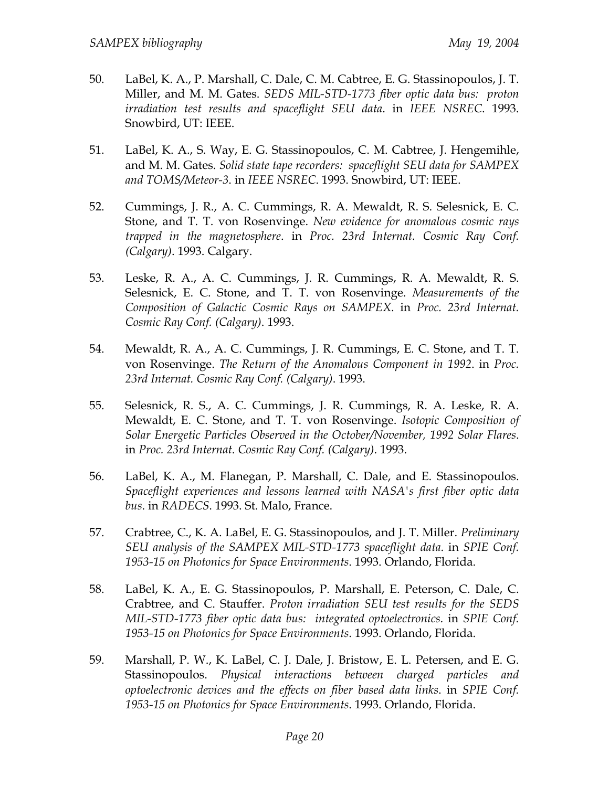- 50. LaBel, K. A., P. Marshall, C. Dale, C. M. Cabtree, E. G. Stassinopoulos, J. T. Miller, and M. M. Gates. *SEDS MIL-STD-1773 fiber optic data bus: proton irradiation test results and spaceflight SEU data*. in *IEEE NSREC*. 1993. Snowbird, UT: IEEE.
- 51. LaBel, K. A., S. Way, E. G. Stassinopoulos, C. M. Cabtree, J. Hengemihle, and M. M. Gates. *Solid state tape recorders: spaceflight SEU data for SAMPEX and TOMS/Meteor-3*. in *IEEE NSREC*. 1993. Snowbird, UT: IEEE.
- 52. Cummings, J. R., A. C. Cummings, R. A. Mewaldt, R. S. Selesnick, E. C. Stone, and T. T. von Rosenvinge. *New evidence for anomalous cosmic rays trapped in the magnetosphere*. in *Proc. 23rd Internat. Cosmic Ray Conf. (Calgary)*. 1993. Calgary.
- 53. Leske, R. A., A. C. Cummings, J. R. Cummings, R. A. Mewaldt, R. S. Selesnick, E. C. Stone, and T. T. von Rosenvinge. *Measurements of the Composition of Galactic Cosmic Rays on SAMPEX*. in *Proc. 23rd Internat. Cosmic Ray Conf. (Calgary)*. 1993.
- 54. Mewaldt, R. A., A. C. Cummings, J. R. Cummings, E. C. Stone, and T. T. von Rosenvinge. *The Return of the Anomalous Component in 1992*. in *Proc. 23rd Internat. Cosmic Ray Conf. (Calgary)*. 1993.
- 55. Selesnick, R. S., A. C. Cummings, J. R. Cummings, R. A. Leske, R. A. Mewaldt, E. C. Stone, and T. T. von Rosenvinge. *Isotopic Composition of Solar Energetic Particles Observed in the October/November, 1992 Solar Flares*. in *Proc. 23rd Internat. Cosmic Ray Conf. (Calgary)*. 1993.
- 56. LaBel, K. A., M. Flanegan, P. Marshall, C. Dale, and E. Stassinopoulos. *Spaceflight experiences and lessons learned with NASA's first fiber optic data bus*. in *RADECS*. 1993. St. Malo, France.
- 57. Crabtree, C., K. A. LaBel, E. G. Stassinopoulos, and J. T. Miller. *Preliminary SEU analysis of the SAMPEX MIL-STD-1773 spaceflight data*. in *SPIE Conf. 1953-15 on Photonics for Space Environments*. 1993. Orlando, Florida.
- 58. LaBel, K. A., E. G. Stassinopoulos, P. Marshall, E. Peterson, C. Dale, C. Crabtree, and C. Stauffer. *Proton irradiation SEU test results for the SEDS MIL-STD-1773 fiber optic data bus: integrated optoelectronics*. in *SPIE Conf. 1953-15 on Photonics for Space Environments*. 1993. Orlando, Florida.
- 59. Marshall, P. W., K. LaBel, C. J. Dale, J. Bristow, E. L. Petersen, and E. G. Stassinopoulos. *Physical interactions between charged particles and optoelectronic devices and the effects on fiber based data links*. in *SPIE Conf. 1953-15 on Photonics for Space Environments*. 1993. Orlando, Florida.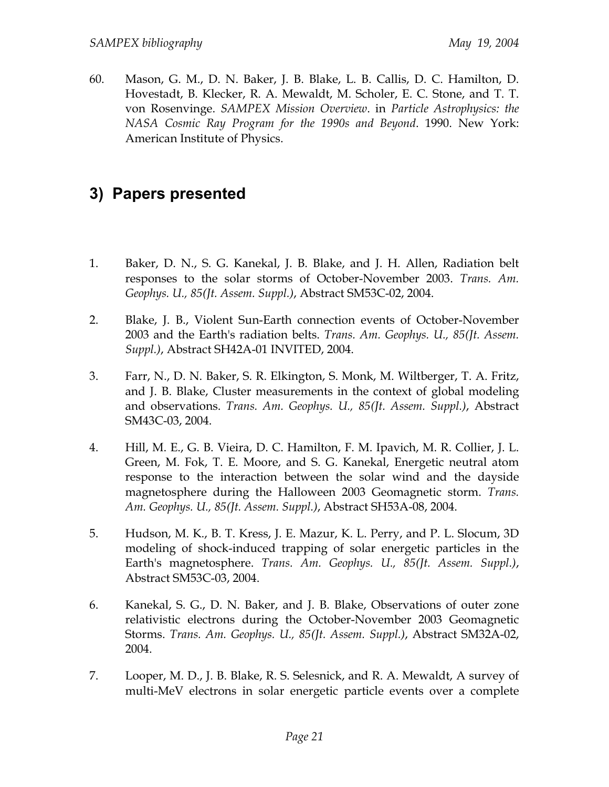60. Mason, G. M., D. N. Baker, J. B. Blake, L. B. Callis, D. C. Hamilton, D. Hovestadt, B. Klecker, R. A. Mewaldt, M. Scholer, E. C. Stone, and T. T. von Rosenvinge. *SAMPEX Mission Overview*. in *Particle Astrophysics: the NASA Cosmic Ray Program for the 1990s and Beyond*. 1990. New York: American Institute of Physics.

## **3) Papers presented**

- 1. Baker, D. N., S. G. Kanekal, J. B. Blake, and J. H. Allen, Radiation belt responses to the solar storms of October-November 2003. *Trans. Am. Geophys. U., 85(Jt. Assem. Suppl.)*, Abstract SM53C-02, 2004.
- 2. Blake, J. B., Violent Sun-Earth connection events of October-November 2003 and the Earth's radiation belts. *Trans. Am. Geophys. U., 85(Jt. Assem. Suppl.)*, Abstract SH42A-01 INVITED, 2004.
- 3. Farr, N., D. N. Baker, S. R. Elkington, S. Monk, M. Wiltberger, T. A. Fritz, and J. B. Blake, Cluster measurements in the context of global modeling and observations. *Trans. Am. Geophys. U., 85(Jt. Assem. Suppl.)*, Abstract SM43C-03, 2004.
- 4. Hill, M. E., G. B. Vieira, D. C. Hamilton, F. M. Ipavich, M. R. Collier, J. L. Green, M. Fok, T. E. Moore, and S. G. Kanekal, Energetic neutral atom response to the interaction between the solar wind and the dayside magnetosphere during the Halloween 2003 Geomagnetic storm. *Trans. Am. Geophys. U., 85(Jt. Assem. Suppl.)*, Abstract SH53A-08, 2004.
- 5. Hudson, M. K., B. T. Kress, J. E. Mazur, K. L. Perry, and P. L. Slocum, 3D modeling of shock-induced trapping of solar energetic particles in the Earth's magnetosphere. *Trans. Am. Geophys. U., 85(Jt. Assem. Suppl.)*, Abstract SM53C-03, 2004.
- 6. Kanekal, S. G., D. N. Baker, and J. B. Blake, Observations of outer zone relativistic electrons during the October-November 2003 Geomagnetic Storms. *Trans. Am. Geophys. U., 85(Jt. Assem. Suppl.)*, Abstract SM32A-02, 2004.
- 7. Looper, M. D., J. B. Blake, R. S. Selesnick, and R. A. Mewaldt, A survey of multi-MeV electrons in solar energetic particle events over a complete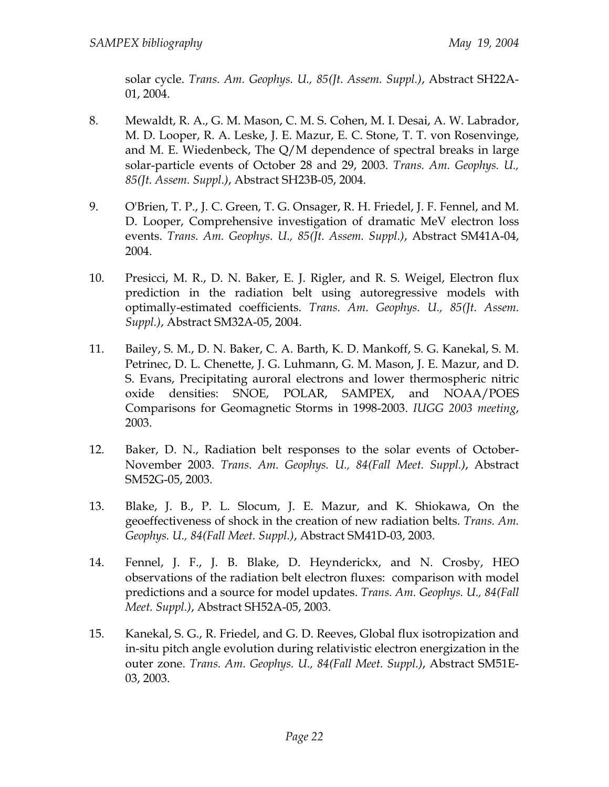solar cycle. *Trans. Am. Geophys. U., 85(Jt. Assem. Suppl.)*, Abstract SH22A-01, 2004.

- 8. Mewaldt, R. A., G. M. Mason, C. M. S. Cohen, M. I. Desai, A. W. Labrador, M. D. Looper, R. A. Leske, J. E. Mazur, E. C. Stone, T. T. von Rosenvinge, and M. E. Wiedenbeck, The Q/M dependence of spectral breaks in large solar-particle events of October 28 and 29, 2003. *Trans. Am. Geophys. U., 85(Jt. Assem. Suppl.)*, Abstract SH23B-05, 2004.
- 9. O'Brien, T. P., J. C. Green, T. G. Onsager, R. H. Friedel, J. F. Fennel, and M. D. Looper, Comprehensive investigation of dramatic MeV electron loss events. *Trans. Am. Geophys. U., 85(Jt. Assem. Suppl.)*, Abstract SM41A-04, 2004.
- 10. Presicci, M. R., D. N. Baker, E. J. Rigler, and R. S. Weigel, Electron flux prediction in the radiation belt using autoregressive models with optimally-estimated coefficients. *Trans. Am. Geophys. U., 85(Jt. Assem. Suppl.)*, Abstract SM32A-05, 2004.
- 11. Bailey, S. M., D. N. Baker, C. A. Barth, K. D. Mankoff, S. G. Kanekal, S. M. Petrinec, D. L. Chenette, J. G. Luhmann, G. M. Mason, J. E. Mazur, and D. S. Evans, Precipitating auroral electrons and lower thermospheric nitric oxide densities: SNOE, POLAR, SAMPEX, and NOAA/POES Comparisons for Geomagnetic Storms in 1998-2003. *IUGG 2003 meeting*, 2003.
- 12. Baker, D. N., Radiation belt responses to the solar events of October-November 2003. *Trans. Am. Geophys. U., 84(Fall Meet. Suppl.)*, Abstract SM52G-05, 2003.
- 13. Blake, J. B., P. L. Slocum, J. E. Mazur, and K. Shiokawa, On the geoeffectiveness of shock in the creation of new radiation belts. *Trans. Am. Geophys. U., 84(Fall Meet. Suppl.)*, Abstract SM41D-03, 2003.
- 14. Fennel, J. F., J. B. Blake, D. Heynderickx, and N. Crosby, HEO observations of the radiation belt electron fluxes: comparison with model predictions and a source for model updates. *Trans. Am. Geophys. U., 84(Fall Meet. Suppl.)*, Abstract SH52A-05, 2003.
- 15. Kanekal, S. G., R. Friedel, and G. D. Reeves, Global flux isotropization and in-situ pitch angle evolution during relativistic electron energization in the outer zone. *Trans. Am. Geophys. U., 84(Fall Meet. Suppl.)*, Abstract SM51E-03, 2003.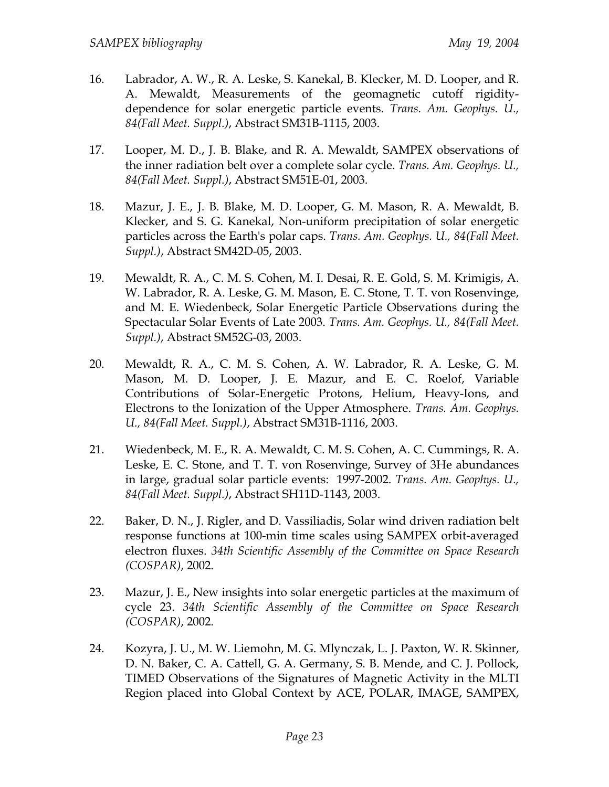- 16. Labrador, A. W., R. A. Leske, S. Kanekal, B. Klecker, M. D. Looper, and R. A. Mewaldt, Measurements of the geomagnetic cutoff rigiditydependence for solar energetic particle events. *Trans. Am. Geophys. U., 84(Fall Meet. Suppl.)*, Abstract SM31B-1115, 2003.
- 17. Looper, M. D., J. B. Blake, and R. A. Mewaldt, SAMPEX observations of the inner radiation belt over a complete solar cycle. *Trans. Am. Geophys. U., 84(Fall Meet. Suppl.)*, Abstract SM51E-01, 2003.
- 18. Mazur, J. E., J. B. Blake, M. D. Looper, G. M. Mason, R. A. Mewaldt, B. Klecker, and S. G. Kanekal, Non-uniform precipitation of solar energetic particles across the Earth's polar caps. *Trans. Am. Geophys. U., 84(Fall Meet. Suppl.)*, Abstract SM42D-05, 2003.
- 19. Mewaldt, R. A., C. M. S. Cohen, M. I. Desai, R. E. Gold, S. M. Krimigis, A. W. Labrador, R. A. Leske, G. M. Mason, E. C. Stone, T. T. von Rosenvinge, and M. E. Wiedenbeck, Solar Energetic Particle Observations during the Spectacular Solar Events of Late 2003. *Trans. Am. Geophys. U., 84(Fall Meet. Suppl.)*, Abstract SM52G-03, 2003.
- 20. Mewaldt, R. A., C. M. S. Cohen, A. W. Labrador, R. A. Leske, G. M. Mason, M. D. Looper, J. E. Mazur, and E. C. Roelof, Variable Contributions of Solar-Energetic Protons, Helium, Heavy-Ions, and Electrons to the Ionization of the Upper Atmosphere. *Trans. Am. Geophys. U., 84(Fall Meet. Suppl.)*, Abstract SM31B-1116, 2003.
- 21. Wiedenbeck, M. E., R. A. Mewaldt, C. M. S. Cohen, A. C. Cummings, R. A. Leske, E. C. Stone, and T. T. von Rosenvinge, Survey of 3He abundances in large, gradual solar particle events: 1997-2002. *Trans. Am. Geophys. U., 84(Fall Meet. Suppl.)*, Abstract SH11D-1143, 2003.
- 22. Baker, D. N., J. Rigler, and D. Vassiliadis, Solar wind driven radiation belt response functions at 100-min time scales using SAMPEX orbit-averaged electron fluxes. *34th Scientific Assembly of the Committee on Space Research (COSPAR)*, 2002.
- 23. Mazur, J. E., New insights into solar energetic particles at the maximum of cycle 23. *34th Scientific Assembly of the Committee on Space Research (COSPAR)*, 2002.
- 24. Kozyra, J. U., M. W. Liemohn, M. G. Mlynczak, L. J. Paxton, W. R. Skinner, D. N. Baker, C. A. Cattell, G. A. Germany, S. B. Mende, and C. J. Pollock, TIMED Observations of the Signatures of Magnetic Activity in the MLTI Region placed into Global Context by ACE, POLAR, IMAGE, SAMPEX,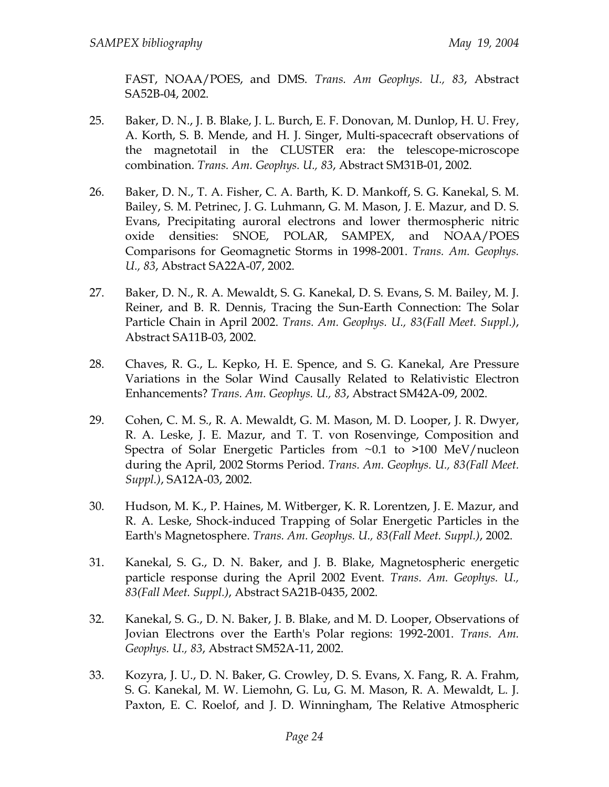FAST, NOAA/POES, and DMS. *Trans. Am Geophys. U., 83*, Abstract SA52B-04, 2002.

- 25. Baker, D. N., J. B. Blake, J. L. Burch, E. F. Donovan, M. Dunlop, H. U. Frey, A. Korth, S. B. Mende, and H. J. Singer, Multi-spacecraft observations of the magnetotail in the CLUSTER era: the telescope-microscope combination. *Trans. Am. Geophys. U., 83*, Abstract SM31B-01, 2002.
- 26. Baker, D. N., T. A. Fisher, C. A. Barth, K. D. Mankoff, S. G. Kanekal, S. M. Bailey, S. M. Petrinec, J. G. Luhmann, G. M. Mason, J. E. Mazur, and D. S. Evans, Precipitating auroral electrons and lower thermospheric nitric oxide densities: SNOE, POLAR, SAMPEX, and NOAA/POES Comparisons for Geomagnetic Storms in 1998-2001. *Trans. Am. Geophys. U., 83*, Abstract SA22A-07, 2002.
- 27. Baker, D. N., R. A. Mewaldt, S. G. Kanekal, D. S. Evans, S. M. Bailey, M. J. Reiner, and B. R. Dennis, Tracing the Sun-Earth Connection: The Solar Particle Chain in April 2002. *Trans. Am. Geophys. U., 83(Fall Meet. Suppl.)*, Abstract SA11B-03, 2002.
- 28. Chaves, R. G., L. Kepko, H. E. Spence, and S. G. Kanekal, Are Pressure Variations in the Solar Wind Causally Related to Relativistic Electron Enhancements? *Trans. Am. Geophys. U., 83*, Abstract SM42A-09, 2002.
- 29. Cohen, C. M. S., R. A. Mewaldt, G. M. Mason, M. D. Looper, J. R. Dwyer, R. A. Leske, J. E. Mazur, and T. T. von Rosenvinge, Composition and Spectra of Solar Energetic Particles from ~0.1 to >100 MeV/nucleon during the April, 2002 Storms Period. *Trans. Am. Geophys. U., 83(Fall Meet. Suppl.)*, SA12A-03, 2002.
- 30. Hudson, M. K., P. Haines, M. Witberger, K. R. Lorentzen, J. E. Mazur, and R. A. Leske, Shock-induced Trapping of Solar Energetic Particles in the Earth's Magnetosphere. *Trans. Am. Geophys. U., 83(Fall Meet. Suppl.)*, 2002.
- 31. Kanekal, S. G., D. N. Baker, and J. B. Blake, Magnetospheric energetic particle response during the April 2002 Event. *Trans. Am. Geophys. U., 83(Fall Meet. Suppl.)*, Abstract SA21B-0435, 2002.
- 32. Kanekal, S. G., D. N. Baker, J. B. Blake, and M. D. Looper, Observations of Jovian Electrons over the Earth's Polar regions: 1992-2001. *Trans. Am. Geophys. U., 83*, Abstract SM52A-11, 2002.
- 33. Kozyra, J. U., D. N. Baker, G. Crowley, D. S. Evans, X. Fang, R. A. Frahm, S. G. Kanekal, M. W. Liemohn, G. Lu, G. M. Mason, R. A. Mewaldt, L. J. Paxton, E. C. Roelof, and J. D. Winningham, The Relative Atmospheric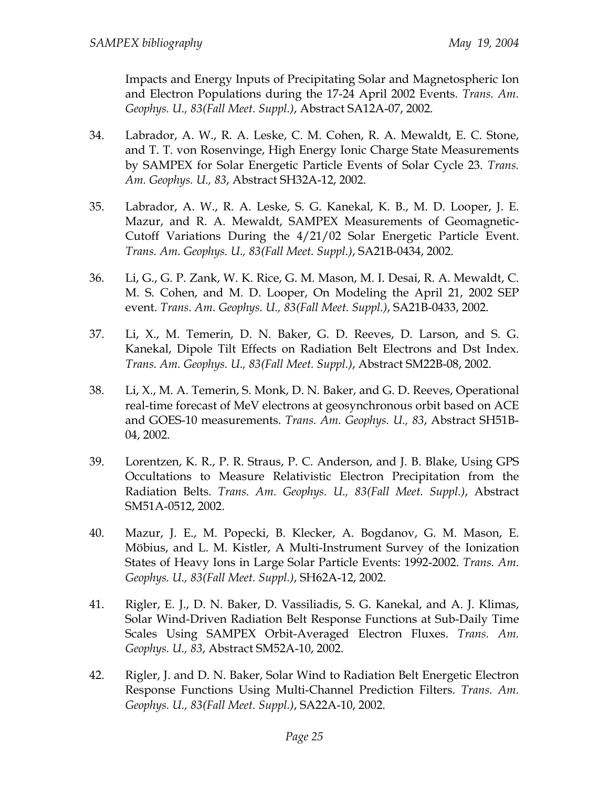Impacts and Energy Inputs of Precipitating Solar and Magnetospheric Ion and Electron Populations during the 17-24 April 2002 Events. *Trans. Am. Geophys. U., 83(Fall Meet. Suppl.)*, Abstract SA12A-07, 2002.

- 34. Labrador, A. W., R. A. Leske, C. M. Cohen, R. A. Mewaldt, E. C. Stone, and T. T. von Rosenvinge, High Energy Ionic Charge State Measurements by SAMPEX for Solar Energetic Particle Events of Solar Cycle 23. *Trans. Am. Geophys. U., 83*, Abstract SH32A-12, 2002.
- 35. Labrador, A. W., R. A. Leske, S. G. Kanekal, K. B., M. D. Looper, J. E. Mazur, and R. A. Mewaldt, SAMPEX Measurements of Geomagnetic-Cutoff Variations During the 4/21/02 Solar Energetic Particle Event. *Trans. Am. Geophys. U., 83(Fall Meet. Suppl.)*, SA21B-0434, 2002.
- 36. Li, G., G. P. Zank, W. K. Rice, G. M. Mason, M. I. Desai, R. A. Mewaldt, C. M. S. Cohen, and M. D. Looper, On Modeling the April 21, 2002 SEP event. *Trans. Am. Geophys. U., 83(Fall Meet. Suppl.)*, SA21B-0433, 2002.
- 37. Li, X., M. Temerin, D. N. Baker, G. D. Reeves, D. Larson, and S. G. Kanekal, Dipole Tilt Effects on Radiation Belt Electrons and Dst Index. *Trans. Am. Geophys. U., 83(Fall Meet. Suppl.)*, Abstract SM22B-08, 2002.
- 38. Li, X., M. A. Temerin, S. Monk, D. N. Baker, and G. D. Reeves, Operational real-time forecast of MeV electrons at geosynchronous orbit based on ACE and GOES-10 measurements. *Trans. Am. Geophys. U., 83*, Abstract SH51B-04, 2002.
- 39. Lorentzen, K. R., P. R. Straus, P. C. Anderson, and J. B. Blake, Using GPS Occultations to Measure Relativistic Electron Precipitation from the Radiation Belts. *Trans. Am. Geophys. U., 83(Fall Meet. Suppl.)*, Abstract SM51A-0512, 2002.
- 40. Mazur, J. E., M. Popecki, B. Klecker, A. Bogdanov, G. M. Mason, E. Möbius, and L. M. Kistler, A Multi-Instrument Survey of the Ionization States of Heavy Ions in Large Solar Particle Events: 1992-2002. *Trans. Am. Geophys. U., 83(Fall Meet. Suppl.)*, SH62A-12, 2002.
- 41. Rigler, E. J., D. N. Baker, D. Vassiliadis, S. G. Kanekal, and A. J. Klimas, Solar Wind-Driven Radiation Belt Response Functions at Sub-Daily Time Scales Using SAMPEX Orbit-Averaged Electron Fluxes. *Trans. Am. Geophys. U., 83*, Abstract SM52A-10, 2002.
- 42. Rigler, J. and D. N. Baker, Solar Wind to Radiation Belt Energetic Electron Response Functions Using Multi-Channel Prediction Filters. *Trans. Am. Geophys. U., 83(Fall Meet. Suppl.)*, SA22A-10, 2002.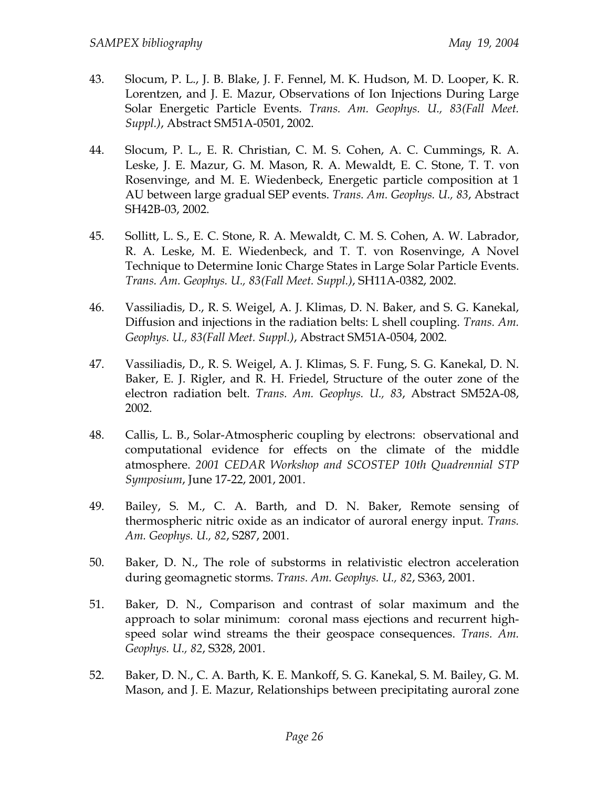- 43. Slocum, P. L., J. B. Blake, J. F. Fennel, M. K. Hudson, M. D. Looper, K. R. Lorentzen, and J. E. Mazur, Observations of Ion Injections During Large Solar Energetic Particle Events. *Trans. Am. Geophys. U., 83(Fall Meet. Suppl.)*, Abstract SM51A-0501, 2002.
- 44. Slocum, P. L., E. R. Christian, C. M. S. Cohen, A. C. Cummings, R. A. Leske, J. E. Mazur, G. M. Mason, R. A. Mewaldt, E. C. Stone, T. T. von Rosenvinge, and M. E. Wiedenbeck, Energetic particle composition at 1 AU between large gradual SEP events. *Trans. Am. Geophys. U., 83*, Abstract SH42B-03, 2002.
- 45. Sollitt, L. S., E. C. Stone, R. A. Mewaldt, C. M. S. Cohen, A. W. Labrador, R. A. Leske, M. E. Wiedenbeck, and T. T. von Rosenvinge, A Novel Technique to Determine Ionic Charge States in Large Solar Particle Events. *Trans. Am. Geophys. U., 83(Fall Meet. Suppl.)*, SH11A-0382, 2002.
- 46. Vassiliadis, D., R. S. Weigel, A. J. Klimas, D. N. Baker, and S. G. Kanekal, Diffusion and injections in the radiation belts: L shell coupling. *Trans. Am. Geophys. U., 83(Fall Meet. Suppl.)*, Abstract SM51A-0504, 2002.
- 47. Vassiliadis, D., R. S. Weigel, A. J. Klimas, S. F. Fung, S. G. Kanekal, D. N. Baker, E. J. Rigler, and R. H. Friedel, Structure of the outer zone of the electron radiation belt. *Trans. Am. Geophys. U., 83*, Abstract SM52A-08, 2002.
- 48. Callis, L. B., Solar-Atmospheric coupling by electrons: observational and computational evidence for effects on the climate of the middle atmosphere. *2001 CEDAR Workshop and SCOSTEP 10th Quadrennial STP Symposium*, June 17-22, 2001, 2001.
- 49. Bailey, S. M., C. A. Barth, and D. N. Baker, Remote sensing of thermospheric nitric oxide as an indicator of auroral energy input. *Trans. Am. Geophys. U., 82*, S287, 2001.
- 50. Baker, D. N., The role of substorms in relativistic electron acceleration during geomagnetic storms. *Trans. Am. Geophys. U., 82*, S363, 2001.
- 51. Baker, D. N., Comparison and contrast of solar maximum and the approach to solar minimum: coronal mass ejections and recurrent highspeed solar wind streams the their geospace consequences. *Trans. Am. Geophys. U., 82*, S328, 2001.
- 52. Baker, D. N., C. A. Barth, K. E. Mankoff, S. G. Kanekal, S. M. Bailey, G. M. Mason, and J. E. Mazur, Relationships between precipitating auroral zone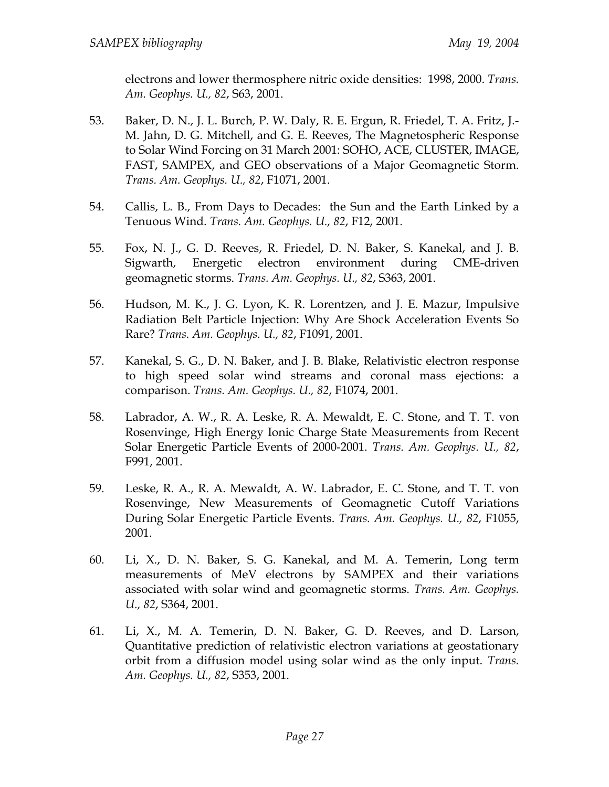electrons and lower thermosphere nitric oxide densities: 1998, 2000. *Trans. Am. Geophys. U., 82*, S63, 2001.

- 53. Baker, D. N., J. L. Burch, P. W. Daly, R. E. Ergun, R. Friedel, T. A. Fritz, J.- M. Jahn, D. G. Mitchell, and G. E. Reeves, The Magnetospheric Response to Solar Wind Forcing on 31 March 2001: SOHO, ACE, CLUSTER, IMAGE, FAST, SAMPEX, and GEO observations of a Major Geomagnetic Storm. *Trans. Am. Geophys. U., 82*, F1071, 2001.
- 54. Callis, L. B., From Days to Decades: the Sun and the Earth Linked by a Tenuous Wind. *Trans. Am. Geophys. U., 82*, F12, 2001.
- 55. Fox, N. J., G. D. Reeves, R. Friedel, D. N. Baker, S. Kanekal, and J. B. Sigwarth, Energetic electron environment during CME-driven geomagnetic storms. *Trans. Am. Geophys. U., 82*, S363, 2001.
- 56. Hudson, M. K., J. G. Lyon, K. R. Lorentzen, and J. E. Mazur, Impulsive Radiation Belt Particle Injection: Why Are Shock Acceleration Events So Rare? *Trans. Am. Geophys. U., 82*, F1091, 2001.
- 57. Kanekal, S. G., D. N. Baker, and J. B. Blake, Relativistic electron response to high speed solar wind streams and coronal mass ejections: a comparison. *Trans. Am. Geophys. U., 82*, F1074, 2001.
- 58. Labrador, A. W., R. A. Leske, R. A. Mewaldt, E. C. Stone, and T. T. von Rosenvinge, High Energy Ionic Charge State Measurements from Recent Solar Energetic Particle Events of 2000-2001. *Trans. Am. Geophys. U., 82*, F991, 2001.
- 59. Leske, R. A., R. A. Mewaldt, A. W. Labrador, E. C. Stone, and T. T. von Rosenvinge, New Measurements of Geomagnetic Cutoff Variations During Solar Energetic Particle Events. *Trans. Am. Geophys. U., 82*, F1055, 2001.
- 60. Li, X., D. N. Baker, S. G. Kanekal, and M. A. Temerin, Long term measurements of MeV electrons by SAMPEX and their variations associated with solar wind and geomagnetic storms. *Trans. Am. Geophys. U., 82*, S364, 2001.
- 61. Li, X., M. A. Temerin, D. N. Baker, G. D. Reeves, and D. Larson, Quantitative prediction of relativistic electron variations at geostationary orbit from a diffusion model using solar wind as the only input. *Trans. Am. Geophys. U., 82*, S353, 2001.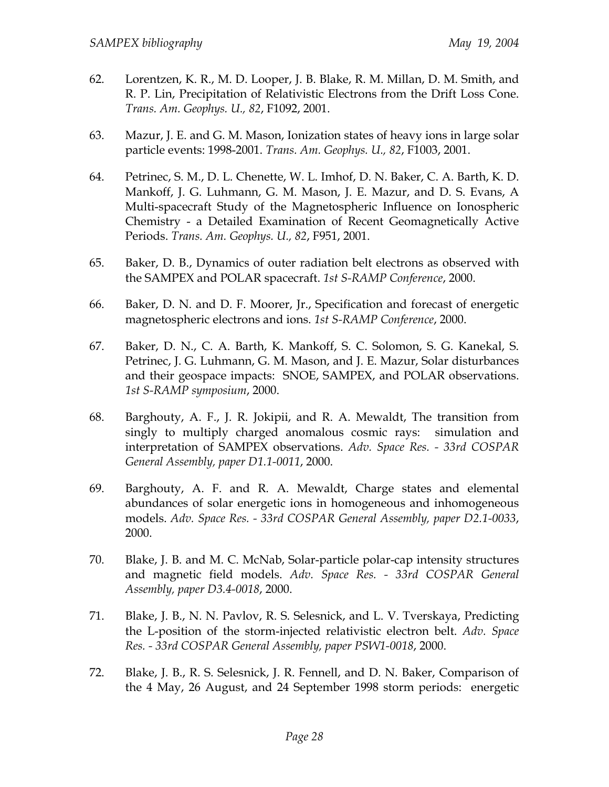- 62. Lorentzen, K. R., M. D. Looper, J. B. Blake, R. M. Millan, D. M. Smith, and R. P. Lin, Precipitation of Relativistic Electrons from the Drift Loss Cone. *Trans. Am. Geophys. U., 82*, F1092, 2001.
- 63. Mazur, J. E. and G. M. Mason, Ionization states of heavy ions in large solar particle events: 1998-2001. *Trans. Am. Geophys. U., 82*, F1003, 2001.
- 64. Petrinec, S. M., D. L. Chenette, W. L. Imhof, D. N. Baker, C. A. Barth, K. D. Mankoff, J. G. Luhmann, G. M. Mason, J. E. Mazur, and D. S. Evans, A Multi-spacecraft Study of the Magnetospheric Influence on Ionospheric Chemistry - a Detailed Examination of Recent Geomagnetically Active Periods. *Trans. Am. Geophys. U., 82*, F951, 2001.
- 65. Baker, D. B., Dynamics of outer radiation belt electrons as observed with the SAMPEX and POLAR spacecraft. *1st S-RAMP Conference*, 2000.
- 66. Baker, D. N. and D. F. Moorer, Jr., Specification and forecast of energetic magnetospheric electrons and ions. *1st S-RAMP Conference*, 2000.
- 67. Baker, D. N., C. A. Barth, K. Mankoff, S. C. Solomon, S. G. Kanekal, S. Petrinec, J. G. Luhmann, G. M. Mason, and J. E. Mazur, Solar disturbances and their geospace impacts: SNOE, SAMPEX, and POLAR observations. *1st S-RAMP symposium*, 2000.
- 68. Barghouty, A. F., J. R. Jokipii, and R. A. Mewaldt, The transition from singly to multiply charged anomalous cosmic rays: simulation and interpretation of SAMPEX observations. *Adv. Space Res. - 33rd COSPAR General Assembly, paper D1.1-0011*, 2000.
- 69. Barghouty, A. F. and R. A. Mewaldt, Charge states and elemental abundances of solar energetic ions in homogeneous and inhomogeneous models. *Adv. Space Res. - 33rd COSPAR General Assembly, paper D2.1-0033*, 2000.
- 70. Blake, J. B. and M. C. McNab, Solar-particle polar-cap intensity structures and magnetic field models. *Adv. Space Res. - 33rd COSPAR General Assembly, paper D3.4-0018*, 2000.
- 71. Blake, J. B., N. N. Pavlov, R. S. Selesnick, and L. V. Tverskaya, Predicting the L-position of the storm-injected relativistic electron belt. *Adv. Space Res. - 33rd COSPAR General Assembly, paper PSW1-0018*, 2000.
- 72. Blake, J. B., R. S. Selesnick, J. R. Fennell, and D. N. Baker, Comparison of the 4 May, 26 August, and 24 September 1998 storm periods: energetic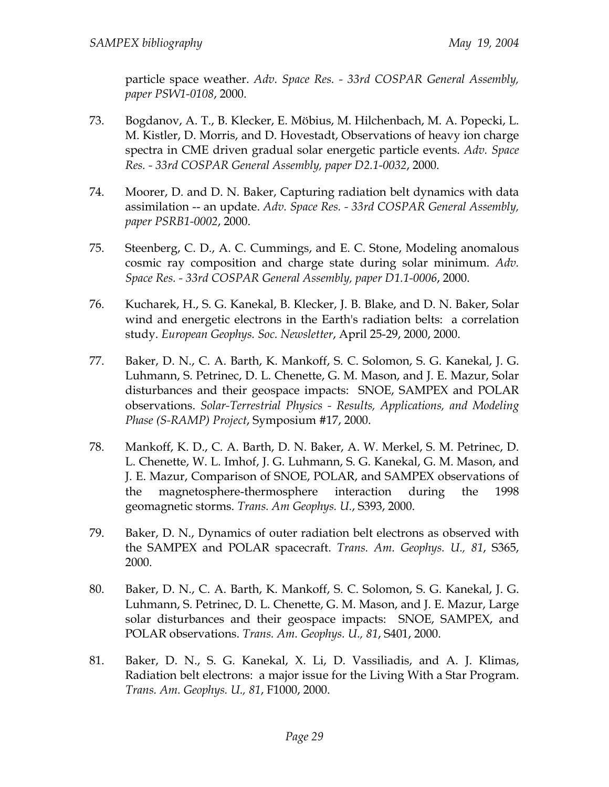particle space weather. *Adv. Space Res. - 33rd COSPAR General Assembly, paper PSW1-0108*, 2000.

- 73. Bogdanov, A. T., B. Klecker, E. Möbius, M. Hilchenbach, M. A. Popecki, L. M. Kistler, D. Morris, and D. Hovestadt, Observations of heavy ion charge spectra in CME driven gradual solar energetic particle events. *Adv. Space Res. - 33rd COSPAR General Assembly, paper D2.1-0032*, 2000.
- 74. Moorer, D. and D. N. Baker, Capturing radiation belt dynamics with data assimilation -- an update. *Adv. Space Res. - 33rd COSPAR General Assembly, paper PSRB1-0002*, 2000.
- 75. Steenberg, C. D., A. C. Cummings, and E. C. Stone, Modeling anomalous cosmic ray composition and charge state during solar minimum. *Adv. Space Res. - 33rd COSPAR General Assembly, paper D1.1-0006*, 2000.
- 76. Kucharek, H., S. G. Kanekal, B. Klecker, J. B. Blake, and D. N. Baker, Solar wind and energetic electrons in the Earth's radiation belts: a correlation study. *European Geophys. Soc. Newsletter*, April 25-29, 2000, 2000.
- 77. Baker, D. N., C. A. Barth, K. Mankoff, S. C. Solomon, S. G. Kanekal, J. G. Luhmann, S. Petrinec, D. L. Chenette, G. M. Mason, and J. E. Mazur, Solar disturbances and their geospace impacts: SNOE, SAMPEX and POLAR observations. *Solar-Terrestrial Physics - Results, Applications, and Modeling Phase (S-RAMP) Project*, Symposium #17, 2000.
- 78. Mankoff, K. D., C. A. Barth, D. N. Baker, A. W. Merkel, S. M. Petrinec, D. L. Chenette, W. L. Imhof, J. G. Luhmann, S. G. Kanekal, G. M. Mason, and J. E. Mazur, Comparison of SNOE, POLAR, and SAMPEX observations of the magnetosphere-thermosphere interaction during the 1998 geomagnetic storms. *Trans. Am Geophys. U.*, S393, 2000.
- 79. Baker, D. N., Dynamics of outer radiation belt electrons as observed with the SAMPEX and POLAR spacecraft. *Trans. Am. Geophys. U., 81*, S365, 2000.
- 80. Baker, D. N., C. A. Barth, K. Mankoff, S. C. Solomon, S. G. Kanekal, J. G. Luhmann, S. Petrinec, D. L. Chenette, G. M. Mason, and J. E. Mazur, Large solar disturbances and their geospace impacts: SNOE, SAMPEX, and POLAR observations. *Trans. Am. Geophys. U., 81*, S401, 2000.
- 81. Baker, D. N., S. G. Kanekal, X. Li, D. Vassiliadis, and A. J. Klimas, Radiation belt electrons: a major issue for the Living With a Star Program. *Trans. Am. Geophys. U., 81*, F1000, 2000.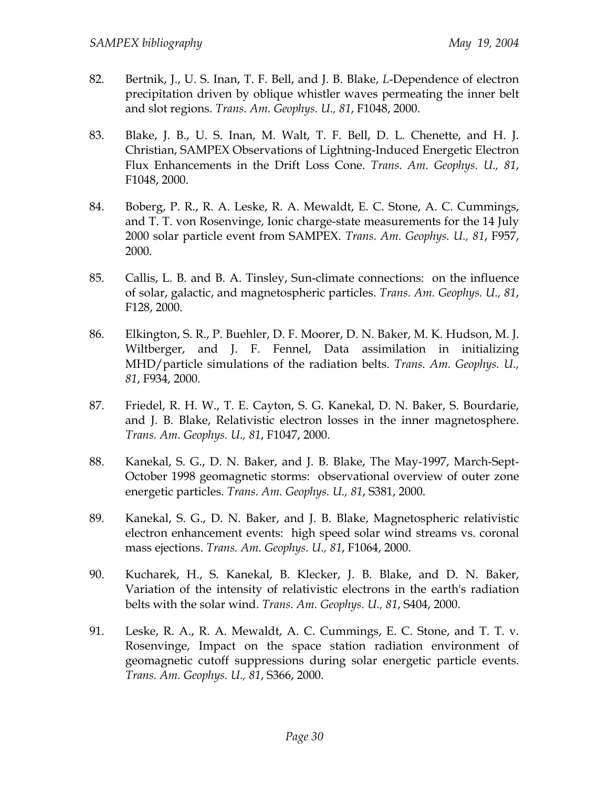- 82. Bertnik, J., U. S. Inan, T. F. Bell, and J. B. Blake, *L*-Dependence of electron precipitation driven by oblique whistler waves permeating the inner belt and slot regions. *Trans. Am. Geophys. U., 81*, F1048, 2000.
- 83. Blake, J. B., U. S. Inan, M. Walt, T. F. Bell, D. L. Chenette, and H. J. Christian, SAMPEX Observations of Lightning-Induced Energetic Electron Flux Enhancements in the Drift Loss Cone. *Trans. Am. Geophys. U., 81*, F1048, 2000.
- 84. Boberg, P. R., R. A. Leske, R. A. Mewaldt, E. C. Stone, A. C. Cummings, and T. T. von Rosenvinge, Ionic charge-state measurements for the 14 July 2000 solar particle event from SAMPEX. *Trans. Am. Geophys. U., 81*, F957, 2000.
- 85. Callis, L. B. and B. A. Tinsley, Sun-climate connections: on the influence of solar, galactic, and magnetospheric particles. *Trans. Am. Geophys. U., 81*, F128, 2000.
- 86. Elkington, S. R., P. Buehler, D. F. Moorer, D. N. Baker, M. K. Hudson, M. J. Wiltberger, and J. F. Fennel, Data assimilation in initializing MHD/particle simulations of the radiation belts. *Trans. Am. Geophys. U., 81*, F934, 2000.
- 87. Friedel, R. H. W., T. E. Cayton, S. G. Kanekal, D. N. Baker, S. Bourdarie, and J. B. Blake, Relativistic electron losses in the inner magnetosphere. *Trans. Am. Geophys. U., 81*, F1047, 2000.
- 88. Kanekal, S. G., D. N. Baker, and J. B. Blake, The May-1997, March-Sept-October 1998 geomagnetic storms: observational overview of outer zone energetic particles. *Trans. Am. Geophys. U., 81*, S381, 2000.
- 89. Kanekal, S. G., D. N. Baker, and J. B. Blake, Magnetospheric relativistic electron enhancement events: high speed solar wind streams vs. coronal mass ejections. *Trans. Am. Geophys. U., 81*, F1064, 2000.
- 90. Kucharek, H., S. Kanekal, B. Klecker, J. B. Blake, and D. N. Baker, Variation of the intensity of relativistic electrons in the earth's radiation belts with the solar wind. *Trans. Am. Geophys. U., 81*, S404, 2000.
- 91. Leske, R. A., R. A. Mewaldt, A. C. Cummings, E. C. Stone, and T. T. v. Rosenvinge, Impact on the space station radiation environment of geomagnetic cutoff suppressions during solar energetic particle events. *Trans. Am. Geophys. U., 81*, S366, 2000.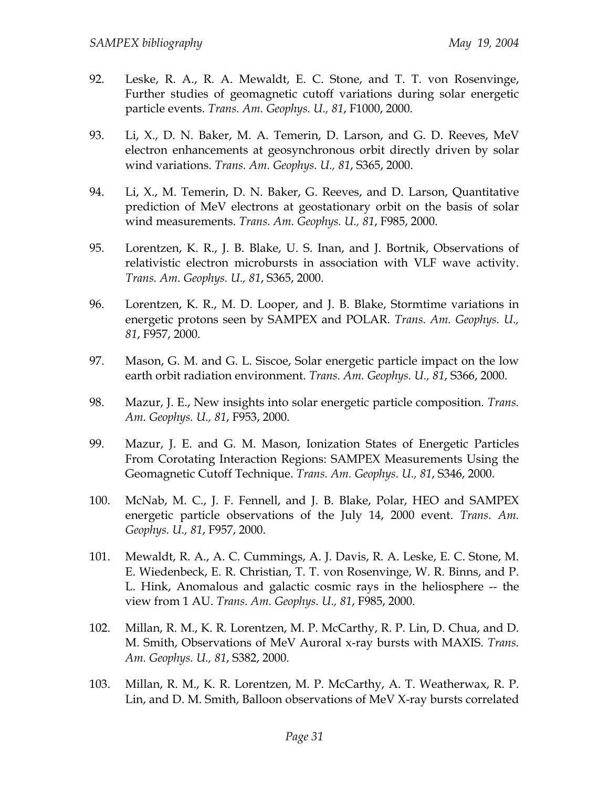- 92. Leske, R. A., R. A. Mewaldt, E. C. Stone, and T. T. von Rosenvinge, Further studies of geomagnetic cutoff variations during solar energetic particle events. *Trans. Am. Geophys. U., 81*, F1000, 2000.
- 93. Li, X., D. N. Baker, M. A. Temerin, D. Larson, and G. D. Reeves, MeV electron enhancements at geosynchronous orbit directly driven by solar wind variations. *Trans. Am. Geophys. U., 81*, S365, 2000.
- 94. Li, X., M. Temerin, D. N. Baker, G. Reeves, and D. Larson, Quantitative prediction of MeV electrons at geostationary orbit on the basis of solar wind measurements. *Trans. Am. Geophys. U., 81*, F985, 2000.
- 95. Lorentzen, K. R., J. B. Blake, U. S. Inan, and J. Bortnik, Observations of relativistic electron microbursts in association with VLF wave activity. *Trans. Am. Geophys. U., 81*, S365, 2000.
- 96. Lorentzen, K. R., M. D. Looper, and J. B. Blake, Stormtime variations in energetic protons seen by SAMPEX and POLAR. *Trans. Am. Geophys. U., 81*, F957, 2000.
- 97. Mason, G. M. and G. L. Siscoe, Solar energetic particle impact on the low earth orbit radiation environment. *Trans. Am. Geophys. U., 81*, S366, 2000.
- 98. Mazur, J. E., New insights into solar energetic particle composition. *Trans. Am. Geophys. U., 81*, F953, 2000.
- 99. Mazur, J. E. and G. M. Mason, Ionization States of Energetic Particles From Corotating Interaction Regions: SAMPEX Measurements Using the Geomagnetic Cutoff Technique. *Trans. Am. Geophys. U., 81*, S346, 2000.
- 100. McNab, M. C., J. F. Fennell, and J. B. Blake, Polar, HEO and SAMPEX energetic particle observations of the July 14, 2000 event. *Trans. Am. Geophys. U., 81*, F957, 2000.
- 101. Mewaldt, R. A., A. C. Cummings, A. J. Davis, R. A. Leske, E. C. Stone, M. E. Wiedenbeck, E. R. Christian, T. T. von Rosenvinge, W. R. Binns, and P. L. Hink, Anomalous and galactic cosmic rays in the heliosphere -- the view from 1 AU. *Trans. Am. Geophys. U., 81*, F985, 2000.
- 102. Millan, R. M., K. R. Lorentzen, M. P. McCarthy, R. P. Lin, D. Chua, and D. M. Smith, Observations of MeV Auroral x-ray bursts with MAXIS. *Trans. Am. Geophys. U., 81*, S382, 2000.
- 103. Millan, R. M., K. R. Lorentzen, M. P. McCarthy, A. T. Weatherwax, R. P. Lin, and D. M. Smith, Balloon observations of MeV X-ray bursts correlated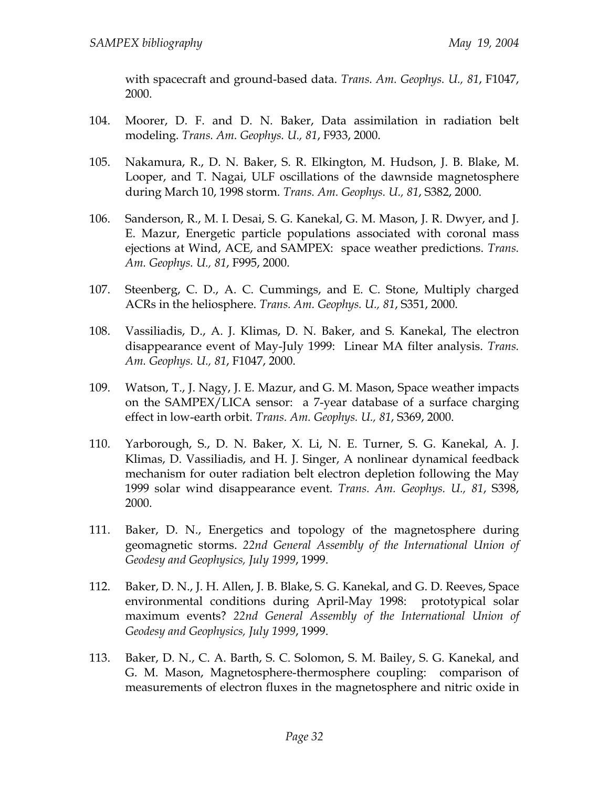with spacecraft and ground-based data. *Trans. Am. Geophys. U., 81*, F1047, 2000.

- 104. Moorer, D. F. and D. N. Baker, Data assimilation in radiation belt modeling. *Trans. Am. Geophys. U., 81*, F933, 2000.
- 105. Nakamura, R., D. N. Baker, S. R. Elkington, M. Hudson, J. B. Blake, M. Looper, and T. Nagai, ULF oscillations of the dawnside magnetosphere during March 10, 1998 storm. *Trans. Am. Geophys. U., 81*, S382, 2000.
- 106. Sanderson, R., M. I. Desai, S. G. Kanekal, G. M. Mason, J. R. Dwyer, and J. E. Mazur, Energetic particle populations associated with coronal mass ejections at Wind, ACE, and SAMPEX: space weather predictions. *Trans. Am. Geophys. U., 81*, F995, 2000.
- 107. Steenberg, C. D., A. C. Cummings, and E. C. Stone, Multiply charged ACRs in the heliosphere. *Trans. Am. Geophys. U., 81*, S351, 2000.
- 108. Vassiliadis, D., A. J. Klimas, D. N. Baker, and S. Kanekal, The electron disappearance event of May-July 1999: Linear MA filter analysis. *Trans. Am. Geophys. U., 81*, F1047, 2000.
- 109. Watson, T., J. Nagy, J. E. Mazur, and G. M. Mason, Space weather impacts on the SAMPEX/LICA sensor: a 7-year database of a surface charging effect in low-earth orbit. *Trans. Am. Geophys. U., 81*, S369, 2000.
- 110. Yarborough, S., D. N. Baker, X. Li, N. E. Turner, S. G. Kanekal, A. J. Klimas, D. Vassiliadis, and H. J. Singer, A nonlinear dynamical feedback mechanism for outer radiation belt electron depletion following the May 1999 solar wind disappearance event. *Trans. Am. Geophys. U., 81*, S398, 2000.
- 111. Baker, D. N., Energetics and topology of the magnetosphere during geomagnetic storms. *22nd General Assembly of the International Union of Geodesy and Geophysics, July 1999*, 1999.
- 112. Baker, D. N., J. H. Allen, J. B. Blake, S. G. Kanekal, and G. D. Reeves, Space environmental conditions during April-May 1998: prototypical solar maximum events? *22nd General Assembly of the International Union of Geodesy and Geophysics, July 1999*, 1999.
- 113. Baker, D. N., C. A. Barth, S. C. Solomon, S. M. Bailey, S. G. Kanekal, and G. M. Mason, Magnetosphere-thermosphere coupling: comparison of measurements of electron fluxes in the magnetosphere and nitric oxide in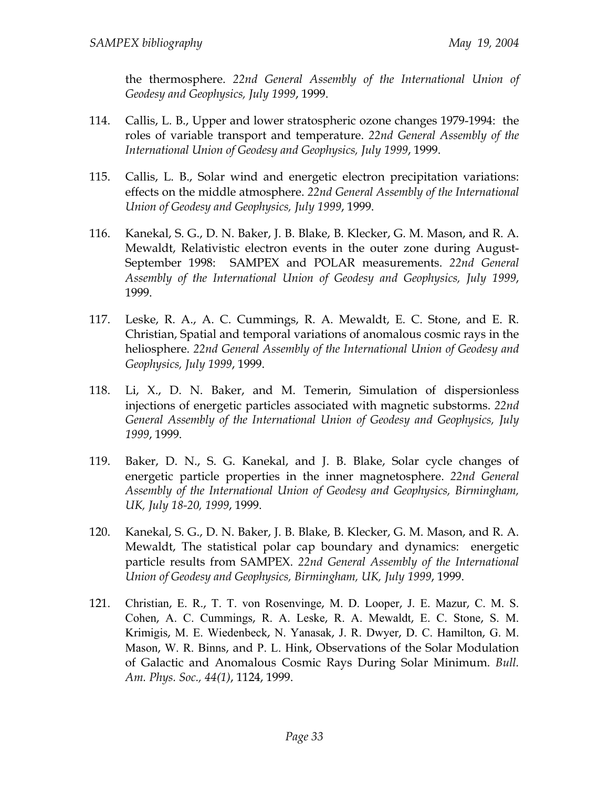the thermosphere. *22nd General Assembly of the International Union of Geodesy and Geophysics, July 1999*, 1999.

- 114. Callis, L. B., Upper and lower stratospheric ozone changes 1979-1994: the roles of variable transport and temperature. *22nd General Assembly of the International Union of Geodesy and Geophysics, July 1999*, 1999.
- 115. Callis, L. B., Solar wind and energetic electron precipitation variations: effects on the middle atmosphere. *22nd General Assembly of the International Union of Geodesy and Geophysics, July 1999*, 1999.
- 116. Kanekal, S. G., D. N. Baker, J. B. Blake, B. Klecker, G. M. Mason, and R. A. Mewaldt, Relativistic electron events in the outer zone during August-September 1998: SAMPEX and POLAR measurements. *22nd General Assembly of the International Union of Geodesy and Geophysics, July 1999*, 1999.
- 117. Leske, R. A., A. C. Cummings, R. A. Mewaldt, E. C. Stone, and E. R. Christian, Spatial and temporal variations of anomalous cosmic rays in the heliosphere. *22nd General Assembly of the International Union of Geodesy and Geophysics, July 1999*, 1999.
- 118. Li, X., D. N. Baker, and M. Temerin, Simulation of dispersionless injections of energetic particles associated with magnetic substorms. *22nd General Assembly of the International Union of Geodesy and Geophysics, July 1999*, 1999.
- 119. Baker, D. N., S. G. Kanekal, and J. B. Blake, Solar cycle changes of energetic particle properties in the inner magnetosphere. *22nd General Assembly of the International Union of Geodesy and Geophysics, Birmingham, UK, July 18-20, 1999*, 1999.
- 120. Kanekal, S. G., D. N. Baker, J. B. Blake, B. Klecker, G. M. Mason, and R. A. Mewaldt, The statistical polar cap boundary and dynamics: energetic particle results from SAMPEX. *22nd General Assembly of the International Union of Geodesy and Geophysics, Birmingham, UK, July 1999*, 1999.
- 121. Christian, E. R., T. T. von Rosenvinge, M. D. Looper, J. E. Mazur, C. M. S. Cohen, A. C. Cummings, R. A. Leske, R. A. Mewaldt, E. C. Stone, S. M. Krimigis, M. E. Wiedenbeck, N. Yanasak, J. R. Dwyer, D. C. Hamilton, G. M. Mason, W. R. Binns, and P. L. Hink, Observations of the Solar Modulation of Galactic and Anomalous Cosmic Rays During Solar Minimum. *Bull. Am. Phys. Soc., 44(1)*, 1124, 1999.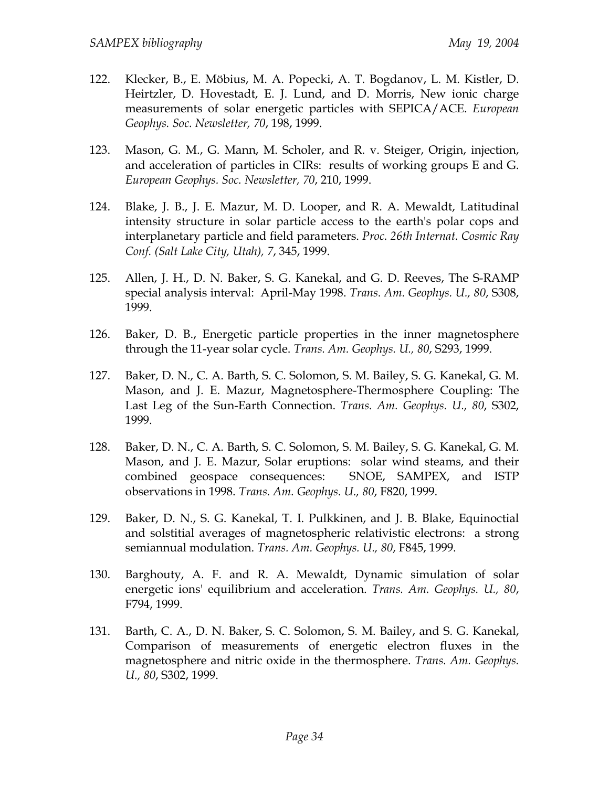- 122. Klecker, B., E. Möbius, M. A. Popecki, A. T. Bogdanov, L. M. Kistler, D. Heirtzler, D. Hovestadt, E. J. Lund, and D. Morris, New ionic charge measurements of solar energetic particles with SEPICA/ACE. *European Geophys. Soc. Newsletter, 70*, 198, 1999.
- 123. Mason, G. M., G. Mann, M. Scholer, and R. v. Steiger, Origin, injection, and acceleration of particles in CIRs: results of working groups E and G. *European Geophys. Soc. Newsletter, 70*, 210, 1999.
- 124. Blake, J. B., J. E. Mazur, M. D. Looper, and R. A. Mewaldt, Latitudinal intensity structure in solar particle access to the earth's polar cops and interplanetary particle and field parameters. *Proc. 26th Internat. Cosmic Ray Conf. (Salt Lake City, Utah), 7*, 345, 1999.
- 125. Allen, J. H., D. N. Baker, S. G. Kanekal, and G. D. Reeves, The S-RAMP special analysis interval: April-May 1998. *Trans. Am. Geophys. U., 80*, S308, 1999.
- 126. Baker, D. B., Energetic particle properties in the inner magnetosphere through the 11-year solar cycle. *Trans. Am. Geophys. U., 80*, S293, 1999.
- 127. Baker, D. N., C. A. Barth, S. C. Solomon, S. M. Bailey, S. G. Kanekal, G. M. Mason, and J. E. Mazur, Magnetosphere-Thermosphere Coupling: The Last Leg of the Sun-Earth Connection. *Trans. Am. Geophys. U., 80*, S302, 1999.
- 128. Baker, D. N., C. A. Barth, S. C. Solomon, S. M. Bailey, S. G. Kanekal, G. M. Mason, and J. E. Mazur, Solar eruptions: solar wind steams, and their combined geospace consequences: SNOE, SAMPEX, and ISTP observations in 1998. *Trans. Am. Geophys. U., 80*, F820, 1999.
- 129. Baker, D. N., S. G. Kanekal, T. I. Pulkkinen, and J. B. Blake, Equinoctial and solstitial averages of magnetospheric relativistic electrons: a strong semiannual modulation. *Trans. Am. Geophys. U., 80*, F845, 1999.
- 130. Barghouty, A. F. and R. A. Mewaldt, Dynamic simulation of solar energetic ions' equilibrium and acceleration. *Trans. Am. Geophys. U., 80*, F794, 1999.
- 131. Barth, C. A., D. N. Baker, S. C. Solomon, S. M. Bailey, and S. G. Kanekal, Comparison of measurements of energetic electron fluxes in the magnetosphere and nitric oxide in the thermosphere. *Trans. Am. Geophys. U., 80*, S302, 1999.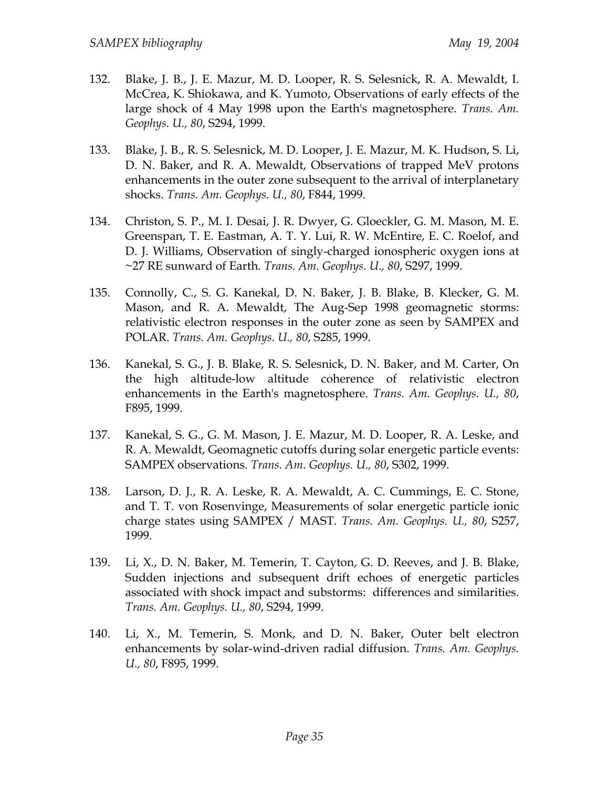- 132. Blake, J. B., J. E. Mazur, M. D. Looper, R. S. Selesnick, R. A. Mewaldt, I. McCrea, K. Shiokawa, and K. Yumoto, Observations of early effects of the large shock of 4 May 1998 upon the Earth's magnetosphere. *Trans. Am. Geophys. U., 80*, S294, 1999.
- 133. Blake, J. B., R. S. Selesnick, M. D. Looper, J. E. Mazur, M. K. Hudson, S. Li, D. N. Baker, and R. A. Mewaldt, Observations of trapped MeV protons enhancements in the outer zone subsequent to the arrival of interplanetary shocks. *Trans. Am. Geophys. U., 80*, F844, 1999.
- 134. Christon, S. P., M. I. Desai, J. R. Dwyer, G. Gloeckler, G. M. Mason, M. E. Greenspan, T. E. Eastman, A. T. Y. Lui, R. W. McEntire, E. C. Roelof, and D. J. Williams, Observation of singly-charged ionospheric oxygen ions at ~27 RE sunward of Earth. *Trans. Am. Geophys. U., 80*, S297, 1999.
- 135. Connolly, C., S. G. Kanekal, D. N. Baker, J. B. Blake, B. Klecker, G. M. Mason, and R. A. Mewaldt, The Aug-Sep 1998 geomagnetic storms: relativistic electron responses in the outer zone as seen by SAMPEX and POLAR. *Trans. Am. Geophys. U., 80*, S285, 1999.
- 136. Kanekal, S. G., J. B. Blake, R. S. Selesnick, D. N. Baker, and M. Carter, On the high altitude-low altitude coherence of relativistic electron enhancements in the Earth's magnetosphere. *Trans. Am. Geophys. U., 80*, F895, 1999.
- 137. Kanekal, S. G., G. M. Mason, J. E. Mazur, M. D. Looper, R. A. Leske, and R. A. Mewaldt, Geomagnetic cutoffs during solar energetic particle events: SAMPEX observations. *Trans. Am. Geophys. U., 80*, S302, 1999.
- 138. Larson, D. J., R. A. Leske, R. A. Mewaldt, A. C. Cummings, E. C. Stone, and T. T. von Rosenvinge, Measurements of solar energetic particle ionic charge states using SAMPEX / MAST. *Trans. Am. Geophys. U., 80*, S257, 1999.
- 139. Li, X., D. N. Baker, M. Temerin, T. Cayton, G. D. Reeves, and J. B. Blake, Sudden injections and subsequent drift echoes of energetic particles associated with shock impact and substorms: differences and similarities. *Trans. Am. Geophys. U., 80*, S294, 1999.
- 140. Li, X., M. Temerin, S. Monk, and D. N. Baker, Outer belt electron enhancements by solar-wind-driven radial diffusion. *Trans. Am. Geophys. U., 80*, F895, 1999.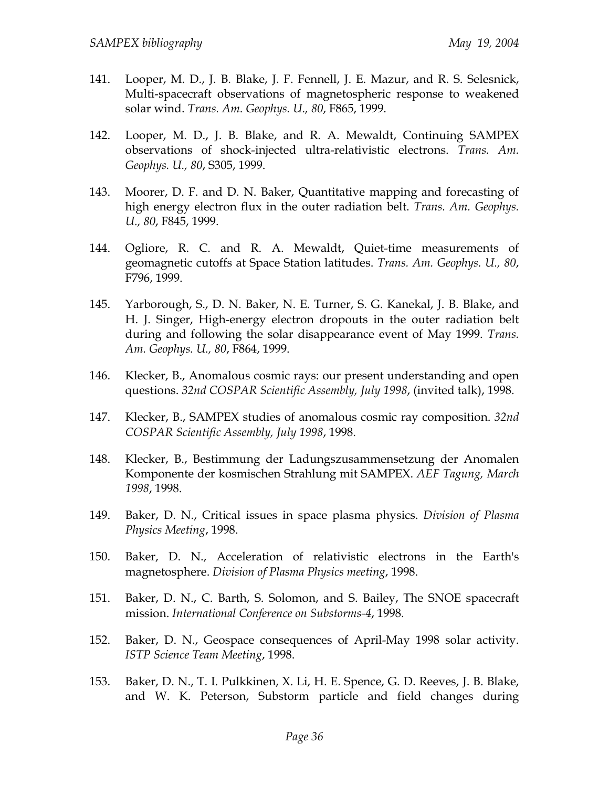- 141. Looper, M. D., J. B. Blake, J. F. Fennell, J. E. Mazur, and R. S. Selesnick, Multi-spacecraft observations of magnetospheric response to weakened solar wind. *Trans. Am. Geophys. U., 80*, F865, 1999.
- 142. Looper, M. D., J. B. Blake, and R. A. Mewaldt, Continuing SAMPEX observations of shock-injected ultra-relativistic electrons. *Trans. Am. Geophys. U., 80*, S305, 1999.
- 143. Moorer, D. F. and D. N. Baker, Quantitative mapping and forecasting of high energy electron flux in the outer radiation belt. *Trans. Am. Geophys. U., 80*, F845, 1999.
- 144. Ogliore, R. C. and R. A. Mewaldt, Quiet-time measurements of geomagnetic cutoffs at Space Station latitudes. *Trans. Am. Geophys. U., 80*, F796, 1999.
- 145. Yarborough, S., D. N. Baker, N. E. Turner, S. G. Kanekal, J. B. Blake, and H. J. Singer, High-energy electron dropouts in the outer radiation belt during and following the solar disappearance event of May 1999. *Trans. Am. Geophys. U., 80*, F864, 1999.
- 146. Klecker, B., Anomalous cosmic rays: our present understanding and open questions. *32nd COSPAR Scientific Assembly, July 1998*, (invited talk), 1998.
- 147. Klecker, B., SAMPEX studies of anomalous cosmic ray composition. *32nd COSPAR Scientific Assembly, July 1998*, 1998.
- 148. Klecker, B., Bestimmung der Ladungszusammensetzung der Anomalen Komponente der kosmischen Strahlung mit SAMPEX. *AEF Tagung, March 1998*, 1998.
- 149. Baker, D. N., Critical issues in space plasma physics. *Division of Plasma Physics Meeting*, 1998.
- 150. Baker, D. N., Acceleration of relativistic electrons in the Earth's magnetosphere. *Division of Plasma Physics meeting*, 1998.
- 151. Baker, D. N., C. Barth, S. Solomon, and S. Bailey, The SNOE spacecraft mission. *International Conference on Substorms-4*, 1998.
- 152. Baker, D. N., Geospace consequences of April-May 1998 solar activity. *ISTP Science Team Meeting*, 1998.
- 153. Baker, D. N., T. I. Pulkkinen, X. Li, H. E. Spence, G. D. Reeves, J. B. Blake, and W. K. Peterson, Substorm particle and field changes during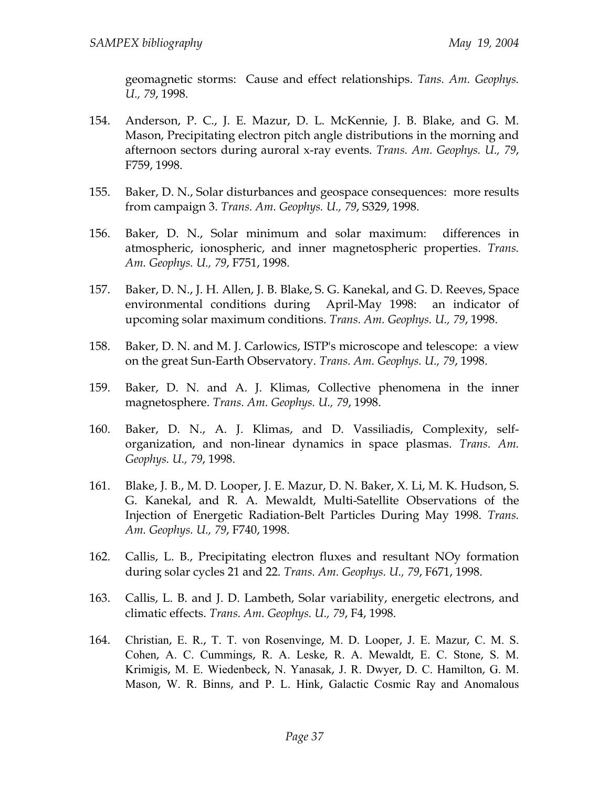geomagnetic storms: Cause and effect relationships. *Tans. Am. Geophys. U., 79*, 1998.

- 154. Anderson, P. C., J. E. Mazur, D. L. McKennie, J. B. Blake, and G. M. Mason, Precipitating electron pitch angle distributions in the morning and afternoon sectors during auroral x-ray events. *Trans. Am. Geophys. U., 79*, F759, 1998.
- 155. Baker, D. N., Solar disturbances and geospace consequences: more results from campaign 3. *Trans. Am. Geophys. U., 79*, S329, 1998.
- 156. Baker, D. N., Solar minimum and solar maximum: differences in atmospheric, ionospheric, and inner magnetospheric properties. *Trans. Am. Geophys. U., 79*, F751, 1998.
- 157. Baker, D. N., J. H. Allen, J. B. Blake, S. G. Kanekal, and G. D. Reeves, Space environmental conditions during April-May 1998: an indicator of upcoming solar maximum conditions. *Trans. Am. Geophys. U., 79*, 1998.
- 158. Baker, D. N. and M. J. Carlowics, ISTP's microscope and telescope: a view on the great Sun-Earth Observatory. *Trans. Am. Geophys. U., 79*, 1998.
- 159. Baker, D. N. and A. J. Klimas, Collective phenomena in the inner magnetosphere. *Trans. Am. Geophys. U., 79*, 1998.
- 160. Baker, D. N., A. J. Klimas, and D. Vassiliadis, Complexity, selforganization, and non-linear dynamics in space plasmas. *Trans. Am. Geophys. U., 79*, 1998.
- 161. Blake, J. B., M. D. Looper, J. E. Mazur, D. N. Baker, X. Li, M. K. Hudson, S. G. Kanekal, and R. A. Mewaldt, Multi-Satellite Observations of the Injection of Energetic Radiation-Belt Particles During May 1998. *Trans. Am. Geophys. U., 79*, F740, 1998.
- 162. Callis, L. B., Precipitating electron fluxes and resultant NOy formation during solar cycles 21 and 22. *Trans. Am. Geophys. U., 79*, F671, 1998.
- 163. Callis, L. B. and J. D. Lambeth, Solar variability, energetic electrons, and climatic effects. *Trans. Am. Geophys. U., 79*, F4, 1998.
- 164. Christian, E. R., T. T. von Rosenvinge, M. D. Looper, J. E. Mazur, C. M. S. Cohen, A. C. Cummings, R. A. Leske, R. A. Mewaldt, E. C. Stone, S. M. Krimigis, M. E. Wiedenbeck, N. Yanasak, J. R. Dwyer, D. C. Hamilton, G. M. Mason, W. R. Binns, and P. L. Hink, Galactic Cosmic Ray and Anomalous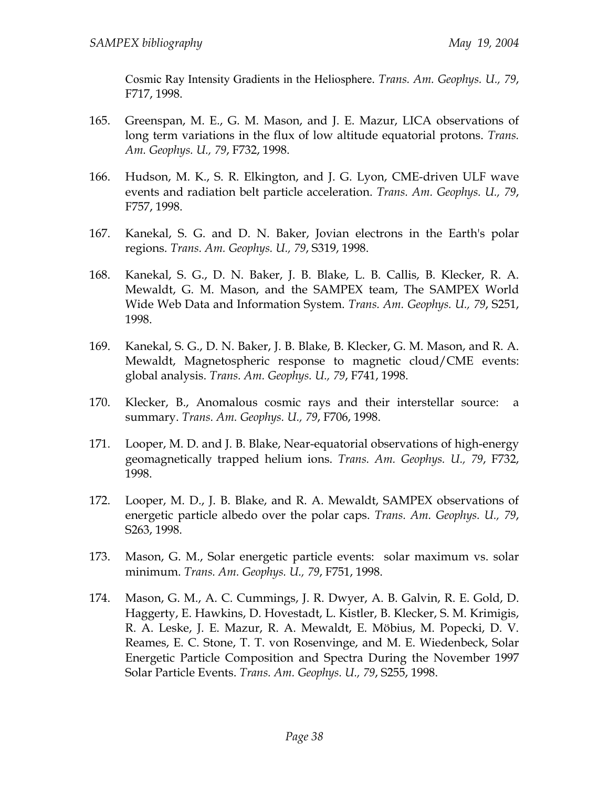Cosmic Ray Intensity Gradients in the Heliosphere. *Trans. Am. Geophys. U., 79*, F717, 1998.

- 165. Greenspan, M. E., G. M. Mason, and J. E. Mazur, LICA observations of long term variations in the flux of low altitude equatorial protons. *Trans. Am. Geophys. U., 79*, F732, 1998.
- 166. Hudson, M. K., S. R. Elkington, and J. G. Lyon, CME-driven ULF wave events and radiation belt particle acceleration. *Trans. Am. Geophys. U., 79*, F757, 1998.
- 167. Kanekal, S. G. and D. N. Baker, Jovian electrons in the Earth's polar regions. *Trans. Am. Geophys. U., 79*, S319, 1998.
- 168. Kanekal, S. G., D. N. Baker, J. B. Blake, L. B. Callis, B. Klecker, R. A. Mewaldt, G. M. Mason, and the SAMPEX team, The SAMPEX World Wide Web Data and Information System. *Trans. Am. Geophys. U., 79*, S251, 1998.
- 169. Kanekal, S. G., D. N. Baker, J. B. Blake, B. Klecker, G. M. Mason, and R. A. Mewaldt, Magnetospheric response to magnetic cloud/CME events: global analysis. *Trans. Am. Geophys. U., 79*, F741, 1998.
- 170. Klecker, B., Anomalous cosmic rays and their interstellar source: a summary. *Trans. Am. Geophys. U., 79*, F706, 1998.
- 171. Looper, M. D. and J. B. Blake, Near-equatorial observations of high-energy geomagnetically trapped helium ions. *Trans. Am. Geophys. U., 79*, F732, 1998.
- 172. Looper, M. D., J. B. Blake, and R. A. Mewaldt, SAMPEX observations of energetic particle albedo over the polar caps. *Trans. Am. Geophys. U., 79*, S263, 1998.
- 173. Mason, G. M., Solar energetic particle events: solar maximum vs. solar minimum. *Trans. Am. Geophys. U., 79*, F751, 1998.
- 174. Mason, G. M., A. C. Cummings, J. R. Dwyer, A. B. Galvin, R. E. Gold, D. Haggerty, E. Hawkins, D. Hovestadt, L. Kistler, B. Klecker, S. M. Krimigis, R. A. Leske, J. E. Mazur, R. A. Mewaldt, E. Möbius, M. Popecki, D. V. Reames, E. C. Stone, T. T. von Rosenvinge, and M. E. Wiedenbeck, Solar Energetic Particle Composition and Spectra During the November 1997 Solar Particle Events. *Trans. Am. Geophys. U., 79*, S255, 1998.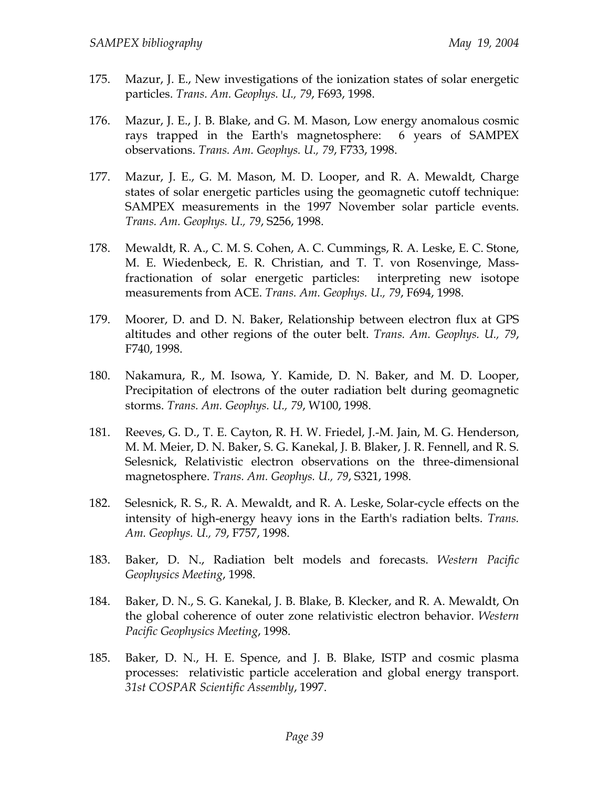- 175. Mazur, J. E., New investigations of the ionization states of solar energetic particles. *Trans. Am. Geophys. U., 79*, F693, 1998.
- 176. Mazur, J. E., J. B. Blake, and G. M. Mason, Low energy anomalous cosmic rays trapped in the Earth's magnetosphere: 6 years of SAMPEX observations. *Trans. Am. Geophys. U., 79*, F733, 1998.
- 177. Mazur, J. E., G. M. Mason, M. D. Looper, and R. A. Mewaldt, Charge states of solar energetic particles using the geomagnetic cutoff technique: SAMPEX measurements in the 1997 November solar particle events. *Trans. Am. Geophys. U., 79*, S256, 1998.
- 178. Mewaldt, R. A., C. M. S. Cohen, A. C. Cummings, R. A. Leske, E. C. Stone, M. E. Wiedenbeck, E. R. Christian, and T. T. von Rosenvinge, Massfractionation of solar energetic particles: interpreting new isotope measurements from ACE. *Trans. Am. Geophys. U., 79*, F694, 1998.
- 179. Moorer, D. and D. N. Baker, Relationship between electron flux at GPS altitudes and other regions of the outer belt. *Trans. Am. Geophys. U., 79*, F740, 1998.
- 180. Nakamura, R., M. Isowa, Y. Kamide, D. N. Baker, and M. D. Looper, Precipitation of electrons of the outer radiation belt during geomagnetic storms. *Trans. Am. Geophys. U., 79*, W100, 1998.
- 181. Reeves, G. D., T. E. Cayton, R. H. W. Friedel, J.-M. Jain, M. G. Henderson, M. M. Meier, D. N. Baker, S. G. Kanekal, J. B. Blaker, J. R. Fennell, and R. S. Selesnick, Relativistic electron observations on the three-dimensional magnetosphere. *Trans. Am. Geophys. U., 79*, S321, 1998.
- 182. Selesnick, R. S., R. A. Mewaldt, and R. A. Leske, Solar-cycle effects on the intensity of high-energy heavy ions in the Earth's radiation belts. *Trans. Am. Geophys. U., 79*, F757, 1998.
- 183. Baker, D. N., Radiation belt models and forecasts. *Western Pacific Geophysics Meeting*, 1998.
- 184. Baker, D. N., S. G. Kanekal, J. B. Blake, B. Klecker, and R. A. Mewaldt, On the global coherence of outer zone relativistic electron behavior. *Western Pacific Geophysics Meeting*, 1998.
- 185. Baker, D. N., H. E. Spence, and J. B. Blake, ISTP and cosmic plasma processes: relativistic particle acceleration and global energy transport. *31st COSPAR Scientific Assembly*, 1997.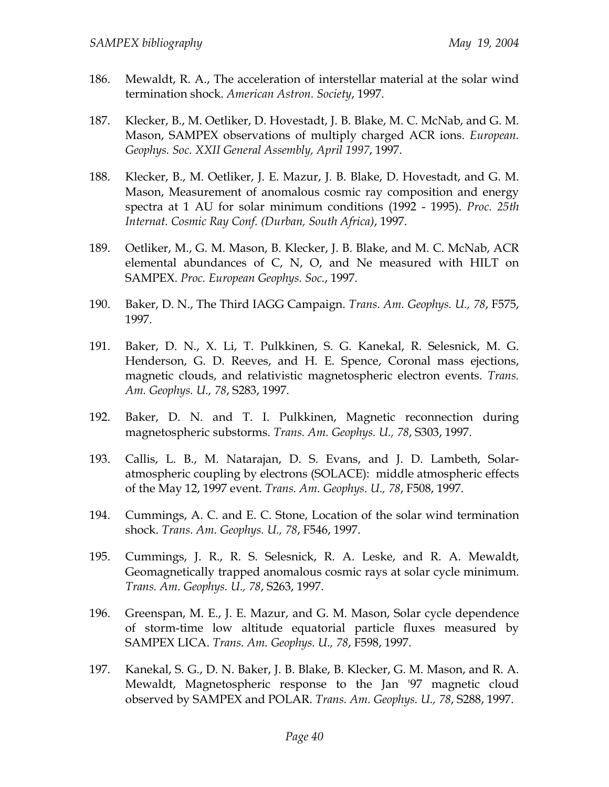- 186. Mewaldt, R. A., The acceleration of interstellar material at the solar wind termination shock. *American Astron. Society*, 1997.
- 187. Klecker, B., M. Oetliker, D. Hovestadt, J. B. Blake, M. C. McNab, and G. M. Mason, SAMPEX observations of multiply charged ACR ions. *European. Geophys. Soc. XXII General Assembly, April 1997*, 1997.
- 188. Klecker, B., M. Oetliker, J. E. Mazur, J. B. Blake, D. Hovestadt, and G. M. Mason, Measurement of anomalous cosmic ray composition and energy spectra at 1 AU for solar minimum conditions (1992 - 1995). *Proc. 25th Internat. Cosmic Ray Conf. (Durban, South Africa)*, 1997.
- 189. Oetliker, M., G. M. Mason, B. Klecker, J. B. Blake, and M. C. McNab, ACR elemental abundances of C, N, O, and Ne measured with HILT on SAMPEX. *Proc. European Geophys. Soc.*, 1997.
- 190. Baker, D. N., The Third IAGG Campaign. *Trans. Am. Geophys. U., 78*, F575, 1997.
- 191. Baker, D. N., X. Li, T. Pulkkinen, S. G. Kanekal, R. Selesnick, M. G. Henderson, G. D. Reeves, and H. E. Spence, Coronal mass ejections, magnetic clouds, and relativistic magnetospheric electron events. *Trans. Am. Geophys. U., 78*, S283, 1997.
- 192. Baker, D. N. and T. I. Pulkkinen, Magnetic reconnection during magnetospheric substorms. *Trans. Am. Geophys. U., 78*, S303, 1997.
- 193. Callis, L. B., M. Natarajan, D. S. Evans, and J. D. Lambeth, Solaratmospheric coupling by electrons (SOLACE): middle atmospheric effects of the May 12, 1997 event. *Trans. Am. Geophys. U., 78*, F508, 1997.
- 194. Cummings, A. C. and E. C. Stone, Location of the solar wind termination shock. *Trans. Am. Geophys. U., 78*, F546, 1997.
- 195. Cummings, J. R., R. S. Selesnick, R. A. Leske, and R. A. Mewaldt, Geomagnetically trapped anomalous cosmic rays at solar cycle minimum. *Trans. Am. Geophys. U., 78*, S263, 1997.
- 196. Greenspan, M. E., J. E. Mazur, and G. M. Mason, Solar cycle dependence of storm-time low altitude equatorial particle fluxes measured by SAMPEX LICA. *Trans. Am. Geophys. U., 78*, F598, 1997.
- 197. Kanekal, S. G., D. N. Baker, J. B. Blake, B. Klecker, G. M. Mason, and R. A. Mewaldt, Magnetospheric response to the Jan '97 magnetic cloud observed by SAMPEX and POLAR. *Trans. Am. Geophys. U., 78*, S288, 1997.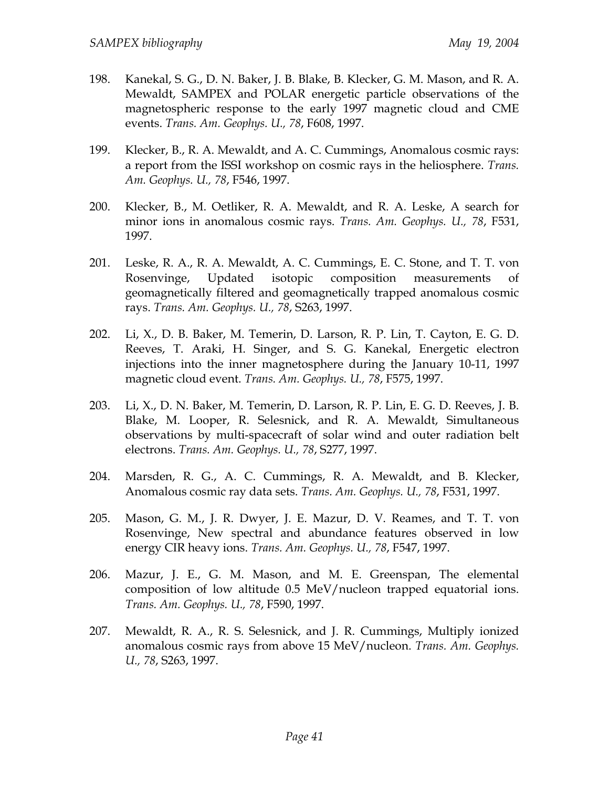- 198. Kanekal, S. G., D. N. Baker, J. B. Blake, B. Klecker, G. M. Mason, and R. A. Mewaldt, SAMPEX and POLAR energetic particle observations of the magnetospheric response to the early 1997 magnetic cloud and CME events. *Trans. Am. Geophys. U., 78*, F608, 1997.
- 199. Klecker, B., R. A. Mewaldt, and A. C. Cummings, Anomalous cosmic rays: a report from the ISSI workshop on cosmic rays in the heliosphere. *Trans. Am. Geophys. U., 78*, F546, 1997.
- 200. Klecker, B., M. Oetliker, R. A. Mewaldt, and R. A. Leske, A search for minor ions in anomalous cosmic rays. *Trans. Am. Geophys. U., 78*, F531, 1997.
- 201. Leske, R. A., R. A. Mewaldt, A. C. Cummings, E. C. Stone, and T. T. von Rosenvinge, Updated isotopic composition measurements of geomagnetically filtered and geomagnetically trapped anomalous cosmic rays. *Trans. Am. Geophys. U., 78*, S263, 1997.
- 202. Li, X., D. B. Baker, M. Temerin, D. Larson, R. P. Lin, T. Cayton, E. G. D. Reeves, T. Araki, H. Singer, and S. G. Kanekal, Energetic electron injections into the inner magnetosphere during the January 10-11, 1997 magnetic cloud event. *Trans. Am. Geophys. U., 78*, F575, 1997.
- 203. Li, X., D. N. Baker, M. Temerin, D. Larson, R. P. Lin, E. G. D. Reeves, J. B. Blake, M. Looper, R. Selesnick, and R. A. Mewaldt, Simultaneous observations by multi-spacecraft of solar wind and outer radiation belt electrons. *Trans. Am. Geophys. U., 78*, S277, 1997.
- 204. Marsden, R. G., A. C. Cummings, R. A. Mewaldt, and B. Klecker, Anomalous cosmic ray data sets. *Trans. Am. Geophys. U., 78*, F531, 1997.
- 205. Mason, G. M., J. R. Dwyer, J. E. Mazur, D. V. Reames, and T. T. von Rosenvinge, New spectral and abundance features observed in low energy CIR heavy ions. *Trans. Am. Geophys. U., 78*, F547, 1997.
- 206. Mazur, J. E., G. M. Mason, and M. E. Greenspan, The elemental composition of low altitude 0.5 MeV/nucleon trapped equatorial ions. *Trans. Am. Geophys. U., 78*, F590, 1997.
- 207. Mewaldt, R. A., R. S. Selesnick, and J. R. Cummings, Multiply ionized anomalous cosmic rays from above 15 MeV/nucleon. *Trans. Am. Geophys. U., 78*, S263, 1997.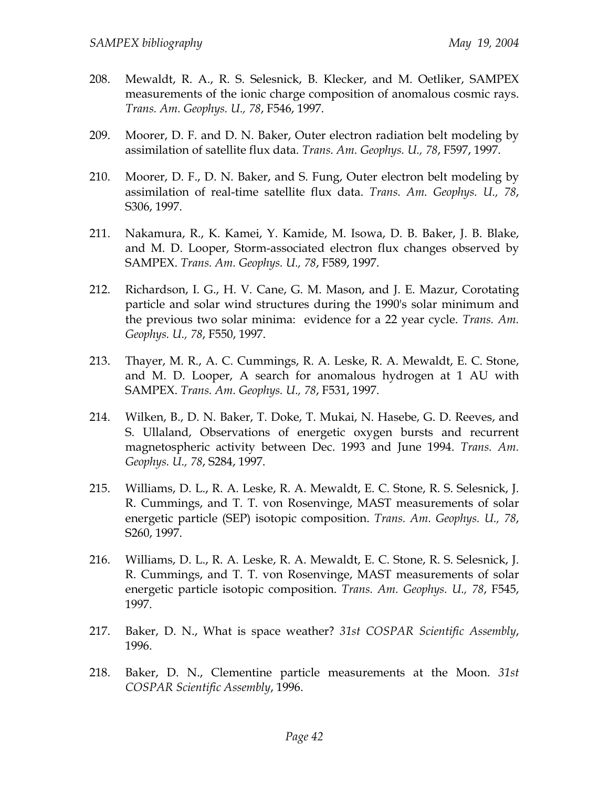- 208. Mewaldt, R. A., R. S. Selesnick, B. Klecker, and M. Oetliker, SAMPEX measurements of the ionic charge composition of anomalous cosmic rays. *Trans. Am. Geophys. U., 78*, F546, 1997.
- 209. Moorer, D. F. and D. N. Baker, Outer electron radiation belt modeling by assimilation of satellite flux data. *Trans. Am. Geophys. U., 78*, F597, 1997.
- 210. Moorer, D. F., D. N. Baker, and S. Fung, Outer electron belt modeling by assimilation of real-time satellite flux data. *Trans. Am. Geophys. U., 78*, S306, 1997.
- 211. Nakamura, R., K. Kamei, Y. Kamide, M. Isowa, D. B. Baker, J. B. Blake, and M. D. Looper, Storm-associated electron flux changes observed by SAMPEX. *Trans. Am. Geophys. U., 78*, F589, 1997.
- 212. Richardson, I. G., H. V. Cane, G. M. Mason, and J. E. Mazur, Corotating particle and solar wind structures during the 1990's solar minimum and the previous two solar minima: evidence for a 22 year cycle. *Trans. Am. Geophys. U., 78*, F550, 1997.
- 213. Thayer, M. R., A. C. Cummings, R. A. Leske, R. A. Mewaldt, E. C. Stone, and M. D. Looper, A search for anomalous hydrogen at 1 AU with SAMPEX. *Trans. Am. Geophys. U., 78*, F531, 1997.
- 214. Wilken, B., D. N. Baker, T. Doke, T. Mukai, N. Hasebe, G. D. Reeves, and S. Ullaland, Observations of energetic oxygen bursts and recurrent magnetospheric activity between Dec. 1993 and June 1994. *Trans. Am. Geophys. U., 78*, S284, 1997.
- 215. Williams, D. L., R. A. Leske, R. A. Mewaldt, E. C. Stone, R. S. Selesnick, J. R. Cummings, and T. T. von Rosenvinge, MAST measurements of solar energetic particle (SEP) isotopic composition. *Trans. Am. Geophys. U., 78*, S260, 1997.
- 216. Williams, D. L., R. A. Leske, R. A. Mewaldt, E. C. Stone, R. S. Selesnick, J. R. Cummings, and T. T. von Rosenvinge, MAST measurements of solar energetic particle isotopic composition. *Trans. Am. Geophys. U., 78*, F545, 1997.
- 217. Baker, D. N., What is space weather? *31st COSPAR Scientific Assembly*, 1996.
- 218. Baker, D. N., Clementine particle measurements at the Moon. *31st COSPAR Scientific Assembly*, 1996.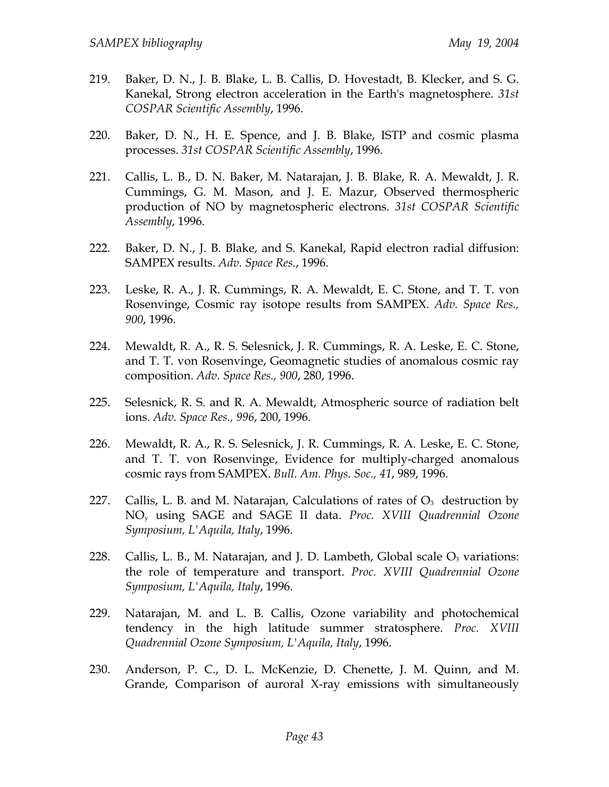- 219. Baker, D. N., J. B. Blake, L. B. Callis, D. Hovestadt, B. Klecker, and S. G. Kanekal, Strong electron acceleration in the Earth's magnetosphere. *31st COSPAR Scientific Assembly*, 1996.
- 220. Baker, D. N., H. E. Spence, and J. B. Blake, ISTP and cosmic plasma processes. *31st COSPAR Scientific Assembly*, 1996.
- 221. Callis, L. B., D. N. Baker, M. Natarajan, J. B. Blake, R. A. Mewaldt, J. R. Cummings, G. M. Mason, and J. E. Mazur, Observed thermospheric production of NO by magnetospheric electrons. *31st COSPAR Scientific Assembly*, 1996.
- 222. Baker, D. N., J. B. Blake, and S. Kanekal, Rapid electron radial diffusion: SAMPEX results. *Adv. Space Res.*, 1996.
- 223. Leske, R. A., J. R. Cummings, R. A. Mewaldt, E. C. Stone, and T. T. von Rosenvinge, Cosmic ray isotope results from SAMPEX. *Adv. Space Res., 900*, 1996.
- 224. Mewaldt, R. A., R. S. Selesnick, J. R. Cummings, R. A. Leske, E. C. Stone, and T. T. von Rosenvinge, Geomagnetic studies of anomalous cosmic ray composition. *Adv. Space Res., 900*, 280, 1996.
- 225. Selesnick, R. S. and R. A. Mewaldt, Atmospheric source of radiation belt ions. *Adv. Space Res., 996*, 200, 1996.
- 226. Mewaldt, R. A., R. S. Selesnick, J. R. Cummings, R. A. Leske, E. C. Stone, and T. T. von Rosenvinge, Evidence for multiply-charged anomalous cosmic rays from SAMPEX. *Bull. Am. Phys. Soc., 41*, 989, 1996.
- 227. Callis, L. B. and M. Natarajan, Calculations of rates of  $O<sub>3</sub>$  destruction by NOy using SAGE and SAGE II data. *Proc. XVIII Quadrennial Ozone Symposium, L'Aquila, Italy*, 1996.
- 228. Callis, L. B., M. Natarajan, and J. D. Lambeth, Global scale  $O_3$  variations: the role of temperature and transport. *Proc. XVIII Quadrennial Ozone Symposium, L'Aquila, Italy*, 1996.
- 229. Natarajan, M. and L. B. Callis, Ozone variability and photochemical tendency in the high latitude summer stratosphere. *Proc. XVIII Quadrennial Ozone Symposium, L'Aquila, Italy*, 1996.
- 230. Anderson, P. C., D. L. McKenzie, D. Chenette, J. M. Quinn, and M. Grande, Comparison of auroral X-ray emissions with simultaneously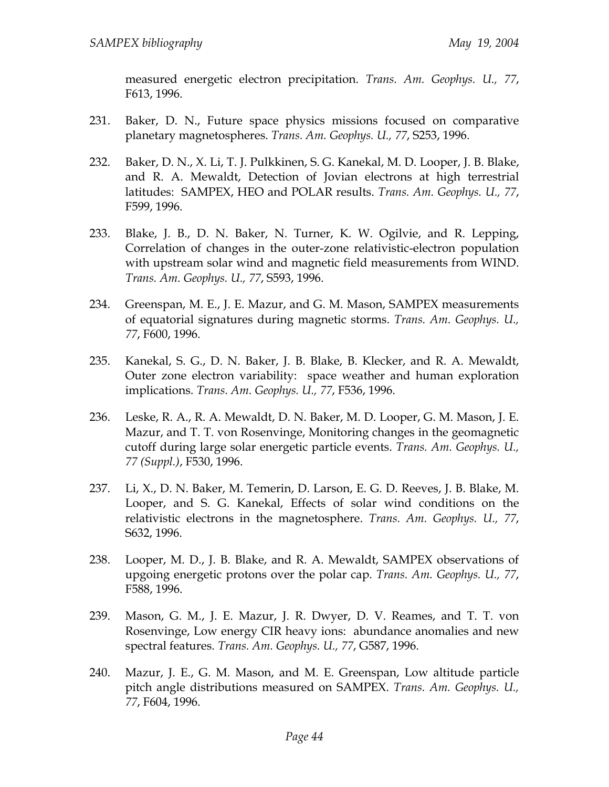measured energetic electron precipitation. *Trans. Am. Geophys. U., 77*, F613, 1996.

- 231. Baker, D. N., Future space physics missions focused on comparative planetary magnetospheres. *Trans. Am. Geophys. U., 77*, S253, 1996.
- 232. Baker, D. N., X. Li, T. J. Pulkkinen, S. G. Kanekal, M. D. Looper, J. B. Blake, and R. A. Mewaldt, Detection of Jovian electrons at high terrestrial latitudes: SAMPEX, HEO and POLAR results. *Trans. Am. Geophys. U., 77*, F599, 1996.
- 233. Blake, J. B., D. N. Baker, N. Turner, K. W. Ogilvie, and R. Lepping, Correlation of changes in the outer-zone relativistic-electron population with upstream solar wind and magnetic field measurements from WIND. *Trans. Am. Geophys. U., 77*, S593, 1996.
- 234. Greenspan, M. E., J. E. Mazur, and G. M. Mason, SAMPEX measurements of equatorial signatures during magnetic storms. *Trans. Am. Geophys. U., 77*, F600, 1996.
- 235. Kanekal, S. G., D. N. Baker, J. B. Blake, B. Klecker, and R. A. Mewaldt, Outer zone electron variability: space weather and human exploration implications. *Trans. Am. Geophys. U., 77*, F536, 1996.
- 236. Leske, R. A., R. A. Mewaldt, D. N. Baker, M. D. Looper, G. M. Mason, J. E. Mazur, and T. T. von Rosenvinge, Monitoring changes in the geomagnetic cutoff during large solar energetic particle events. *Trans. Am. Geophys. U., 77 (Suppl.)*, F530, 1996.
- 237. Li, X., D. N. Baker, M. Temerin, D. Larson, E. G. D. Reeves, J. B. Blake, M. Looper, and S. G. Kanekal, Effects of solar wind conditions on the relativistic electrons in the magnetosphere. *Trans. Am. Geophys. U., 77*, S632, 1996.
- 238. Looper, M. D., J. B. Blake, and R. A. Mewaldt, SAMPEX observations of upgoing energetic protons over the polar cap. *Trans. Am. Geophys. U., 77*, F588, 1996.
- 239. Mason, G. M., J. E. Mazur, J. R. Dwyer, D. V. Reames, and T. T. von Rosenvinge, Low energy CIR heavy ions: abundance anomalies and new spectral features. *Trans. Am. Geophys. U., 77*, G587, 1996.
- 240. Mazur, J. E., G. M. Mason, and M. E. Greenspan, Low altitude particle pitch angle distributions measured on SAMPEX. *Trans. Am. Geophys. U., 77*, F604, 1996.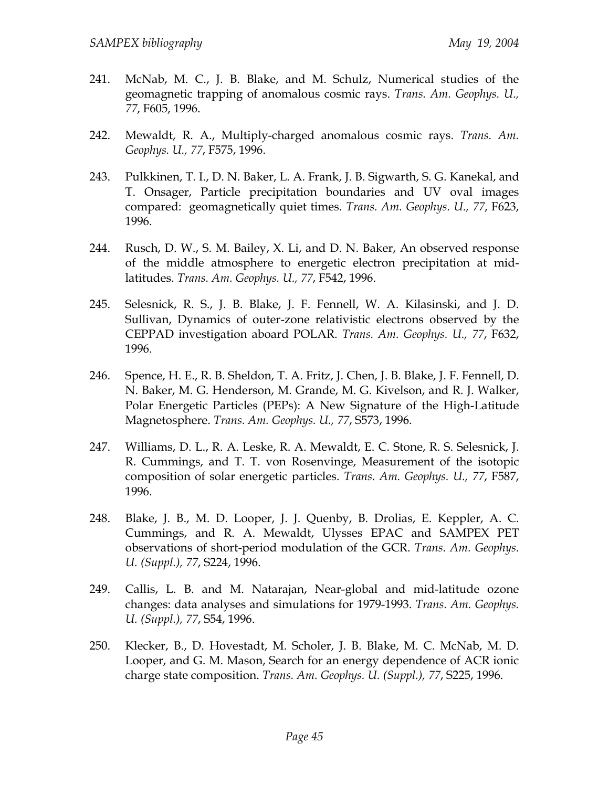- 241. McNab, M. C., J. B. Blake, and M. Schulz, Numerical studies of the geomagnetic trapping of anomalous cosmic rays. *Trans. Am. Geophys. U., 77*, F605, 1996.
- 242. Mewaldt, R. A., Multiply-charged anomalous cosmic rays. *Trans. Am. Geophys. U., 77*, F575, 1996.
- 243. Pulkkinen, T. I., D. N. Baker, L. A. Frank, J. B. Sigwarth, S. G. Kanekal, and T. Onsager, Particle precipitation boundaries and UV oval images compared: geomagnetically quiet times. *Trans. Am. Geophys. U., 77*, F623, 1996.
- 244. Rusch, D. W., S. M. Bailey, X. Li, and D. N. Baker, An observed response of the middle atmosphere to energetic electron precipitation at midlatitudes. *Trans. Am. Geophys. U., 77*, F542, 1996.
- 245. Selesnick, R. S., J. B. Blake, J. F. Fennell, W. A. Kilasinski, and J. D. Sullivan, Dynamics of outer-zone relativistic electrons observed by the CEPPAD investigation aboard POLAR. *Trans. Am. Geophys. U., 77*, F632, 1996.
- 246. Spence, H. E., R. B. Sheldon, T. A. Fritz, J. Chen, J. B. Blake, J. F. Fennell, D. N. Baker, M. G. Henderson, M. Grande, M. G. Kivelson, and R. J. Walker, Polar Energetic Particles (PEPs): A New Signature of the High-Latitude Magnetosphere. *Trans. Am. Geophys. U., 77*, S573, 1996.
- 247. Williams, D. L., R. A. Leske, R. A. Mewaldt, E. C. Stone, R. S. Selesnick, J. R. Cummings, and T. T. von Rosenvinge, Measurement of the isotopic composition of solar energetic particles. *Trans. Am. Geophys. U., 77*, F587, 1996.
- 248. Blake, J. B., M. D. Looper, J. J. Quenby, B. Drolias, E. Keppler, A. C. Cummings, and R. A. Mewaldt, Ulysses EPAC and SAMPEX PET observations of short-period modulation of the GCR. *Trans. Am. Geophys. U. (Suppl.), 77*, S224, 1996.
- 249. Callis, L. B. and M. Natarajan, Near-global and mid-latitude ozone changes: data analyses and simulations for 1979-1993. *Trans. Am. Geophys. U. (Suppl.), 77*, S54, 1996.
- 250. Klecker, B., D. Hovestadt, M. Scholer, J. B. Blake, M. C. McNab, M. D. Looper, and G. M. Mason, Search for an energy dependence of ACR ionic charge state composition. *Trans. Am. Geophys. U. (Suppl.), 77*, S225, 1996.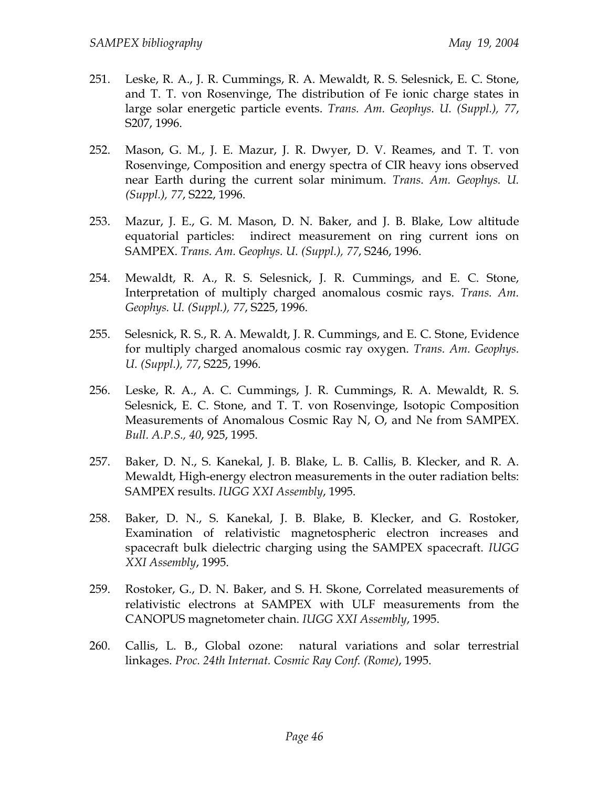- 251. Leske, R. A., J. R. Cummings, R. A. Mewaldt, R. S. Selesnick, E. C. Stone, and T. T. von Rosenvinge, The distribution of Fe ionic charge states in large solar energetic particle events. *Trans. Am. Geophys. U. (Suppl.), 77*, S207, 1996.
- 252. Mason, G. M., J. E. Mazur, J. R. Dwyer, D. V. Reames, and T. T. von Rosenvinge, Composition and energy spectra of CIR heavy ions observed near Earth during the current solar minimum. *Trans. Am. Geophys. U. (Suppl.), 77*, S222, 1996.
- 253. Mazur, J. E., G. M. Mason, D. N. Baker, and J. B. Blake, Low altitude equatorial particles: indirect measurement on ring current ions on SAMPEX. *Trans. Am. Geophys. U. (Suppl.), 77*, S246, 1996.
- 254. Mewaldt, R. A., R. S. Selesnick, J. R. Cummings, and E. C. Stone, Interpretation of multiply charged anomalous cosmic rays. *Trans. Am. Geophys. U. (Suppl.), 77*, S225, 1996.
- 255. Selesnick, R. S., R. A. Mewaldt, J. R. Cummings, and E. C. Stone, Evidence for multiply charged anomalous cosmic ray oxygen. *Trans. Am. Geophys. U. (Suppl.), 77*, S225, 1996.
- 256. Leske, R. A., A. C. Cummings, J. R. Cummings, R. A. Mewaldt, R. S. Selesnick, E. C. Stone, and T. T. von Rosenvinge, Isotopic Composition Measurements of Anomalous Cosmic Ray N, O, and Ne from SAMPEX. *Bull. A.P.S., 40*, 925, 1995.
- 257. Baker, D. N., S. Kanekal, J. B. Blake, L. B. Callis, B. Klecker, and R. A. Mewaldt, High-energy electron measurements in the outer radiation belts: SAMPEX results. *IUGG XXI Assembly*, 1995.
- 258. Baker, D. N., S. Kanekal, J. B. Blake, B. Klecker, and G. Rostoker, Examination of relativistic magnetospheric electron increases and spacecraft bulk dielectric charging using the SAMPEX spacecraft. *IUGG XXI Assembly*, 1995.
- 259. Rostoker, G., D. N. Baker, and S. H. Skone, Correlated measurements of relativistic electrons at SAMPEX with ULF measurements from the CANOPUS magnetometer chain. *IUGG XXI Assembly*, 1995.
- 260. Callis, L. B., Global ozone: natural variations and solar terrestrial linkages. *Proc. 24th Internat. Cosmic Ray Conf. (Rome)*, 1995.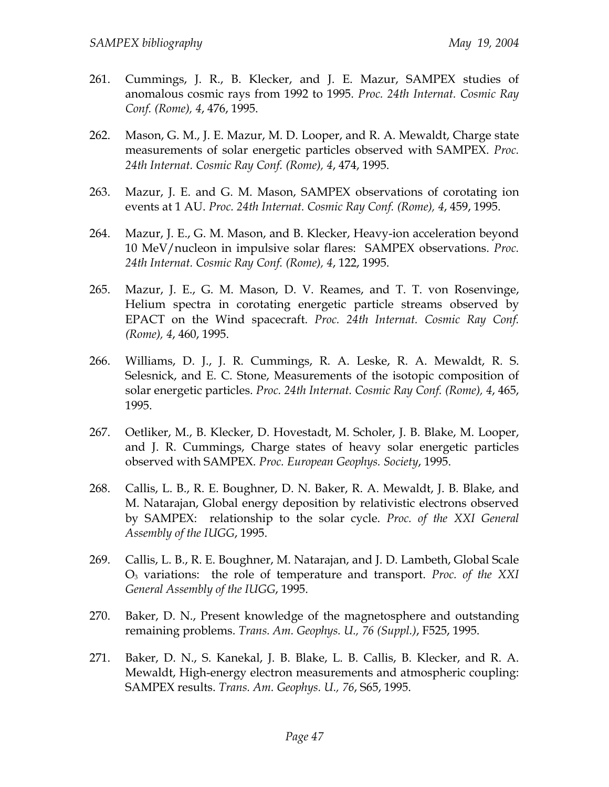- 261. Cummings, J. R., B. Klecker, and J. E. Mazur, SAMPEX studies of anomalous cosmic rays from 1992 to 1995. *Proc. 24th Internat. Cosmic Ray Conf. (Rome), 4*, 476, 1995.
- 262. Mason, G. M., J. E. Mazur, M. D. Looper, and R. A. Mewaldt, Charge state measurements of solar energetic particles observed with SAMPEX. *Proc. 24th Internat. Cosmic Ray Conf. (Rome), 4*, 474, 1995.
- 263. Mazur, J. E. and G. M. Mason, SAMPEX observations of corotating ion events at 1 AU. *Proc. 24th Internat. Cosmic Ray Conf. (Rome), 4*, 459, 1995.
- 264. Mazur, J. E., G. M. Mason, and B. Klecker, Heavy-ion acceleration beyond 10 MeV/nucleon in impulsive solar flares: SAMPEX observations. *Proc. 24th Internat. Cosmic Ray Conf. (Rome), 4*, 122, 1995.
- 265. Mazur, J. E., G. M. Mason, D. V. Reames, and T. T. von Rosenvinge, Helium spectra in corotating energetic particle streams observed by EPACT on the Wind spacecraft. *Proc. 24th Internat. Cosmic Ray Conf. (Rome), 4*, 460, 1995.
- 266. Williams, D. J., J. R. Cummings, R. A. Leske, R. A. Mewaldt, R. S. Selesnick, and E. C. Stone, Measurements of the isotopic composition of solar energetic particles. *Proc. 24th Internat. Cosmic Ray Conf. (Rome), 4*, 465, 1995.
- 267. Oetliker, M., B. Klecker, D. Hovestadt, M. Scholer, J. B. Blake, M. Looper, and J. R. Cummings, Charge states of heavy solar energetic particles observed with SAMPEX. *Proc. European Geophys. Society*, 1995.
- 268. Callis, L. B., R. E. Boughner, D. N. Baker, R. A. Mewaldt, J. B. Blake, and M. Natarajan, Global energy deposition by relativistic electrons observed by SAMPEX: relationship to the solar cycle. *Proc. of the XXI General Assembly of the IUGG*, 1995.
- 269. Callis, L. B., R. E. Boughner, M. Natarajan, and J. D. Lambeth, Global Scale O3 variations: the role of temperature and transport. *Proc. of the XXI General Assembly of the IUGG*, 1995.
- 270. Baker, D. N., Present knowledge of the magnetosphere and outstanding remaining problems. *Trans. Am. Geophys. U., 76 (Suppl.)*, F525, 1995.
- 271. Baker, D. N., S. Kanekal, J. B. Blake, L. B. Callis, B. Klecker, and R. A. Mewaldt, High-energy electron measurements and atmospheric coupling: SAMPEX results. *Trans. Am. Geophys. U., 76*, S65, 1995.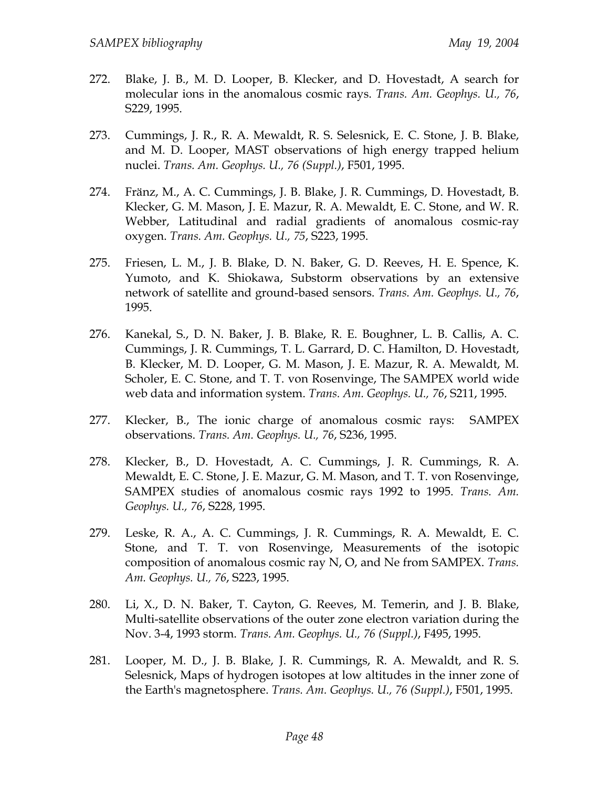- 272. Blake, J. B., M. D. Looper, B. Klecker, and D. Hovestadt, A search for molecular ions in the anomalous cosmic rays. *Trans. Am. Geophys. U., 76*, S229, 1995.
- 273. Cummings, J. R., R. A. Mewaldt, R. S. Selesnick, E. C. Stone, J. B. Blake, and M. D. Looper, MAST observations of high energy trapped helium nuclei. *Trans. Am. Geophys. U., 76 (Suppl.)*, F501, 1995.
- 274. Fränz, M., A. C. Cummings, J. B. Blake, J. R. Cummings, D. Hovestadt, B. Klecker, G. M. Mason, J. E. Mazur, R. A. Mewaldt, E. C. Stone, and W. R. Webber, Latitudinal and radial gradients of anomalous cosmic-ray oxygen. *Trans. Am. Geophys. U., 75*, S223, 1995.
- 275. Friesen, L. M., J. B. Blake, D. N. Baker, G. D. Reeves, H. E. Spence, K. Yumoto, and K. Shiokawa, Substorm observations by an extensive network of satellite and ground-based sensors. *Trans. Am. Geophys. U., 76*, 1995.
- 276. Kanekal, S., D. N. Baker, J. B. Blake, R. E. Boughner, L. B. Callis, A. C. Cummings, J. R. Cummings, T. L. Garrard, D. C. Hamilton, D. Hovestadt, B. Klecker, M. D. Looper, G. M. Mason, J. E. Mazur, R. A. Mewaldt, M. Scholer, E. C. Stone, and T. T. von Rosenvinge, The SAMPEX world wide web data and information system. *Trans. Am. Geophys. U., 76*, S211, 1995.
- 277. Klecker, B., The ionic charge of anomalous cosmic rays: SAMPEX observations. *Trans. Am. Geophys. U., 76*, S236, 1995.
- 278. Klecker, B., D. Hovestadt, A. C. Cummings, J. R. Cummings, R. A. Mewaldt, E. C. Stone, J. E. Mazur, G. M. Mason, and T. T. von Rosenvinge, SAMPEX studies of anomalous cosmic rays 1992 to 1995. *Trans. Am. Geophys. U., 76*, S228, 1995.
- 279. Leske, R. A., A. C. Cummings, J. R. Cummings, R. A. Mewaldt, E. C. Stone, and T. T. von Rosenvinge, Measurements of the isotopic composition of anomalous cosmic ray N, O, and Ne from SAMPEX. *Trans. Am. Geophys. U., 76*, S223, 1995.
- 280. Li, X., D. N. Baker, T. Cayton, G. Reeves, M. Temerin, and J. B. Blake, Multi-satellite observations of the outer zone electron variation during the Nov. 3-4, 1993 storm. *Trans. Am. Geophys. U., 76 (Suppl.)*, F495, 1995.
- 281. Looper, M. D., J. B. Blake, J. R. Cummings, R. A. Mewaldt, and R. S. Selesnick, Maps of hydrogen isotopes at low altitudes in the inner zone of the Earth's magnetosphere. *Trans. Am. Geophys. U., 76 (Suppl.)*, F501, 1995.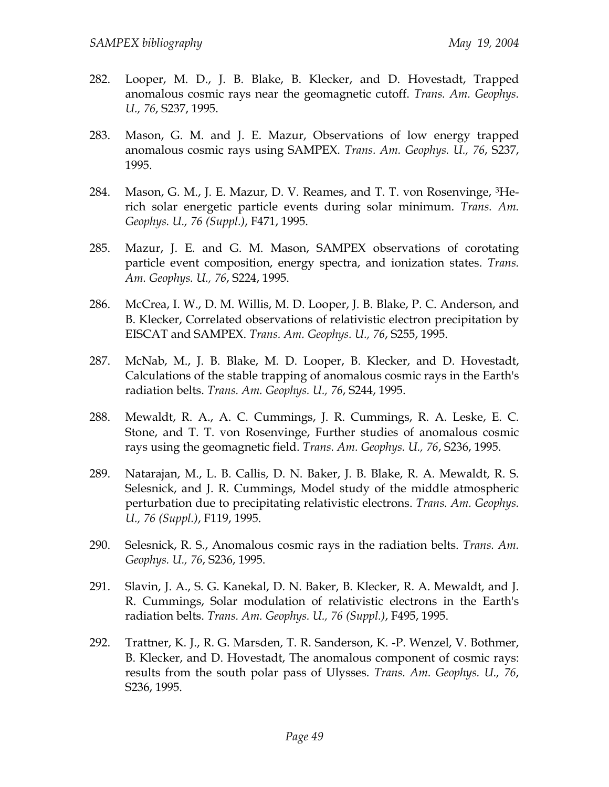- 282. Looper, M. D., J. B. Blake, B. Klecker, and D. Hovestadt, Trapped anomalous cosmic rays near the geomagnetic cutoff. *Trans. Am. Geophys. U., 76*, S237, 1995.
- 283. Mason, G. M. and J. E. Mazur, Observations of low energy trapped anomalous cosmic rays using SAMPEX. *Trans. Am. Geophys. U., 76*, S237, 1995.
- 284. Mason, G. M., J. E. Mazur, D. V. Reames, and T. T. von Rosenvinge, <sup>3</sup>Herich solar energetic particle events during solar minimum. *Trans. Am. Geophys. U., 76 (Suppl.)*, F471, 1995.
- 285. Mazur, J. E. and G. M. Mason, SAMPEX observations of corotating particle event composition, energy spectra, and ionization states. *Trans. Am. Geophys. U., 76*, S224, 1995.
- 286. McCrea, I. W., D. M. Willis, M. D. Looper, J. B. Blake, P. C. Anderson, and B. Klecker, Correlated observations of relativistic electron precipitation by EISCAT and SAMPEX. *Trans. Am. Geophys. U., 76*, S255, 1995.
- 287. McNab, M., J. B. Blake, M. D. Looper, B. Klecker, and D. Hovestadt, Calculations of the stable trapping of anomalous cosmic rays in the Earth's radiation belts. *Trans. Am. Geophys. U., 76*, S244, 1995.
- 288. Mewaldt, R. A., A. C. Cummings, J. R. Cummings, R. A. Leske, E. C. Stone, and T. T. von Rosenvinge, Further studies of anomalous cosmic rays using the geomagnetic field. *Trans. Am. Geophys. U., 76*, S236, 1995.
- 289. Natarajan, M., L. B. Callis, D. N. Baker, J. B. Blake, R. A. Mewaldt, R. S. Selesnick, and J. R. Cummings, Model study of the middle atmospheric perturbation due to precipitating relativistic electrons. *Trans. Am. Geophys. U., 76 (Suppl.)*, F119, 1995.
- 290. Selesnick, R. S., Anomalous cosmic rays in the radiation belts. *Trans. Am. Geophys. U., 76*, S236, 1995.
- 291. Slavin, J. A., S. G. Kanekal, D. N. Baker, B. Klecker, R. A. Mewaldt, and J. R. Cummings, Solar modulation of relativistic electrons in the Earth's radiation belts. *Trans. Am. Geophys. U., 76 (Suppl.)*, F495, 1995.
- 292. Trattner, K. J., R. G. Marsden, T. R. Sanderson, K. -P. Wenzel, V. Bothmer, B. Klecker, and D. Hovestadt, The anomalous component of cosmic rays: results from the south polar pass of Ulysses. *Trans. Am. Geophys. U., 76*, S236, 1995.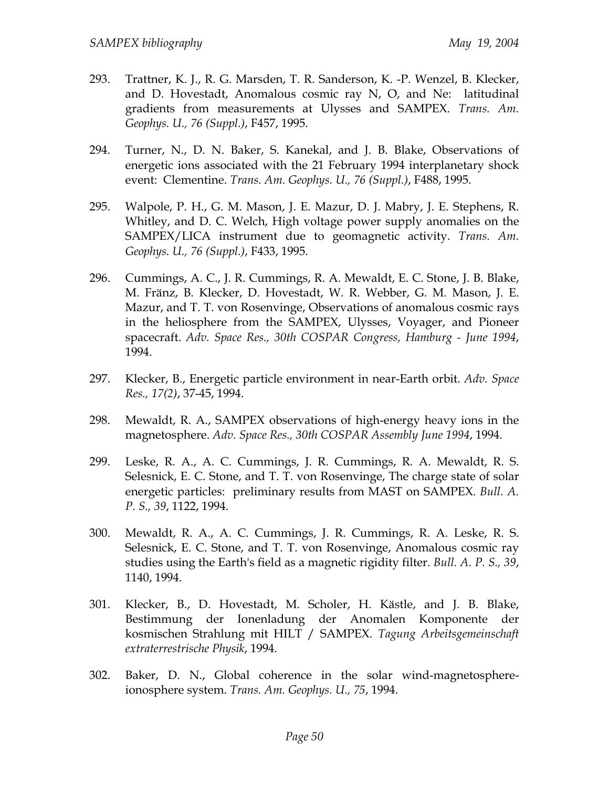- 293. Trattner, K. J., R. G. Marsden, T. R. Sanderson, K. -P. Wenzel, B. Klecker, and D. Hovestadt, Anomalous cosmic ray N, O, and Ne: latitudinal gradients from measurements at Ulysses and SAMPEX. *Trans. Am. Geophys. U., 76 (Suppl.)*, F457, 1995.
- 294. Turner, N., D. N. Baker, S. Kanekal, and J. B. Blake, Observations of energetic ions associated with the 21 February 1994 interplanetary shock event: Clementine. *Trans. Am. Geophys. U., 76 (Suppl.)*, F488, 1995.
- 295. Walpole, P. H., G. M. Mason, J. E. Mazur, D. J. Mabry, J. E. Stephens, R. Whitley, and D. C. Welch, High voltage power supply anomalies on the SAMPEX/LICA instrument due to geomagnetic activity. *Trans. Am. Geophys. U., 76 (Suppl.)*, F433, 1995.
- 296. Cummings, A. C., J. R. Cummings, R. A. Mewaldt, E. C. Stone, J. B. Blake, M. Fränz, B. Klecker, D. Hovestadt, W. R. Webber, G. M. Mason, J. E. Mazur, and T. T. von Rosenvinge, Observations of anomalous cosmic rays in the heliosphere from the SAMPEX, Ulysses, Voyager, and Pioneer spacecraft. *Adv. Space Res., 30th COSPAR Congress, Hamburg - June 1994*, 1994.
- 297. Klecker, B., Energetic particle environment in near-Earth orbit. *Adv. Space Res., 17(2)*, 37-45, 1994.
- 298. Mewaldt, R. A., SAMPEX observations of high-energy heavy ions in the magnetosphere. *Adv. Space Res., 30th COSPAR Assembly June 1994*, 1994.
- 299. Leske, R. A., A. C. Cummings, J. R. Cummings, R. A. Mewaldt, R. S. Selesnick, E. C. Stone, and T. T. von Rosenvinge, The charge state of solar energetic particles: preliminary results from MAST on SAMPEX. *Bull. A. P. S., 39*, 1122, 1994.
- 300. Mewaldt, R. A., A. C. Cummings, J. R. Cummings, R. A. Leske, R. S. Selesnick, E. C. Stone, and T. T. von Rosenvinge, Anomalous cosmic ray studies using the Earth's field as a magnetic rigidity filter. *Bull. A. P. S., 39*, 1140, 1994.
- 301. Klecker, B., D. Hovestadt, M. Scholer, H. Kästle, and J. B. Blake, Bestimmung der Ionenladung der Anomalen Komponente der kosmischen Strahlung mit HILT / SAMPEX. *Tagung Arbeitsgemeinschaft extraterrestrische Physik*, 1994.
- 302. Baker, D. N., Global coherence in the solar wind-magnetosphereionosphere system. *Trans. Am. Geophys. U., 75*, 1994.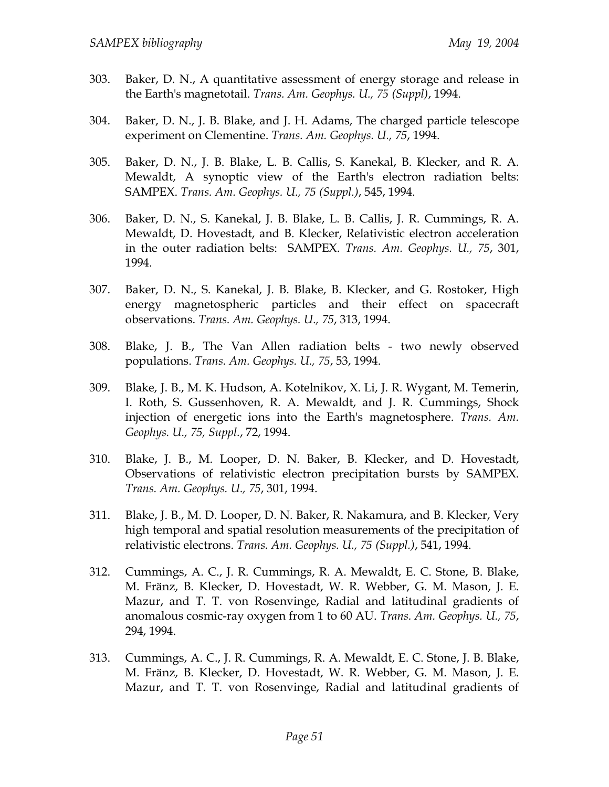- 303. Baker, D. N., A quantitative assessment of energy storage and release in the Earth's magnetotail. *Trans. Am. Geophys. U., 75 (Suppl)*, 1994.
- 304. Baker, D. N., J. B. Blake, and J. H. Adams, The charged particle telescope experiment on Clementine. *Trans. Am. Geophys. U., 75*, 1994.
- 305. Baker, D. N., J. B. Blake, L. B. Callis, S. Kanekal, B. Klecker, and R. A. Mewaldt, A synoptic view of the Earth's electron radiation belts: SAMPEX. *Trans. Am. Geophys. U., 75 (Suppl.)*, 545, 1994.
- 306. Baker, D. N., S. Kanekal, J. B. Blake, L. B. Callis, J. R. Cummings, R. A. Mewaldt, D. Hovestadt, and B. Klecker, Relativistic electron acceleration in the outer radiation belts: SAMPEX. *Trans. Am. Geophys. U., 75*, 301, 1994.
- 307. Baker, D. N., S. Kanekal, J. B. Blake, B. Klecker, and G. Rostoker, High energy magnetospheric particles and their effect on spacecraft observations. *Trans. Am. Geophys. U., 75*, 313, 1994.
- 308. Blake, J. B., The Van Allen radiation belts two newly observed populations. *Trans. Am. Geophys. U., 75*, 53, 1994.
- 309. Blake, J. B., M. K. Hudson, A. Kotelnikov, X. Li, J. R. Wygant, M. Temerin, I. Roth, S. Gussenhoven, R. A. Mewaldt, and J. R. Cummings, Shock injection of energetic ions into the Earth's magnetosphere. *Trans. Am. Geophys. U., 75, Suppl.*, 72, 1994.
- 310. Blake, J. B., M. Looper, D. N. Baker, B. Klecker, and D. Hovestadt, Observations of relativistic electron precipitation bursts by SAMPEX. *Trans. Am. Geophys. U., 75*, 301, 1994.
- 311. Blake, J. B., M. D. Looper, D. N. Baker, R. Nakamura, and B. Klecker, Very high temporal and spatial resolution measurements of the precipitation of relativistic electrons. *Trans. Am. Geophys. U., 75 (Suppl.)*, 541, 1994.
- 312. Cummings, A. C., J. R. Cummings, R. A. Mewaldt, E. C. Stone, B. Blake, M. Fränz, B. Klecker, D. Hovestadt, W. R. Webber, G. M. Mason, J. E. Mazur, and T. T. von Rosenvinge, Radial and latitudinal gradients of anomalous cosmic-ray oxygen from 1 to 60 AU. *Trans. Am. Geophys. U., 75*, 294, 1994.
- 313. Cummings, A. C., J. R. Cummings, R. A. Mewaldt, E. C. Stone, J. B. Blake, M. Fränz, B. Klecker, D. Hovestadt, W. R. Webber, G. M. Mason, J. E. Mazur, and T. T. von Rosenvinge, Radial and latitudinal gradients of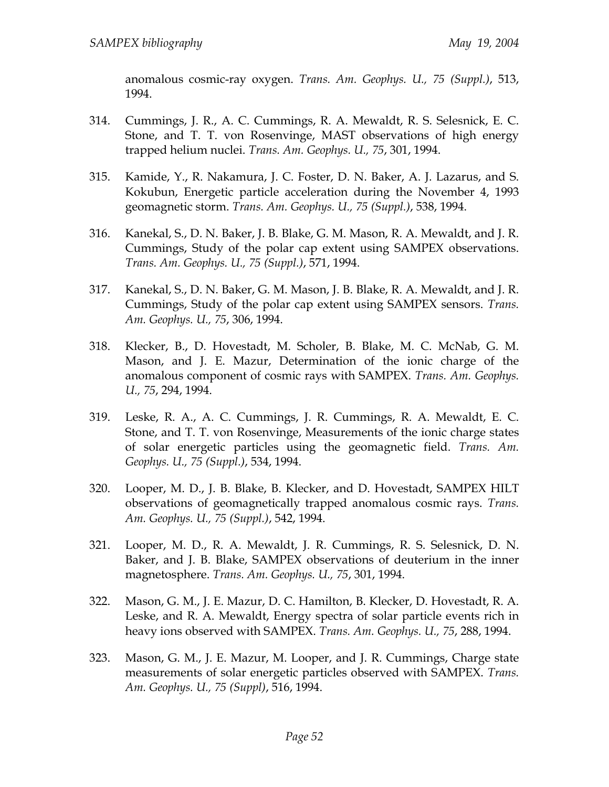anomalous cosmic-ray oxygen. *Trans. Am. Geophys. U., 75 (Suppl.)*, 513, 1994.

- 314. Cummings, J. R., A. C. Cummings, R. A. Mewaldt, R. S. Selesnick, E. C. Stone, and T. T. von Rosenvinge, MAST observations of high energy trapped helium nuclei. *Trans. Am. Geophys. U., 75*, 301, 1994.
- 315. Kamide, Y., R. Nakamura, J. C. Foster, D. N. Baker, A. J. Lazarus, and S. Kokubun, Energetic particle acceleration during the November 4, 1993 geomagnetic storm. *Trans. Am. Geophys. U., 75 (Suppl.)*, 538, 1994.
- 316. Kanekal, S., D. N. Baker, J. B. Blake, G. M. Mason, R. A. Mewaldt, and J. R. Cummings, Study of the polar cap extent using SAMPEX observations. *Trans. Am. Geophys. U., 75 (Suppl.)*, 571, 1994.
- 317. Kanekal, S., D. N. Baker, G. M. Mason, J. B. Blake, R. A. Mewaldt, and J. R. Cummings, Study of the polar cap extent using SAMPEX sensors. *Trans. Am. Geophys. U., 75*, 306, 1994.
- 318. Klecker, B., D. Hovestadt, M. Scholer, B. Blake, M. C. McNab, G. M. Mason, and J. E. Mazur, Determination of the ionic charge of the anomalous component of cosmic rays with SAMPEX. *Trans. Am. Geophys. U., 75*, 294, 1994.
- 319. Leske, R. A., A. C. Cummings, J. R. Cummings, R. A. Mewaldt, E. C. Stone, and T. T. von Rosenvinge, Measurements of the ionic charge states of solar energetic particles using the geomagnetic field. *Trans. Am. Geophys. U., 75 (Suppl.)*, 534, 1994.
- 320. Looper, M. D., J. B. Blake, B. Klecker, and D. Hovestadt, SAMPEX HILT observations of geomagnetically trapped anomalous cosmic rays. *Trans. Am. Geophys. U., 75 (Suppl.)*, 542, 1994.
- 321. Looper, M. D., R. A. Mewaldt, J. R. Cummings, R. S. Selesnick, D. N. Baker, and J. B. Blake, SAMPEX observations of deuterium in the inner magnetosphere. *Trans. Am. Geophys. U., 75*, 301, 1994.
- 322. Mason, G. M., J. E. Mazur, D. C. Hamilton, B. Klecker, D. Hovestadt, R. A. Leske, and R. A. Mewaldt, Energy spectra of solar particle events rich in heavy ions observed with SAMPEX. *Trans. Am. Geophys. U., 75*, 288, 1994.
- 323. Mason, G. M., J. E. Mazur, M. Looper, and J. R. Cummings, Charge state measurements of solar energetic particles observed with SAMPEX. *Trans. Am. Geophys. U., 75 (Suppl)*, 516, 1994.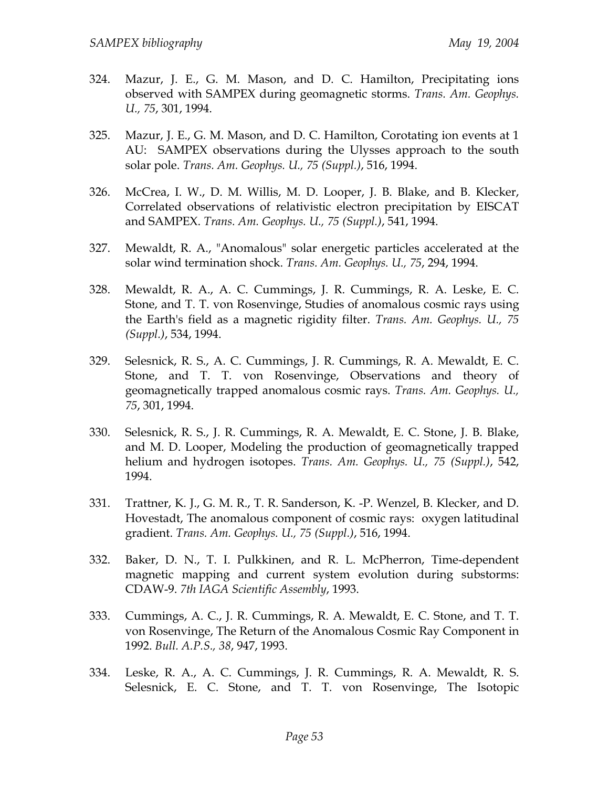- 324. Mazur, J. E., G. M. Mason, and D. C. Hamilton, Precipitating ions observed with SAMPEX during geomagnetic storms. *Trans. Am. Geophys. U., 75*, 301, 1994.
- 325. Mazur, J. E., G. M. Mason, and D. C. Hamilton, Corotating ion events at 1 AU: SAMPEX observations during the Ulysses approach to the south solar pole. *Trans. Am. Geophys. U., 75 (Suppl.)*, 516, 1994.
- 326. McCrea, I. W., D. M. Willis, M. D. Looper, J. B. Blake, and B. Klecker, Correlated observations of relativistic electron precipitation by EISCAT and SAMPEX. *Trans. Am. Geophys. U., 75 (Suppl.)*, 541, 1994.
- 327. Mewaldt, R. A., "Anomalous" solar energetic particles accelerated at the solar wind termination shock. *Trans. Am. Geophys. U., 75*, 294, 1994.
- 328. Mewaldt, R. A., A. C. Cummings, J. R. Cummings, R. A. Leske, E. C. Stone, and T. T. von Rosenvinge, Studies of anomalous cosmic rays using the Earth's field as a magnetic rigidity filter. *Trans. Am. Geophys. U., 75 (Suppl.)*, 534, 1994.
- 329. Selesnick, R. S., A. C. Cummings, J. R. Cummings, R. A. Mewaldt, E. C. Stone, and T. T. von Rosenvinge, Observations and theory of geomagnetically trapped anomalous cosmic rays. *Trans. Am. Geophys. U., 75*, 301, 1994.
- 330. Selesnick, R. S., J. R. Cummings, R. A. Mewaldt, E. C. Stone, J. B. Blake, and M. D. Looper, Modeling the production of geomagnetically trapped helium and hydrogen isotopes. *Trans. Am. Geophys. U., 75 (Suppl.)*, 542, 1994.
- 331. Trattner, K. J., G. M. R., T. R. Sanderson, K. -P. Wenzel, B. Klecker, and D. Hovestadt, The anomalous component of cosmic rays: oxygen latitudinal gradient. *Trans. Am. Geophys. U., 75 (Suppl.)*, 516, 1994.
- 332. Baker, D. N., T. I. Pulkkinen, and R. L. McPherron, Time-dependent magnetic mapping and current system evolution during substorms: CDAW-9. *7th IAGA Scientific Assembly*, 1993.
- 333. Cummings, A. C., J. R. Cummings, R. A. Mewaldt, E. C. Stone, and T. T. von Rosenvinge, The Return of the Anomalous Cosmic Ray Component in 1992. *Bull. A.P.S., 38*, 947, 1993.
- 334. Leske, R. A., A. C. Cummings, J. R. Cummings, R. A. Mewaldt, R. S. Selesnick, E. C. Stone, and T. T. von Rosenvinge, The Isotopic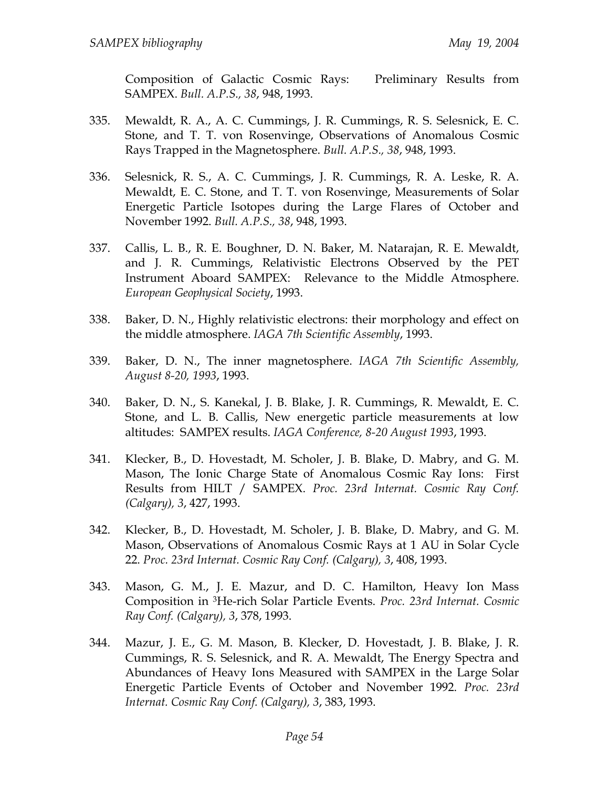Composition of Galactic Cosmic Rays: Preliminary Results from SAMPEX. *Bull. A.P.S., 38*, 948, 1993.

- 335. Mewaldt, R. A., A. C. Cummings, J. R. Cummings, R. S. Selesnick, E. C. Stone, and T. T. von Rosenvinge, Observations of Anomalous Cosmic Rays Trapped in the Magnetosphere. *Bull. A.P.S., 38*, 948, 1993.
- 336. Selesnick, R. S., A. C. Cummings, J. R. Cummings, R. A. Leske, R. A. Mewaldt, E. C. Stone, and T. T. von Rosenvinge, Measurements of Solar Energetic Particle Isotopes during the Large Flares of October and November 1992. *Bull. A.P.S., 38*, 948, 1993.
- 337. Callis, L. B., R. E. Boughner, D. N. Baker, M. Natarajan, R. E. Mewaldt, and J. R. Cummings, Relativistic Electrons Observed by the PET Instrument Aboard SAMPEX: Relevance to the Middle Atmosphere. *European Geophysical Society*, 1993.
- 338. Baker, D. N., Highly relativistic electrons: their morphology and effect on the middle atmosphere. *IAGA 7th Scientific Assembly*, 1993.
- 339. Baker, D. N., The inner magnetosphere. *IAGA 7th Scientific Assembly, August 8-20, 1993*, 1993.
- 340. Baker, D. N., S. Kanekal, J. B. Blake, J. R. Cummings, R. Mewaldt, E. C. Stone, and L. B. Callis, New energetic particle measurements at low altitudes: SAMPEX results. *IAGA Conference, 8-20 August 1993*, 1993.
- 341. Klecker, B., D. Hovestadt, M. Scholer, J. B. Blake, D. Mabry, and G. M. Mason, The Ionic Charge State of Anomalous Cosmic Ray Ions: First Results from HILT / SAMPEX. *Proc. 23rd Internat. Cosmic Ray Conf. (Calgary), 3*, 427, 1993.
- 342. Klecker, B., D. Hovestadt, M. Scholer, J. B. Blake, D. Mabry, and G. M. Mason, Observations of Anomalous Cosmic Rays at 1 AU in Solar Cycle 22. *Proc. 23rd Internat. Cosmic Ray Conf. (Calgary), 3*, 408, 1993.
- 343. Mason, G. M., J. E. Mazur, and D. C. Hamilton, Heavy Ion Mass Composition in 3He-rich Solar Particle Events. *Proc. 23rd Internat. Cosmic Ray Conf. (Calgary), 3*, 378, 1993.
- 344. Mazur, J. E., G. M. Mason, B. Klecker, D. Hovestadt, J. B. Blake, J. R. Cummings, R. S. Selesnick, and R. A. Mewaldt, The Energy Spectra and Abundances of Heavy Ions Measured with SAMPEX in the Large Solar Energetic Particle Events of October and November 1992. *Proc. 23rd Internat. Cosmic Ray Conf. (Calgary), 3*, 383, 1993.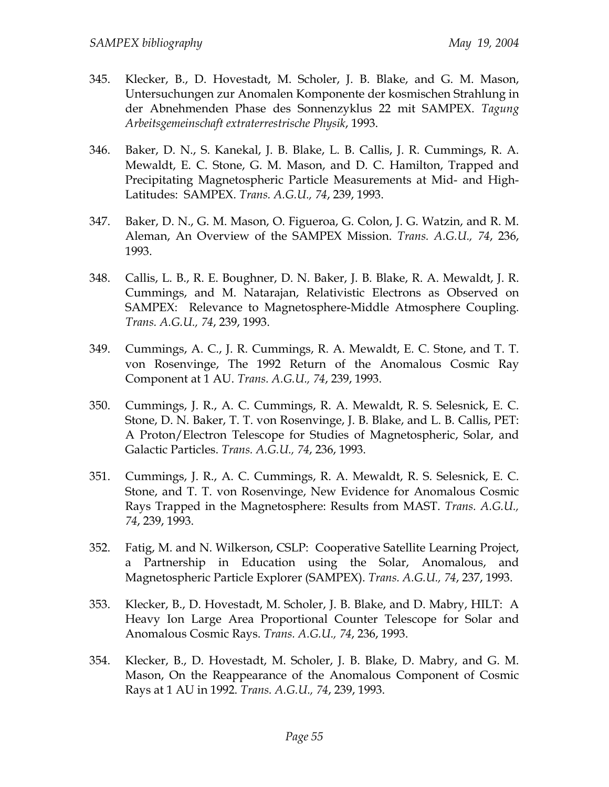- 345. Klecker, B., D. Hovestadt, M. Scholer, J. B. Blake, and G. M. Mason, Untersuchungen zur Anomalen Komponente der kosmischen Strahlung in der Abnehmenden Phase des Sonnenzyklus 22 mit SAMPEX. *Tagung Arbeitsgemeinschaft extraterrestrische Physik*, 1993.
- 346. Baker, D. N., S. Kanekal, J. B. Blake, L. B. Callis, J. R. Cummings, R. A. Mewaldt, E. C. Stone, G. M. Mason, and D. C. Hamilton, Trapped and Precipitating Magnetospheric Particle Measurements at Mid- and High-Latitudes: SAMPEX. *Trans. A.G.U., 74*, 239, 1993.
- 347. Baker, D. N., G. M. Mason, O. Figueroa, G. Colon, J. G. Watzin, and R. M. Aleman, An Overview of the SAMPEX Mission. *Trans. A.G.U., 74*, 236, 1993.
- 348. Callis, L. B., R. E. Boughner, D. N. Baker, J. B. Blake, R. A. Mewaldt, J. R. Cummings, and M. Natarajan, Relativistic Electrons as Observed on SAMPEX: Relevance to Magnetosphere-Middle Atmosphere Coupling. *Trans. A.G.U., 74*, 239, 1993.
- 349. Cummings, A. C., J. R. Cummings, R. A. Mewaldt, E. C. Stone, and T. T. von Rosenvinge, The 1992 Return of the Anomalous Cosmic Ray Component at 1 AU. *Trans. A.G.U., 74*, 239, 1993.
- 350. Cummings, J. R., A. C. Cummings, R. A. Mewaldt, R. S. Selesnick, E. C. Stone, D. N. Baker, T. T. von Rosenvinge, J. B. Blake, and L. B. Callis, PET: A Proton/Electron Telescope for Studies of Magnetospheric, Solar, and Galactic Particles. *Trans. A.G.U., 74*, 236, 1993.
- 351. Cummings, J. R., A. C. Cummings, R. A. Mewaldt, R. S. Selesnick, E. C. Stone, and T. T. von Rosenvinge, New Evidence for Anomalous Cosmic Rays Trapped in the Magnetosphere: Results from MAST. *Trans. A.G.U., 74*, 239, 1993.
- 352. Fatig, M. and N. Wilkerson, CSLP: Cooperative Satellite Learning Project, a Partnership in Education using the Solar, Anomalous, and Magnetospheric Particle Explorer (SAMPEX). *Trans. A.G.U., 74*, 237, 1993.
- 353. Klecker, B., D. Hovestadt, M. Scholer, J. B. Blake, and D. Mabry, HILT: A Heavy Ion Large Area Proportional Counter Telescope for Solar and Anomalous Cosmic Rays. *Trans. A.G.U., 74*, 236, 1993.
- 354. Klecker, B., D. Hovestadt, M. Scholer, J. B. Blake, D. Mabry, and G. M. Mason, On the Reappearance of the Anomalous Component of Cosmic Rays at 1 AU in 1992. *Trans. A.G.U., 74*, 239, 1993.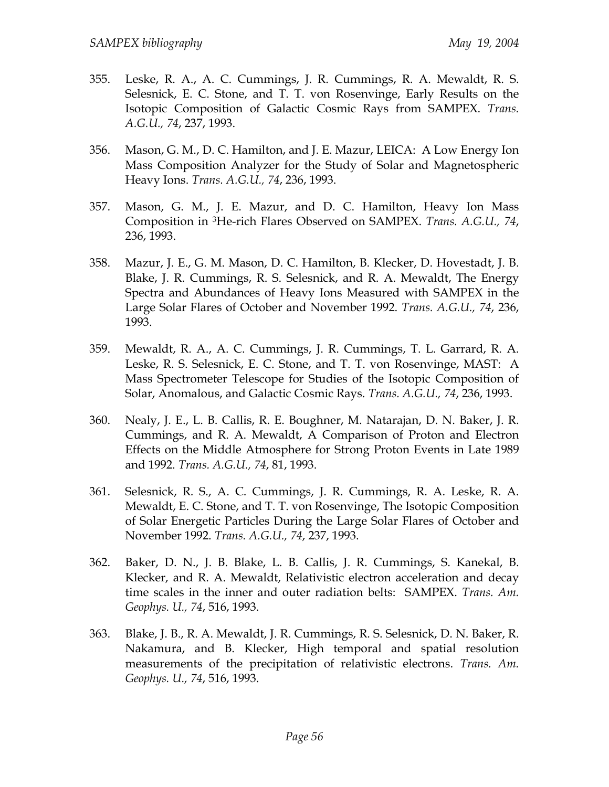- 355. Leske, R. A., A. C. Cummings, J. R. Cummings, R. A. Mewaldt, R. S. Selesnick, E. C. Stone, and T. T. von Rosenvinge, Early Results on the Isotopic Composition of Galactic Cosmic Rays from SAMPEX. *Trans. A.G.U., 74*, 237, 1993.
- 356. Mason, G. M., D. C. Hamilton, and J. E. Mazur, LEICA: A Low Energy Ion Mass Composition Analyzer for the Study of Solar and Magnetospheric Heavy Ions. *Trans. A.G.U., 74*, 236, 1993.
- 357. Mason, G. M., J. E. Mazur, and D. C. Hamilton, Heavy Ion Mass Composition in 3He-rich Flares Observed on SAMPEX. *Trans. A.G.U., 74*, 236, 1993.
- 358. Mazur, J. E., G. M. Mason, D. C. Hamilton, B. Klecker, D. Hovestadt, J. B. Blake, J. R. Cummings, R. S. Selesnick, and R. A. Mewaldt, The Energy Spectra and Abundances of Heavy Ions Measured with SAMPEX in the Large Solar Flares of October and November 1992. *Trans. A.G.U., 74*, 236, 1993.
- 359. Mewaldt, R. A., A. C. Cummings, J. R. Cummings, T. L. Garrard, R. A. Leske, R. S. Selesnick, E. C. Stone, and T. T. von Rosenvinge, MAST: A Mass Spectrometer Telescope for Studies of the Isotopic Composition of Solar, Anomalous, and Galactic Cosmic Rays. *Trans. A.G.U., 74*, 236, 1993.
- 360. Nealy, J. E., L. B. Callis, R. E. Boughner, M. Natarajan, D. N. Baker, J. R. Cummings, and R. A. Mewaldt, A Comparison of Proton and Electron Effects on the Middle Atmosphere for Strong Proton Events in Late 1989 and 1992. *Trans. A.G.U., 74*, 81, 1993.
- 361. Selesnick, R. S., A. C. Cummings, J. R. Cummings, R. A. Leske, R. A. Mewaldt, E. C. Stone, and T. T. von Rosenvinge, The Isotopic Composition of Solar Energetic Particles During the Large Solar Flares of October and November 1992. *Trans. A.G.U., 74*, 237, 1993.
- 362. Baker, D. N., J. B. Blake, L. B. Callis, J. R. Cummings, S. Kanekal, B. Klecker, and R. A. Mewaldt, Relativistic electron acceleration and decay time scales in the inner and outer radiation belts: SAMPEX. *Trans. Am. Geophys. U., 74*, 516, 1993.
- 363. Blake, J. B., R. A. Mewaldt, J. R. Cummings, R. S. Selesnick, D. N. Baker, R. Nakamura, and B. Klecker, High temporal and spatial resolution measurements of the precipitation of relativistic electrons. *Trans. Am. Geophys. U., 74*, 516, 1993.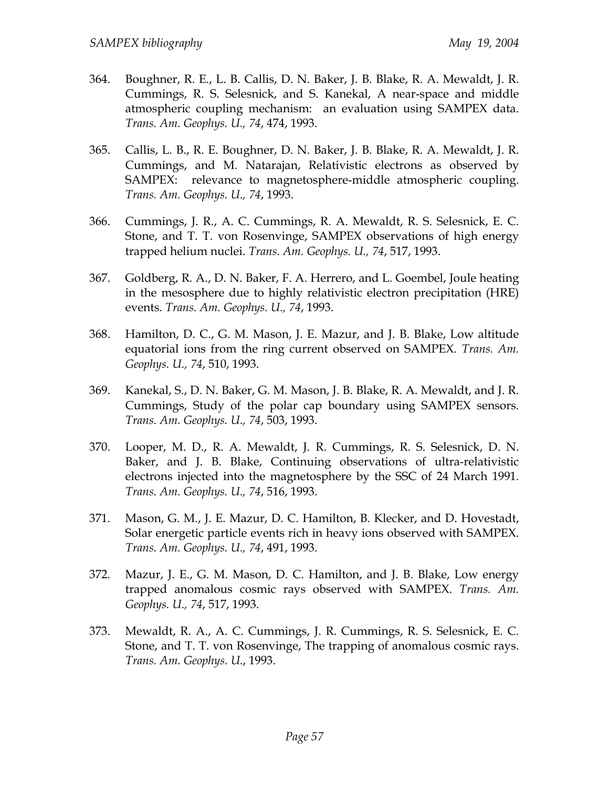- 364. Boughner, R. E., L. B. Callis, D. N. Baker, J. B. Blake, R. A. Mewaldt, J. R. Cummings, R. S. Selesnick, and S. Kanekal, A near-space and middle atmospheric coupling mechanism: an evaluation using SAMPEX data. *Trans. Am. Geophys. U., 74*, 474, 1993.
- 365. Callis, L. B., R. E. Boughner, D. N. Baker, J. B. Blake, R. A. Mewaldt, J. R. Cummings, and M. Natarajan, Relativistic electrons as observed by SAMPEX: relevance to magnetosphere-middle atmospheric coupling. *Trans. Am. Geophys. U., 74*, 1993.
- 366. Cummings, J. R., A. C. Cummings, R. A. Mewaldt, R. S. Selesnick, E. C. Stone, and T. T. von Rosenvinge, SAMPEX observations of high energy trapped helium nuclei. *Trans. Am. Geophys. U., 74*, 517, 1993.
- 367. Goldberg, R. A., D. N. Baker, F. A. Herrero, and L. Goembel, Joule heating in the mesosphere due to highly relativistic electron precipitation (HRE) events. *Trans. Am. Geophys. U., 74*, 1993.
- 368. Hamilton, D. C., G. M. Mason, J. E. Mazur, and J. B. Blake, Low altitude equatorial ions from the ring current observed on SAMPEX. *Trans. Am. Geophys. U., 74*, 510, 1993.
- 369. Kanekal, S., D. N. Baker, G. M. Mason, J. B. Blake, R. A. Mewaldt, and J. R. Cummings, Study of the polar cap boundary using SAMPEX sensors. *Trans. Am. Geophys. U., 74*, 503, 1993.
- 370. Looper, M. D., R. A. Mewaldt, J. R. Cummings, R. S. Selesnick, D. N. Baker, and J. B. Blake, Continuing observations of ultra-relativistic electrons injected into the magnetosphere by the SSC of 24 March 1991. *Trans. Am. Geophys. U., 74*, 516, 1993.
- 371. Mason, G. M., J. E. Mazur, D. C. Hamilton, B. Klecker, and D. Hovestadt, Solar energetic particle events rich in heavy ions observed with SAMPEX. *Trans. Am. Geophys. U., 74*, 491, 1993.
- 372. Mazur, J. E., G. M. Mason, D. C. Hamilton, and J. B. Blake, Low energy trapped anomalous cosmic rays observed with SAMPEX. *Trans. Am. Geophys. U., 74*, 517, 1993.
- 373. Mewaldt, R. A., A. C. Cummings, J. R. Cummings, R. S. Selesnick, E. C. Stone, and T. T. von Rosenvinge, The trapping of anomalous cosmic rays. *Trans. Am. Geophys. U.*, 1993.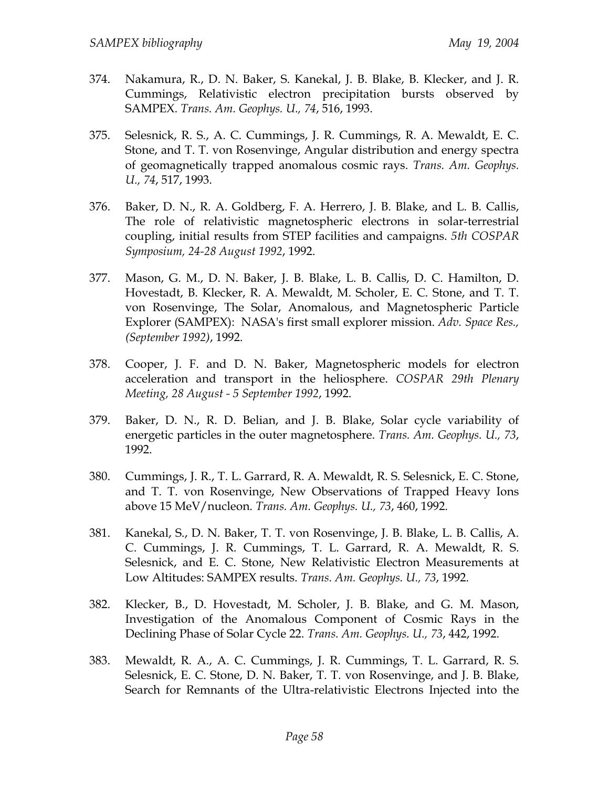- 374. Nakamura, R., D. N. Baker, S. Kanekal, J. B. Blake, B. Klecker, and J. R. Cummings, Relativistic electron precipitation bursts observed by SAMPEX. *Trans. Am. Geophys. U., 74*, 516, 1993.
- 375. Selesnick, R. S., A. C. Cummings, J. R. Cummings, R. A. Mewaldt, E. C. Stone, and T. T. von Rosenvinge, Angular distribution and energy spectra of geomagnetically trapped anomalous cosmic rays. *Trans. Am. Geophys. U., 74*, 517, 1993.
- 376. Baker, D. N., R. A. Goldberg, F. A. Herrero, J. B. Blake, and L. B. Callis, The role of relativistic magnetospheric electrons in solar-terrestrial coupling, initial results from STEP facilities and campaigns. *5th COSPAR Symposium, 24-28 August 1992*, 1992.
- 377. Mason, G. M., D. N. Baker, J. B. Blake, L. B. Callis, D. C. Hamilton, D. Hovestadt, B. Klecker, R. A. Mewaldt, M. Scholer, E. C. Stone, and T. T. von Rosenvinge, The Solar, Anomalous, and Magnetospheric Particle Explorer (SAMPEX): NASA's first small explorer mission. *Adv. Space Res., (September 1992)*, 1992.
- 378. Cooper, J. F. and D. N. Baker, Magnetospheric models for electron acceleration and transport in the heliosphere. *COSPAR 29th Plenary Meeting, 28 August - 5 September 1992*, 1992.
- 379. Baker, D. N., R. D. Belian, and J. B. Blake, Solar cycle variability of energetic particles in the outer magnetosphere. *Trans. Am. Geophys. U., 73*, 1992.
- 380. Cummings, J. R., T. L. Garrard, R. A. Mewaldt, R. S. Selesnick, E. C. Stone, and T. T. von Rosenvinge, New Observations of Trapped Heavy Ions above 15 MeV/nucleon. *Trans. Am. Geophys. U., 73*, 460, 1992.
- 381. Kanekal, S., D. N. Baker, T. T. von Rosenvinge, J. B. Blake, L. B. Callis, A. C. Cummings, J. R. Cummings, T. L. Garrard, R. A. Mewaldt, R. S. Selesnick, and E. C. Stone, New Relativistic Electron Measurements at Low Altitudes: SAMPEX results. *Trans. Am. Geophys. U., 73*, 1992.
- 382. Klecker, B., D. Hovestadt, M. Scholer, J. B. Blake, and G. M. Mason, Investigation of the Anomalous Component of Cosmic Rays in the Declining Phase of Solar Cycle 22. *Trans. Am. Geophys. U., 73*, 442, 1992.
- 383. Mewaldt, R. A., A. C. Cummings, J. R. Cummings, T. L. Garrard, R. S. Selesnick, E. C. Stone, D. N. Baker, T. T. von Rosenvinge, and J. B. Blake, Search for Remnants of the Ultra-relativistic Electrons Injected into the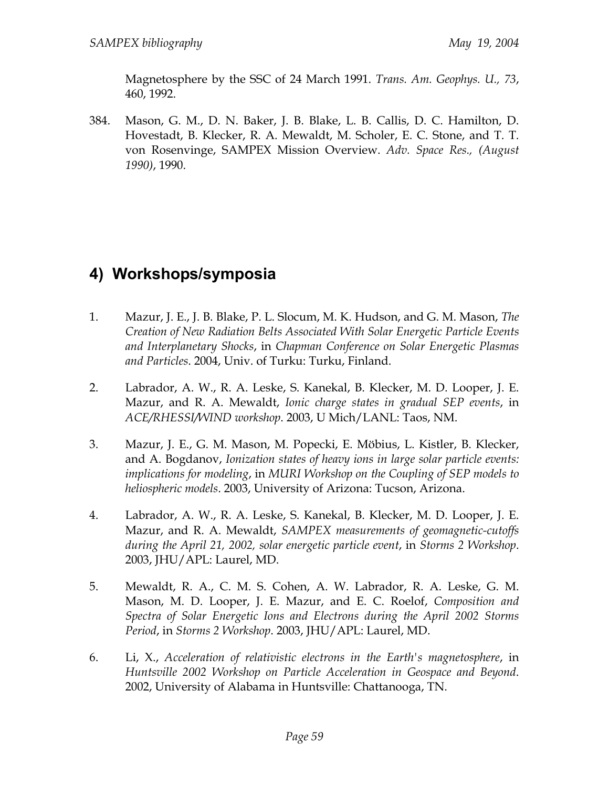Magnetosphere by the SSC of 24 March 1991. *Trans. Am. Geophys. U., 73*, 460, 1992.

384. Mason, G. M., D. N. Baker, J. B. Blake, L. B. Callis, D. C. Hamilton, D. Hovestadt, B. Klecker, R. A. Mewaldt, M. Scholer, E. C. Stone, and T. T. von Rosenvinge, SAMPEX Mission Overview. *Adv. Space Res., (August 1990)*, 1990.

## **4) Workshops/symposia**

- 1. Mazur, J. E., J. B. Blake, P. L. Slocum, M. K. Hudson, and G. M. Mason, *The Creation of New Radiation Belts Associated With Solar Energetic Particle Events and Interplanetary Shocks*, in *Chapman Conference on Solar Energetic Plasmas and Particles*. 2004, Univ. of Turku: Turku, Finland.
- 2. Labrador, A. W., R. A. Leske, S. Kanekal, B. Klecker, M. D. Looper, J. E. Mazur, and R. A. Mewaldt, *Ionic charge states in gradual SEP events*, in *ACE/RHESSI/WIND workshop*. 2003, U Mich/LANL: Taos, NM.
- 3. Mazur, J. E., G. M. Mason, M. Popecki, E. Möbius, L. Kistler, B. Klecker, and A. Bogdanov, *Ionization states of heavy ions in large solar particle events: implications for modeling*, in *MURI Workshop on the Coupling of SEP models to heliospheric models*. 2003, University of Arizona: Tucson, Arizona.
- 4. Labrador, A. W., R. A. Leske, S. Kanekal, B. Klecker, M. D. Looper, J. E. Mazur, and R. A. Mewaldt, *SAMPEX measurements of geomagnetic-cutoffs during the April 21, 2002, solar energetic particle event*, in *Storms 2 Workshop*. 2003, JHU/APL: Laurel, MD.
- 5. Mewaldt, R. A., C. M. S. Cohen, A. W. Labrador, R. A. Leske, G. M. Mason, M. D. Looper, J. E. Mazur, and E. C. Roelof, *Composition and Spectra of Solar Energetic Ions and Electrons during the April 2002 Storms Period*, in *Storms 2 Workshop*. 2003, JHU/APL: Laurel, MD.
- 6. Li, X., *Acceleration of relativistic electrons in the Earth's magnetosphere*, in *Huntsville 2002 Workshop on Particle Acceleration in Geospace and Beyond*. 2002, University of Alabama in Huntsville: Chattanooga, TN.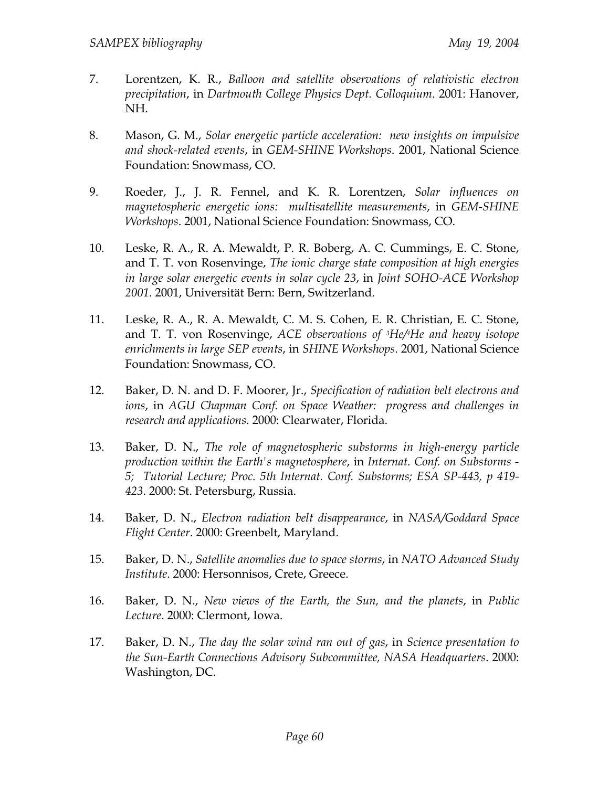- 7. Lorentzen, K. R., *Balloon and satellite observations of relativistic electron precipitation*, in *Dartmouth College Physics Dept. Colloquium*. 2001: Hanover, NH.
- 8. Mason, G. M., *Solar energetic particle acceleration: new insights on impulsive and shock-related events*, in *GEM-SHINE Workshops*. 2001, National Science Foundation: Snowmass, CO.
- 9. Roeder, J., J. R. Fennel, and K. R. Lorentzen, *Solar influences on magnetospheric energetic ions: multisatellite measurements*, in *GEM-SHINE Workshops*. 2001, National Science Foundation: Snowmass, CO.
- 10. Leske, R. A., R. A. Mewaldt, P. R. Boberg, A. C. Cummings, E. C. Stone, and T. T. von Rosenvinge, *The ionic charge state composition at high energies in large solar energetic events in solar cycle 23*, in *Joint SOHO-ACE Workshop 2001*. 2001, Universität Bern: Bern, Switzerland.
- 11. Leske, R. A., R. A. Mewaldt, C. M. S. Cohen, E. R. Christian, E. C. Stone, and T. T. von Rosenvinge, *ACE observations of 3He/4He and heavy isotope enrichments in large SEP events*, in *SHINE Workshops*. 2001, National Science Foundation: Snowmass, CO.
- 12. Baker, D. N. and D. F. Moorer, Jr., *Specification of radiation belt electrons and ions*, in *AGU Chapman Conf. on Space Weather: progress and challenges in research and applications*. 2000: Clearwater, Florida.
- 13. Baker, D. N., *The role of magnetospheric substorms in high-energy particle production within the Earth's magnetosphere*, in *Internat. Conf. on Substorms - 5; Tutorial Lecture; Proc. 5th Internat. Conf. Substorms; ESA SP-443, p 419- 423*. 2000: St. Petersburg, Russia.
- 14. Baker, D. N., *Electron radiation belt disappearance*, in *NASA/Goddard Space Flight Center*. 2000: Greenbelt, Maryland.
- 15. Baker, D. N., *Satellite anomalies due to space storms*, in *NATO Advanced Study Institute*. 2000: Hersonnisos, Crete, Greece.
- 16. Baker, D. N., *New views of the Earth, the Sun, and the planets*, in *Public Lecture*. 2000: Clermont, Iowa.
- 17. Baker, D. N., *The day the solar wind ran out of gas*, in *Science presentation to the Sun-Earth Connections Advisory Subcommittee, NASA Headquarters*. 2000: Washington, DC.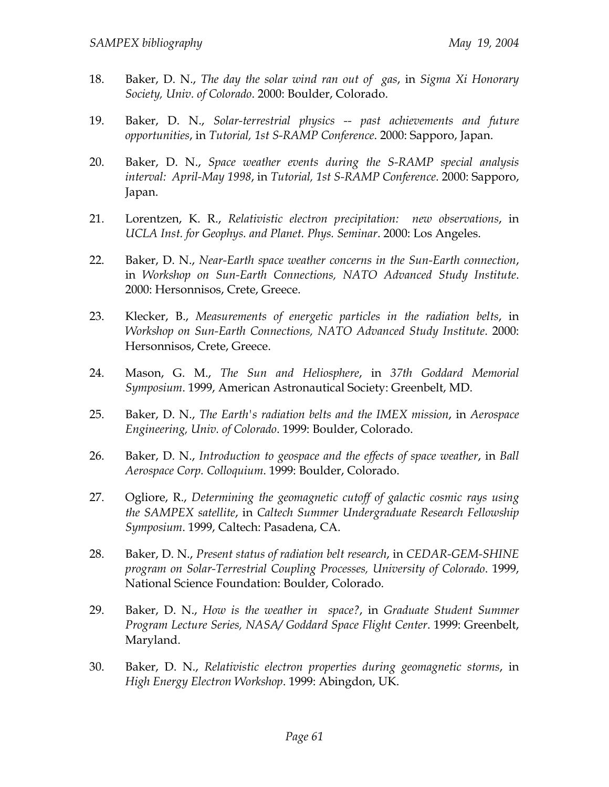- 18. Baker, D. N., *The day the solar wind ran out of gas*, in *Sigma Xi Honorary Society, Univ. of Colorado*. 2000: Boulder, Colorado.
- 19. Baker, D. N., *Solar-terrestrial physics -- past achievements and future opportunities*, in *Tutorial, 1st S-RAMP Conference*. 2000: Sapporo, Japan.
- 20. Baker, D. N., *Space weather events during the S-RAMP special analysis interval: April-May 1998*, in *Tutorial, 1st S-RAMP Conference*. 2000: Sapporo, Japan.
- 21. Lorentzen, K. R., *Relativistic electron precipitation: new observations*, in *UCLA Inst. for Geophys. and Planet. Phys. Seminar*. 2000: Los Angeles.
- 22. Baker, D. N., *Near-Earth space weather concerns in the Sun-Earth connection*, in *Workshop on Sun-Earth Connections, NATO Advanced Study Institute*. 2000: Hersonnisos, Crete, Greece.
- 23. Klecker, B., *Measurements of energetic particles in the radiation belts*, in *Workshop on Sun-Earth Connections, NATO Advanced Study Institute*. 2000: Hersonnisos, Crete, Greece.
- 24. Mason, G. M., *The Sun and Heliosphere*, in *37th Goddard Memorial Symposium*. 1999, American Astronautical Society: Greenbelt, MD.
- 25. Baker, D. N., *The Earth's radiation belts and the IMEX mission*, in *Aerospace Engineering, Univ. of Colorado*. 1999: Boulder, Colorado.
- 26. Baker, D. N., *Introduction to geospace and the effects of space weather*, in *Ball Aerospace Corp. Colloquium*. 1999: Boulder, Colorado.
- 27. Ogliore, R., *Determining the geomagnetic cutoff of galactic cosmic rays using the SAMPEX satellite*, in *Caltech Summer Undergraduate Research Fellowship Symposium*. 1999, Caltech: Pasadena, CA.
- 28. Baker, D. N., *Present status of radiation belt research*, in *CEDAR-GEM-SHINE program on Solar-Terrestrial Coupling Processes, University of Colorado*. 1999, National Science Foundation: Boulder, Colorado.
- 29. Baker, D. N., *How is the weather in space?*, in *Graduate Student Summer Program Lecture Series, NASA/ Goddard Space Flight Center*. 1999: Greenbelt, Maryland.
- 30. Baker, D. N., *Relativistic electron properties during geomagnetic storms*, in *High Energy Electron Workshop*. 1999: Abingdon, UK.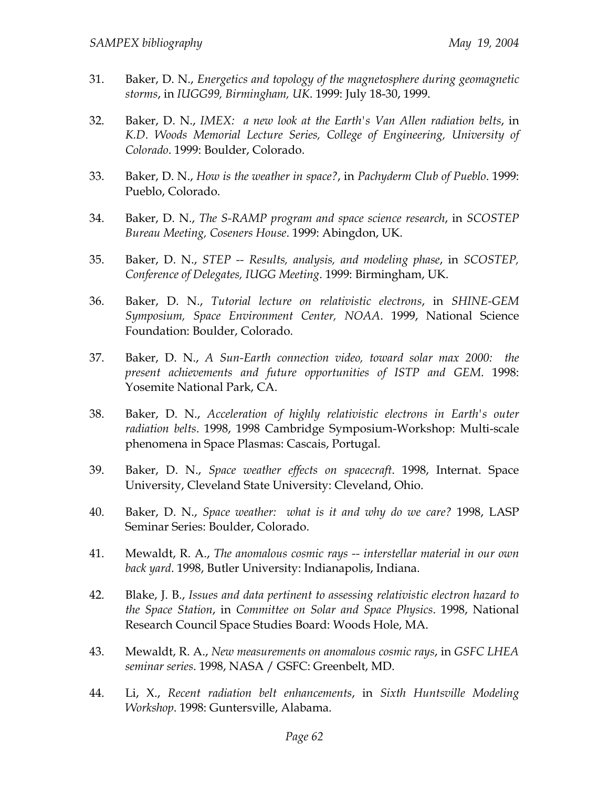- 31. Baker, D. N., *Energetics and topology of the magnetosphere during geomagnetic storms*, in *IUGG99, Birmingham, UK*. 1999: July 18-30, 1999.
- 32. Baker, D. N., *IMEX: a new look at the Earth's Van Allen radiation belts*, in *K.D. Woods Memorial Lecture Series, College of Engineering, University of Colorado*. 1999: Boulder, Colorado.
- 33. Baker, D. N., *How is the weather in space?*, in *Pachyderm Club of Pueblo*. 1999: Pueblo, Colorado.
- 34. Baker, D. N., *The S-RAMP program and space science research*, in *SCOSTEP Bureau Meeting, Coseners House*. 1999: Abingdon, UK.
- 35. Baker, D. N., *STEP -- Results, analysis, and modeling phase*, in *SCOSTEP, Conference of Delegates, IUGG Meeting*. 1999: Birmingham, UK.
- 36. Baker, D. N., *Tutorial lecture on relativistic electrons*, in *SHINE-GEM Symposium, Space Environment Center, NOAA*. 1999, National Science Foundation: Boulder, Colorado.
- 37. Baker, D. N., *A Sun-Earth connection video, toward solar max 2000: the present achievements and future opportunities of ISTP and GEM*. 1998: Yosemite National Park, CA.
- 38. Baker, D. N., *Acceleration of highly relativistic electrons in Earth's outer radiation belts*. 1998, 1998 Cambridge Symposium-Workshop: Multi-scale phenomena in Space Plasmas: Cascais, Portugal.
- 39. Baker, D. N., *Space weather effects on spacecraft*. 1998, Internat. Space University, Cleveland State University: Cleveland, Ohio.
- 40. Baker, D. N., *Space weather: what is it and why do we care?* 1998, LASP Seminar Series: Boulder, Colorado.
- 41. Mewaldt, R. A., *The anomalous cosmic rays -- interstellar material in our own back yard*. 1998, Butler University: Indianapolis, Indiana.
- 42. Blake, J. B., *Issues and data pertinent to assessing relativistic electron hazard to the Space Station*, in *Committee on Solar and Space Physics*. 1998, National Research Council Space Studies Board: Woods Hole, MA.
- 43. Mewaldt, R. A., *New measurements on anomalous cosmic rays*, in *GSFC LHEA seminar series*. 1998, NASA / GSFC: Greenbelt, MD.
- 44. Li, X., *Recent radiation belt enhancements*, in *Sixth Huntsville Modeling Workshop*. 1998: Guntersville, Alabama.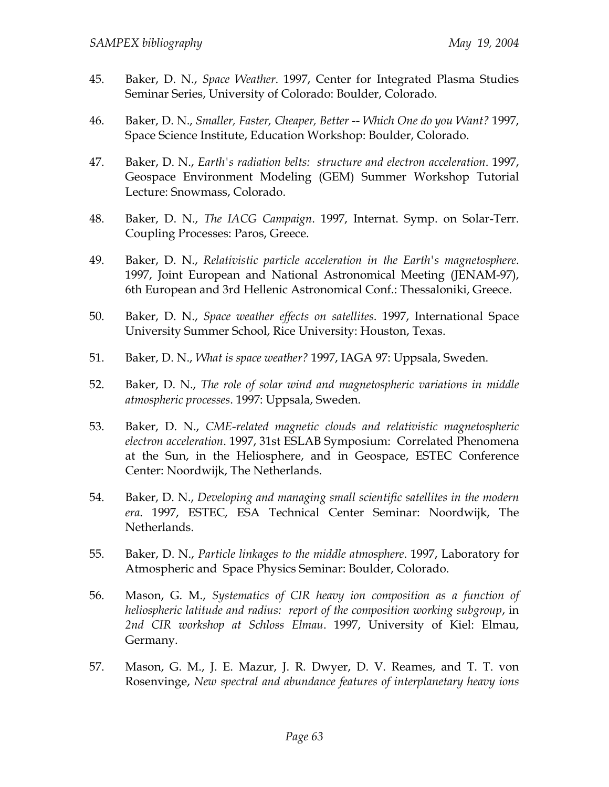- 45. Baker, D. N., *Space Weather*. 1997, Center for Integrated Plasma Studies Seminar Series, University of Colorado: Boulder, Colorado.
- 46. Baker, D. N., *Smaller, Faster, Cheaper, Better -- Which One do you Want?* 1997, Space Science Institute, Education Workshop: Boulder, Colorado.
- 47. Baker, D. N., *Earth's radiation belts: structure and electron acceleration*. 1997, Geospace Environment Modeling (GEM) Summer Workshop Tutorial Lecture: Snowmass, Colorado.
- 48. Baker, D. N., *The IACG Campaign*. 1997, Internat. Symp. on Solar-Terr. Coupling Processes: Paros, Greece.
- 49. Baker, D. N., *Relativistic particle acceleration in the Earth's magnetosphere*. 1997, Joint European and National Astronomical Meeting (JENAM-97), 6th European and 3rd Hellenic Astronomical Conf.: Thessaloniki, Greece.
- 50. Baker, D. N., *Space weather effects on satellites*. 1997, International Space University Summer School, Rice University: Houston, Texas.
- 51. Baker, D. N., *What is space weather?* 1997, IAGA 97: Uppsala, Sweden.
- 52. Baker, D. N., *The role of solar wind and magnetospheric variations in middle atmospheric processes*. 1997: Uppsala, Sweden.
- 53. Baker, D. N., *CME-related magnetic clouds and relativistic magnetospheric electron acceleration*. 1997, 31st ESLAB Symposium: Correlated Phenomena at the Sun, in the Heliosphere, and in Geospace, ESTEC Conference Center: Noordwijk, The Netherlands.
- 54. Baker, D. N., *Developing and managing small scientific satellites in the modern era*. 1997, ESTEC, ESA Technical Center Seminar: Noordwijk, The Netherlands.
- 55. Baker, D. N., *Particle linkages to the middle atmosphere*. 1997, Laboratory for Atmospheric and Space Physics Seminar: Boulder, Colorado.
- 56. Mason, G. M., *Systematics of CIR heavy ion composition as a function of heliospheric latitude and radius: report of the composition working subgroup*, in *2nd CIR workshop at Schloss Elmau*. 1997, University of Kiel: Elmau, Germany.
- 57. Mason, G. M., J. E. Mazur, J. R. Dwyer, D. V. Reames, and T. T. von Rosenvinge, *New spectral and abundance features of interplanetary heavy ions*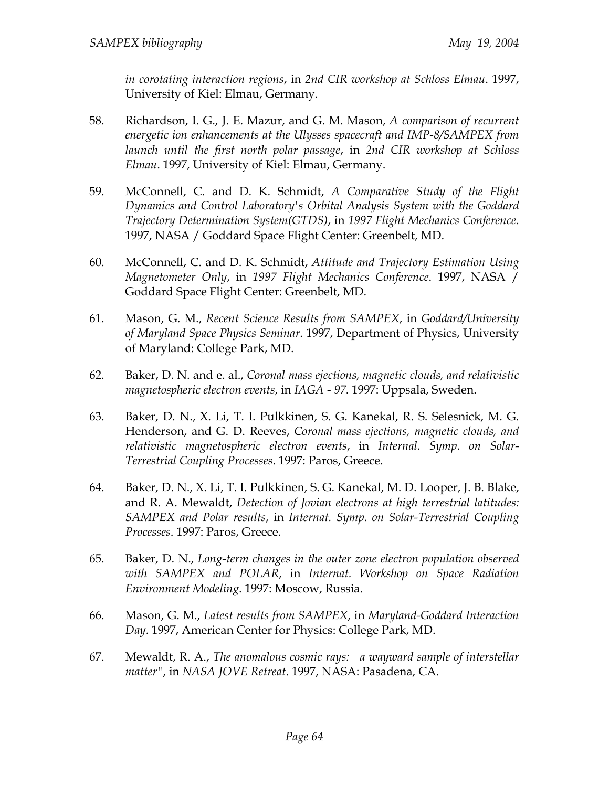*in corotating interaction regions*, in *2nd CIR workshop at Schloss Elmau*. 1997, University of Kiel: Elmau, Germany.

- 58. Richardson, I. G., J. E. Mazur, and G. M. Mason, *A comparison of recurrent energetic ion enhancements at the Ulysses spacecraft and IMP-8/SAMPEX from launch until the first north polar passage*, in *2nd CIR workshop at Schloss Elmau*. 1997, University of Kiel: Elmau, Germany.
- 59. McConnell, C. and D. K. Schmidt, *A Comparative Study of the Flight Dynamics and Control Laboratory's Orbital Analysis System with the Goddard Trajectory Determination System(GTDS)*, in *1997 Flight Mechanics Conference*. 1997, NASA / Goddard Space Flight Center: Greenbelt, MD.
- 60. McConnell, C. and D. K. Schmidt, *Attitude and Trajectory Estimation Using Magnetometer Only*, in *1997 Flight Mechanics Conference*. 1997, NASA / Goddard Space Flight Center: Greenbelt, MD.
- 61. Mason, G. M., *Recent Science Results from SAMPEX*, in *Goddard/University of Maryland Space Physics Seminar*. 1997, Department of Physics, University of Maryland: College Park, MD.
- 62. Baker, D. N. and e. al., *Coronal mass ejections, magnetic clouds, and relativistic magnetospheric electron events*, in *IAGA - 97*. 1997: Uppsala, Sweden.
- 63. Baker, D. N., X. Li, T. I. Pulkkinen, S. G. Kanekal, R. S. Selesnick, M. G. Henderson, and G. D. Reeves, *Coronal mass ejections, magnetic clouds, and relativistic magnetospheric electron events*, in *Internal. Symp. on Solar-Terrestrial Coupling Processes*. 1997: Paros, Greece.
- 64. Baker, D. N., X. Li, T. I. Pulkkinen, S. G. Kanekal, M. D. Looper, J. B. Blake, and R. A. Mewaldt, *Detection of Jovian electrons at high terrestrial latitudes: SAMPEX and Polar results*, in *Internat. Symp. on Solar-Terrestrial Coupling Processes*. 1997: Paros, Greece.
- 65. Baker, D. N., *Long-term changes in the outer zone electron population observed with SAMPEX and POLAR*, in *Internat. Workshop on Space Radiation Environment Modeling*. 1997: Moscow, Russia.
- 66. Mason, G. M., *Latest results from SAMPEX*, in *Maryland-Goddard Interaction Day*. 1997, American Center for Physics: College Park, MD.
- 67. Mewaldt, R. A., *The anomalous cosmic rays: a wayward sample of interstellar matter"*, in *NASA JOVE Retreat*. 1997, NASA: Pasadena, CA.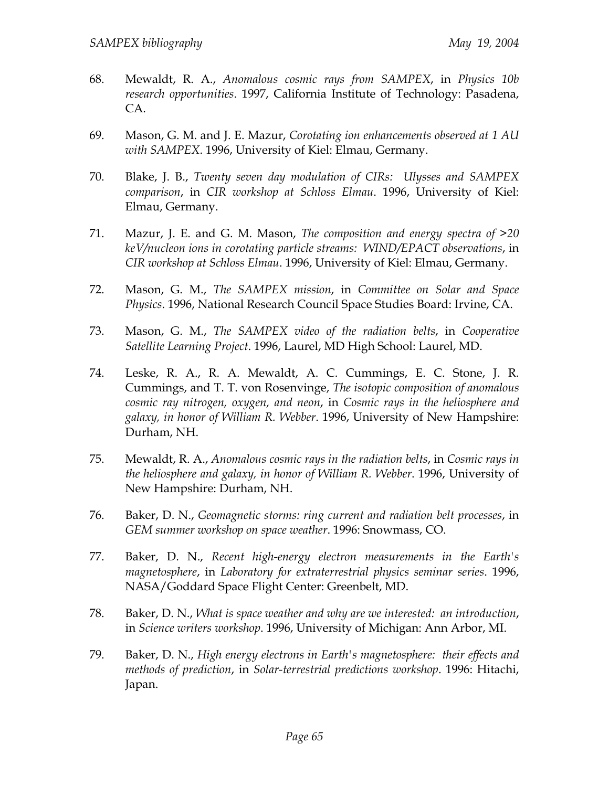- 68. Mewaldt, R. A., *Anomalous cosmic rays from SAMPEX*, in *Physics 10b research opportunities*. 1997, California Institute of Technology: Pasadena, CA.
- 69. Mason, G. M. and J. E. Mazur, *Corotating ion enhancements observed at 1 AU with SAMPEX*. 1996, University of Kiel: Elmau, Germany.
- 70. Blake, J. B., *Twenty seven day modulation of CIRs: Ulysses and SAMPEX comparison*, in *CIR workshop at Schloss Elmau*. 1996, University of Kiel: Elmau, Germany.
- 71. Mazur, J. E. and G. M. Mason, *The composition and energy spectra of >20 keV/nucleon ions in corotating particle streams: WIND/EPACT observations*, in *CIR workshop at Schloss Elmau*. 1996, University of Kiel: Elmau, Germany.
- 72. Mason, G. M., *The SAMPEX mission*, in *Committee on Solar and Space Physics*. 1996, National Research Council Space Studies Board: Irvine, CA.
- 73. Mason, G. M., *The SAMPEX video of the radiation belts*, in *Cooperative Satellite Learning Project*. 1996, Laurel, MD High School: Laurel, MD.
- 74. Leske, R. A., R. A. Mewaldt, A. C. Cummings, E. C. Stone, J. R. Cummings, and T. T. von Rosenvinge, *The isotopic composition of anomalous cosmic ray nitrogen, oxygen, and neon*, in *Cosmic rays in the heliosphere and galaxy, in honor of William R. Webber*. 1996, University of New Hampshire: Durham, NH.
- 75. Mewaldt, R. A., *Anomalous cosmic rays in the radiation belts*, in *Cosmic rays in the heliosphere and galaxy, in honor of William R. Webber*. 1996, University of New Hampshire: Durham, NH.
- 76. Baker, D. N., *Geomagnetic storms: ring current and radiation belt processes*, in *GEM summer workshop on space weather*. 1996: Snowmass, CO.
- 77. Baker, D. N., *Recent high-energy electron measurements in the Earth's magnetosphere*, in *Laboratory for extraterrestrial physics seminar series*. 1996, NASA/Goddard Space Flight Center: Greenbelt, MD.
- 78. Baker, D. N., *What is space weather and why are we interested: an introduction*, in *Science writers workshop*. 1996, University of Michigan: Ann Arbor, MI.
- 79. Baker, D. N., *High energy electrons in Earth's magnetosphere: their effects and methods of prediction*, in *Solar-terrestrial predictions workshop*. 1996: Hitachi, Japan.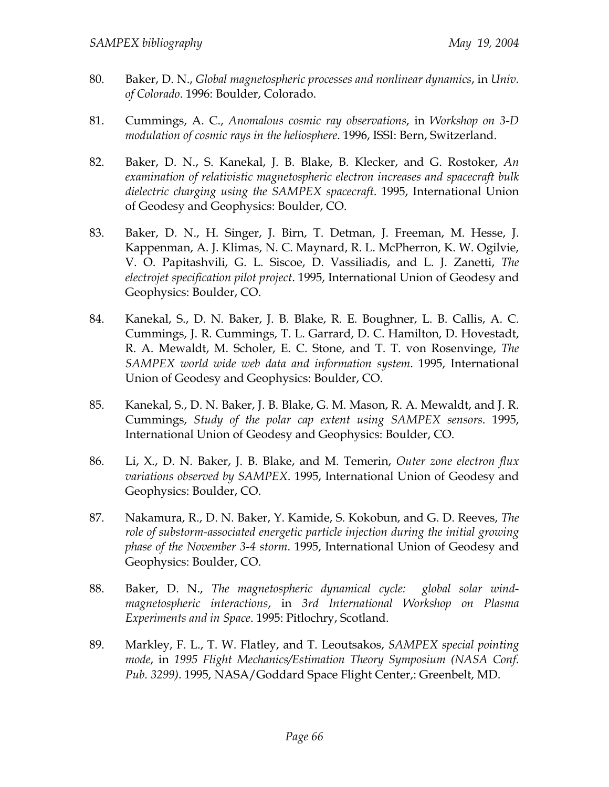- 80. Baker, D. N., *Global magnetospheric processes and nonlinear dynamics*, in *Univ. of Colorado*. 1996: Boulder, Colorado.
- 81. Cummings, A. C., *Anomalous cosmic ray observations*, in *Workshop on 3-D modulation of cosmic rays in the heliosphere*. 1996, ISSI: Bern, Switzerland.
- 82. Baker, D. N., S. Kanekal, J. B. Blake, B. Klecker, and G. Rostoker, *An examination of relativistic magnetospheric electron increases and spacecraft bulk dielectric charging using the SAMPEX spacecraft*. 1995, International Union of Geodesy and Geophysics: Boulder, CO.
- 83. Baker, D. N., H. Singer, J. Birn, T. Detman, J. Freeman, M. Hesse, J. Kappenman, A. J. Klimas, N. C. Maynard, R. L. McPherron, K. W. Ogilvie, V. O. Papitashvili, G. L. Siscoe, D. Vassiliadis, and L. J. Zanetti, *The electrojet specification pilot project*. 1995, International Union of Geodesy and Geophysics: Boulder, CO.
- 84. Kanekal, S., D. N. Baker, J. B. Blake, R. E. Boughner, L. B. Callis, A. C. Cummings, J. R. Cummings, T. L. Garrard, D. C. Hamilton, D. Hovestadt, R. A. Mewaldt, M. Scholer, E. C. Stone, and T. T. von Rosenvinge, *The SAMPEX world wide web data and information system*. 1995, International Union of Geodesy and Geophysics: Boulder, CO.
- 85. Kanekal, S., D. N. Baker, J. B. Blake, G. M. Mason, R. A. Mewaldt, and J. R. Cummings, *Study of the polar cap extent using SAMPEX sensors*. 1995, International Union of Geodesy and Geophysics: Boulder, CO.
- 86. Li, X., D. N. Baker, J. B. Blake, and M. Temerin, *Outer zone electron flux variations observed by SAMPEX*. 1995, International Union of Geodesy and Geophysics: Boulder, CO.
- 87. Nakamura, R., D. N. Baker, Y. Kamide, S. Kokobun, and G. D. Reeves, *The role of substorm-associated energetic particle injection during the initial growing phase of the November 3-4 storm*. 1995, International Union of Geodesy and Geophysics: Boulder, CO.
- 88. Baker, D. N., *The magnetospheric dynamical cycle: global solar windmagnetospheric interactions*, in *3rd International Workshop on Plasma Experiments and in Space*. 1995: Pitlochry, Scotland.
- 89. Markley, F. L., T. W. Flatley, and T. Leoutsakos, *SAMPEX special pointing mode*, in *1995 Flight Mechanics/Estimation Theory Symposium (NASA Conf. Pub. 3299)*. 1995, NASA/Goddard Space Flight Center,: Greenbelt, MD.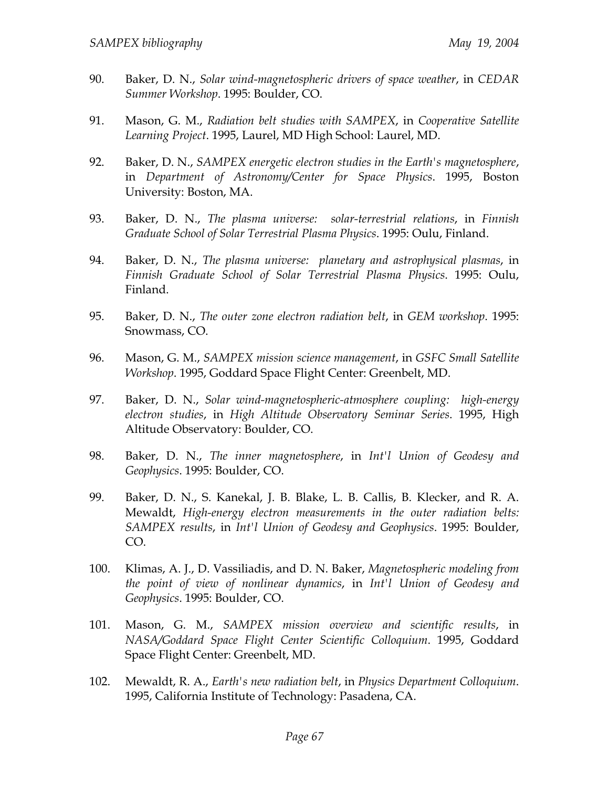- 90. Baker, D. N., *Solar wind-magnetospheric drivers of space weather*, in *CEDAR Summer Workshop*. 1995: Boulder, CO.
- 91. Mason, G. M., *Radiation belt studies with SAMPEX*, in *Cooperative Satellite Learning Project*. 1995, Laurel, MD High School: Laurel, MD.
- 92. Baker, D. N., *SAMPEX energetic electron studies in the Earth's magnetosphere*, in *Department of Astronomy/Center for Space Physics*. 1995, Boston University: Boston, MA.
- 93. Baker, D. N., *The plasma universe: solar-terrestrial relations*, in *Finnish Graduate School of Solar Terrestrial Plasma Physics*. 1995: Oulu, Finland.
- 94. Baker, D. N., *The plasma universe: planetary and astrophysical plasmas*, in *Finnish Graduate School of Solar Terrestrial Plasma Physics*. 1995: Oulu, Finland.
- 95. Baker, D. N., *The outer zone electron radiation belt*, in *GEM workshop*. 1995: Snowmass, CO.
- 96. Mason, G. M., *SAMPEX mission science management*, in *GSFC Small Satellite Workshop*. 1995, Goddard Space Flight Center: Greenbelt, MD.
- 97. Baker, D. N., *Solar wind-magnetospheric-atmosphere coupling: high-energy electron studies*, in *High Altitude Observatory Seminar Series*. 1995, High Altitude Observatory: Boulder, CO.
- 98. Baker, D. N., *The inner magnetosphere*, in *Int'l Union of Geodesy and Geophysics*. 1995: Boulder, CO.
- 99. Baker, D. N., S. Kanekal, J. B. Blake, L. B. Callis, B. Klecker, and R. A. Mewaldt, *High-energy electron measurements in the outer radiation belts: SAMPEX results*, in *Int'l Union of Geodesy and Geophysics*. 1995: Boulder, CO.
- 100. Klimas, A. J., D. Vassiliadis, and D. N. Baker, *Magnetospheric modeling from the point of view of nonlinear dynamics*, in *Int'l Union of Geodesy and Geophysics*. 1995: Boulder, CO.
- 101. Mason, G. M., *SAMPEX mission overview and scientific results*, in *NASA/Goddard Space Flight Center Scientific Colloquium*. 1995, Goddard Space Flight Center: Greenbelt, MD.
- 102. Mewaldt, R. A., *Earth's new radiation belt*, in *Physics Department Colloquium*. 1995, California Institute of Technology: Pasadena, CA.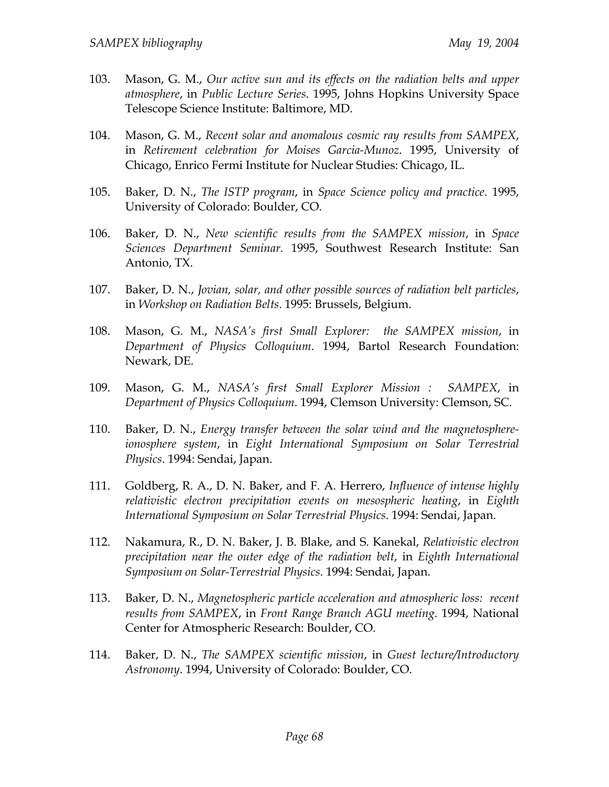- 103. Mason, G. M., *Our active sun and its effects on the radiation belts and upper atmosphere*, in *Public Lecture Series*. 1995, Johns Hopkins University Space Telescope Science Institute: Baltimore, MD.
- 104. Mason, G. M., *Recent solar and anomalous cosmic ray results from SAMPEX*, in *Retirement celebration for Moises Garcia-Munoz*. 1995, University of Chicago, Enrico Fermi Institute for Nuclear Studies: Chicago, IL.
- 105. Baker, D. N., *The ISTP program*, in *Space Science policy and practice*. 1995, University of Colorado: Boulder, CO.
- 106. Baker, D. N., *New scientific results from the SAMPEX mission*, in *Space Sciences Department Seminar*. 1995, Southwest Research Institute: San Antonio, TX.
- 107. Baker, D. N., *Jovian, solar, and other possible sources of radiation belt particles*, in *Workshop on Radiation Belts*. 1995: Brussels, Belgium.
- 108. Mason, G. M., *NASA's first Small Explorer: the SAMPEX mission*, in *Department of Physics Colloquium*. 1994, Bartol Research Foundation: Newark, DE.
- 109. Mason, G. M., *NASA's first Small Explorer Mission : SAMPEX*, in *Department of Physics Colloquium*. 1994, Clemson University: Clemson, SC.
- 110. Baker, D. N., *Energy transfer between the solar wind and the magnetosphereionosphere system*, in *Eight International Symposium on Solar Terrestrial Physics*. 1994: Sendai, Japan.
- 111. Goldberg, R. A., D. N. Baker, and F. A. Herrero, *Influence of intense highly relativistic electron precipitation events on mesospheric heating*, in *Eighth International Symposium on Solar Terrestrial Physics*. 1994: Sendai, Japan.
- 112. Nakamura, R., D. N. Baker, J. B. Blake, and S. Kanekal, *Relativistic electron precipitation near the outer edge of the radiation belt*, in *Eighth International Symposium on Solar-Terrestrial Physics*. 1994: Sendai, Japan.
- 113. Baker, D. N., *Magnetospheric particle acceleration and atmospheric loss: recent results from SAMPEX*, in *Front Range Branch AGU meeting*. 1994, National Center for Atmospheric Research: Boulder, CO.
- 114. Baker, D. N., *The SAMPEX scientific mission*, in *Guest lecture/Introductory Astronomy*. 1994, University of Colorado: Boulder, CO.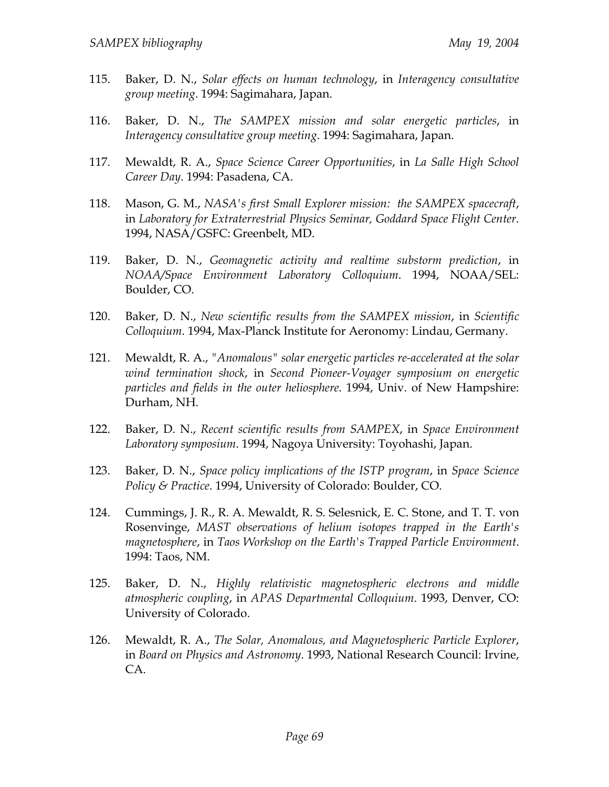- 115. Baker, D. N., *Solar effects on human technology*, in *Interagency consultative group meeting*. 1994: Sagimahara, Japan.
- 116. Baker, D. N., *The SAMPEX mission and solar energetic particles*, in *Interagency consultative group meeting*. 1994: Sagimahara, Japan.
- 117. Mewaldt, R. A., *Space Science Career Opportunities*, in *La Salle High School Career Day*. 1994: Pasadena, CA.
- 118. Mason, G. M., *NASA's first Small Explorer mission: the SAMPEX spacecraft*, in *Laboratory for Extraterrestrial Physics Seminar, Goddard Space Flight Center*. 1994, NASA/GSFC: Greenbelt, MD.
- 119. Baker, D. N., *Geomagnetic activity and realtime substorm prediction*, in *NOAA/Space Environment Laboratory Colloquium*. 1994, NOAA/SEL: Boulder, CO.
- 120. Baker, D. N., *New scientific results from the SAMPEX mission*, in *Scientific Colloquium*. 1994, Max-Planck Institute for Aeronomy: Lindau, Germany.
- 121. Mewaldt, R. A., *"Anomalous" solar energetic particles re-accelerated at the solar wind termination shock*, in *Second Pioneer-Voyager symposium on energetic particles and fields in the outer heliosphere*. 1994, Univ. of New Hampshire: Durham, NH.
- 122. Baker, D. N., *Recent scientific results from SAMPEX*, in *Space Environment Laboratory symposium*. 1994, Nagoya University: Toyohashi, Japan.
- 123. Baker, D. N., *Space policy implications of the ISTP program*, in *Space Science Policy & Practice*. 1994, University of Colorado: Boulder, CO.
- 124. Cummings, J. R., R. A. Mewaldt, R. S. Selesnick, E. C. Stone, and T. T. von Rosenvinge, *MAST observations of helium isotopes trapped in the Earth's magnetosphere*, in *Taos Workshop on the Earth's Trapped Particle Environment*. 1994: Taos, NM.
- 125. Baker, D. N., *Highly relativistic magnetospheric electrons and middle atmospheric coupling*, in *APAS Departmental Colloquium*. 1993, Denver, CO: University of Colorado.
- 126. Mewaldt, R. A., *The Solar, Anomalous, and Magnetospheric Particle Explorer*, in *Board on Physics and Astronomy*. 1993, National Research Council: Irvine, CA.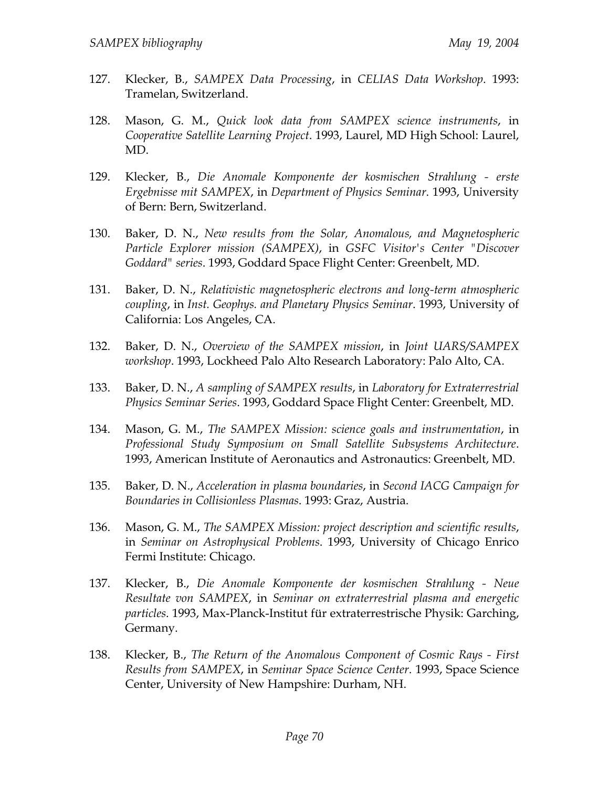- 127. Klecker, B., *SAMPEX Data Processing*, in *CELIAS Data Workshop*. 1993: Tramelan, Switzerland.
- 128. Mason, G. M., *Quick look data from SAMPEX science instruments*, in *Cooperative Satellite Learning Project*. 1993, Laurel, MD High School: Laurel, MD.
- 129. Klecker, B., *Die Anomale Komponente der kosmischen Strahlung erste Ergebnisse mit SAMPEX*, in *Department of Physics Seminar*. 1993, University of Bern: Bern, Switzerland.
- 130. Baker, D. N., *New results from the Solar, Anomalous, and Magnetospheric Particle Explorer mission (SAMPEX)*, in *GSFC Visitor's Center "Discover Goddard" series*. 1993, Goddard Space Flight Center: Greenbelt, MD.
- 131. Baker, D. N., *Relativistic magnetospheric electrons and long-term atmospheric coupling*, in *Inst. Geophys. and Planetary Physics Seminar*. 1993, University of California: Los Angeles, CA.
- 132. Baker, D. N., *Overview of the SAMPEX mission*, in *Joint UARS/SAMPEX workshop*. 1993, Lockheed Palo Alto Research Laboratory: Palo Alto, CA.
- 133. Baker, D. N., *A sampling of SAMPEX results*, in *Laboratory for Extraterrestrial Physics Seminar Series*. 1993, Goddard Space Flight Center: Greenbelt, MD.
- 134. Mason, G. M., *The SAMPEX Mission: science goals and instrumentation*, in *Professional Study Symposium on Small Satellite Subsystems Architecture*. 1993, American Institute of Aeronautics and Astronautics: Greenbelt, MD.
- 135. Baker, D. N., *Acceleration in plasma boundaries*, in *Second IACG Campaign for Boundaries in Collisionless Plasmas*. 1993: Graz, Austria.
- 136. Mason, G. M., *The SAMPEX Mission: project description and scientific results*, in *Seminar on Astrophysical Problems*. 1993, University of Chicago Enrico Fermi Institute: Chicago.
- 137. Klecker, B., *Die Anomale Komponente der kosmischen Strahlung Neue Resultate von SAMPEX*, in *Seminar on extraterrestrial plasma and energetic particles*. 1993, Max-Planck-Institut für extraterrestrische Physik: Garching, Germany.
- 138. Klecker, B., *The Return of the Anomalous Component of Cosmic Rays First Results from SAMPEX*, in *Seminar Space Science Center*. 1993, Space Science Center, University of New Hampshire: Durham, NH.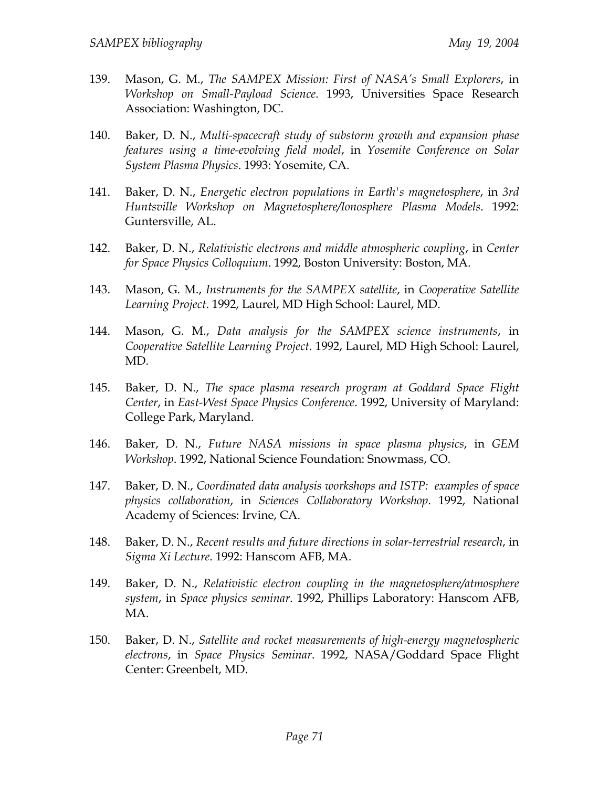- 139. Mason, G. M., *The SAMPEX Mission: First of NASA's Small Explorers*, in *Workshop on Small-Payload Science*. 1993, Universities Space Research Association: Washington, DC.
- 140. Baker, D. N., *Multi-spacecraft study of substorm growth and expansion phase features using a time-evolving field model*, in *Yosemite Conference on Solar System Plasma Physics*. 1993: Yosemite, CA.
- 141. Baker, D. N., *Energetic electron populations in Earth's magnetosphere*, in *3rd Huntsville Workshop on Magnetosphere/Ionosphere Plasma Models*. 1992: Guntersville, AL.
- 142. Baker, D. N., *Relativistic electrons and middle atmospheric coupling*, in *Center for Space Physics Colloquium*. 1992, Boston University: Boston, MA.
- 143. Mason, G. M., *Instruments for the SAMPEX satellite*, in *Cooperative Satellite Learning Project*. 1992, Laurel, MD High School: Laurel, MD.
- 144. Mason, G. M., *Data analysis for the SAMPEX science instruments*, in *Cooperative Satellite Learning Project*. 1992, Laurel, MD High School: Laurel, MD.
- 145. Baker, D. N., *The space plasma research program at Goddard Space Flight Center*, in *East-West Space Physics Conference*. 1992, University of Maryland: College Park, Maryland.
- 146. Baker, D. N., *Future NASA missions in space plasma physics*, in *GEM Workshop*. 1992, National Science Foundation: Snowmass, CO.
- 147. Baker, D. N., *Coordinated data analysis workshops and ISTP: examples of space physics collaboration*, in *Sciences Collaboratory Workshop*. 1992, National Academy of Sciences: Irvine, CA.
- 148. Baker, D. N., *Recent results and future directions in solar-terrestrial research*, in *Sigma Xi Lecture*. 1992: Hanscom AFB, MA.
- 149. Baker, D. N., *Relativistic electron coupling in the magnetosphere/atmosphere system*, in *Space physics seminar*. 1992, Phillips Laboratory: Hanscom AFB, MA.
- 150. Baker, D. N., *Satellite and rocket measurements of high-energy magnetospheric electrons*, in *Space Physics Seminar*. 1992, NASA/Goddard Space Flight Center: Greenbelt, MD.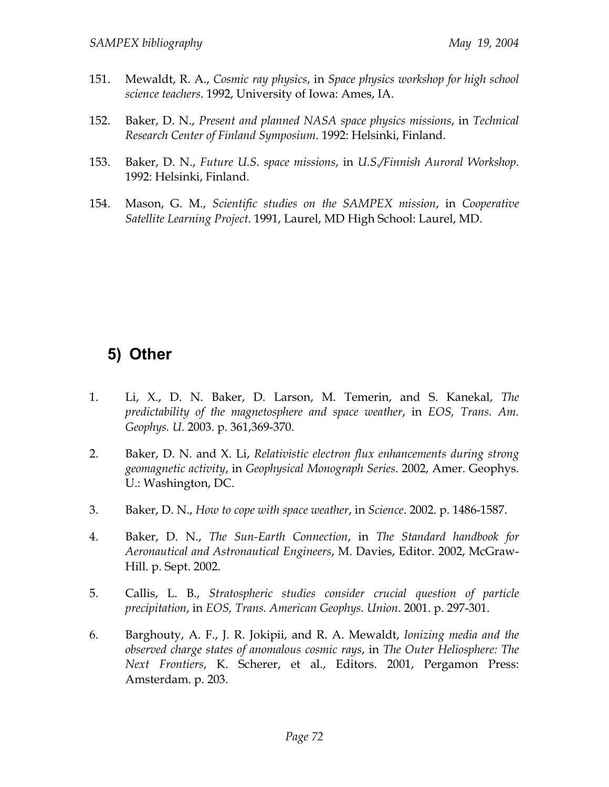- 151. Mewaldt, R. A., *Cosmic ray physics*, in *Space physics workshop for high school science teachers*. 1992, University of Iowa: Ames, IA.
- 152. Baker, D. N., *Present and planned NASA space physics missions*, in *Technical Research Center of Finland Symposium*. 1992: Helsinki, Finland.
- 153. Baker, D. N., *Future U.S. space missions*, in *U.S./Finnish Auroral Workshop*. 1992: Helsinki, Finland.
- 154. Mason, G. M., *Scientific studies on the SAMPEX mission*, in *Cooperative Satellite Learning Project*. 1991, Laurel, MD High School: Laurel, MD.

## **5) Other**

- 1. Li, X., D. N. Baker, D. Larson, M. Temerin, and S. Kanekal, *The predictability of the magnetosphere and space weather*, in *EOS, Trans. Am. Geophys. U.* 2003. p. 361,369-370.
- 2. Baker, D. N. and X. Li, *Relativistic electron flux enhancements during strong geomagnetic activity*, in *Geophysical Monograph Series*. 2002, Amer. Geophys. U.: Washington, DC.
- 3. Baker, D. N., *How to cope with space weather*, in *Science*. 2002. p. 1486-1587.
- 4. Baker, D. N., *The Sun-Earth Connection*, in *The Standard handbook for Aeronautical and Astronautical Engineers*, M. Davies, Editor. 2002, McGraw-Hill. p. Sept. 2002.
- 5. Callis, L. B., *Stratospheric studies consider crucial question of particle precipitation*, in *EOS, Trans. American Geophys. Union*. 2001. p. 297-301.
- 6. Barghouty, A. F., J. R. Jokipii, and R. A. Mewaldt, *Ionizing media and the observed charge states of anomalous cosmic rays*, in *The Outer Heliosphere: The Next Frontiers*, K. Scherer, et al., Editors. 2001, Pergamon Press: Amsterdam. p. 203.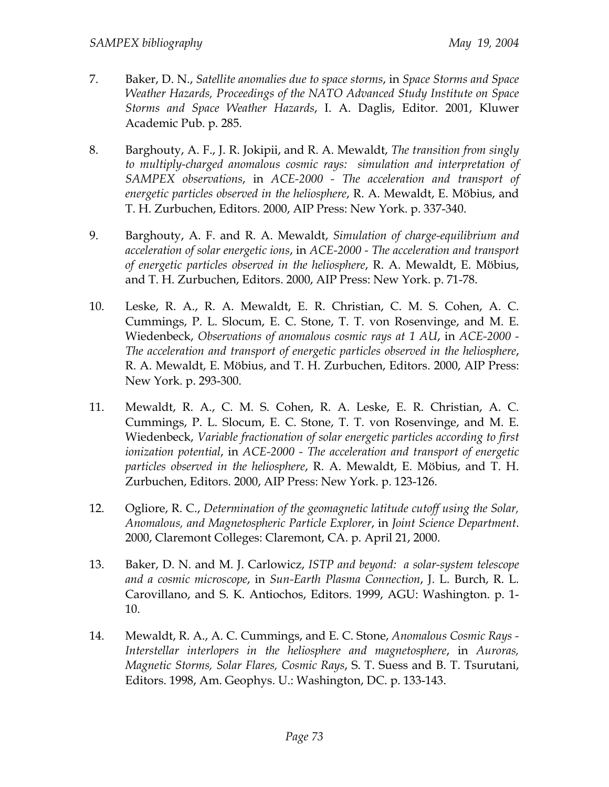- 7. Baker, D. N., *Satellite anomalies due to space storms*, in *Space Storms and Space Weather Hazards, Proceedings of the NATO Advanced Study Institute on Space Storms and Space Weather Hazards*, I. A. Daglis, Editor. 2001, Kluwer Academic Pub. p. 285.
- 8. Barghouty, A. F., J. R. Jokipii, and R. A. Mewaldt, *The transition from singly to multiply-charged anomalous cosmic rays: simulation and interpretation of SAMPEX observations*, in *ACE-2000 - The acceleration and transport of energetic particles observed in the heliosphere*, R. A. Mewaldt, E. Möbius, and T. H. Zurbuchen, Editors. 2000, AIP Press: New York. p. 337-340.
- 9. Barghouty, A. F. and R. A. Mewaldt, *Simulation of charge-equilibrium and acceleration of solar energetic ions*, in *ACE-2000 - The acceleration and transport of energetic particles observed in the heliosphere*, R. A. Mewaldt, E. Möbius, and T. H. Zurbuchen, Editors. 2000, AIP Press: New York. p. 71-78.
- 10. Leske, R. A., R. A. Mewaldt, E. R. Christian, C. M. S. Cohen, A. C. Cummings, P. L. Slocum, E. C. Stone, T. T. von Rosenvinge, and M. E. Wiedenbeck, *Observations of anomalous cosmic rays at 1 AU*, in *ACE-2000 - The acceleration and transport of energetic particles observed in the heliosphere*, R. A. Mewaldt, E. Möbius, and T. H. Zurbuchen, Editors. 2000, AIP Press: New York. p. 293-300.
- 11. Mewaldt, R. A., C. M. S. Cohen, R. A. Leske, E. R. Christian, A. C. Cummings, P. L. Slocum, E. C. Stone, T. T. von Rosenvinge, and M. E. Wiedenbeck, *Variable fractionation of solar energetic particles according to first ionization potential*, in *ACE-2000 - The acceleration and transport of energetic particles observed in the heliosphere*, R. A. Mewaldt, E. Möbius, and T. H. Zurbuchen, Editors. 2000, AIP Press: New York. p. 123-126.
- 12. Ogliore, R. C., *Determination of the geomagnetic latitude cutoff using the Solar, Anomalous, and Magnetospheric Particle Explorer*, in *Joint Science Department*. 2000, Claremont Colleges: Claremont, CA. p. April 21, 2000.
- 13. Baker, D. N. and M. J. Carlowicz, *ISTP and beyond: a solar-system telescope and a cosmic microscope*, in *Sun-Earth Plasma Connection*, J. L. Burch, R. L. Carovillano, and S. K. Antiochos, Editors. 1999, AGU: Washington. p. 1- 10.
- 14. Mewaldt, R. A., A. C. Cummings, and E. C. Stone, *Anomalous Cosmic Rays Interstellar interlopers in the heliosphere and magnetosphere*, in *Auroras, Magnetic Storms, Solar Flares, Cosmic Rays*, S. T. Suess and B. T. Tsurutani, Editors. 1998, Am. Geophys. U.: Washington, DC. p. 133-143.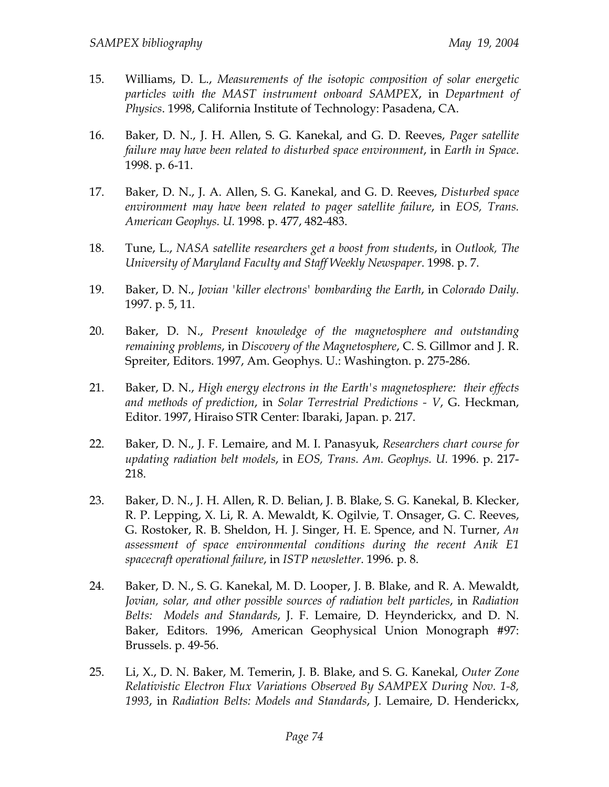- 15. Williams, D. L., *Measurements of the isotopic composition of solar energetic particles with the MAST instrument onboard SAMPEX*, in *Department of Physics*. 1998, California Institute of Technology: Pasadena, CA.
- 16. Baker, D. N., J. H. Allen, S. G. Kanekal, and G. D. Reeves, *Pager satellite failure may have been related to disturbed space environment*, in *Earth in Space*. 1998. p. 6-11.
- 17. Baker, D. N., J. A. Allen, S. G. Kanekal, and G. D. Reeves, *Disturbed space environment may have been related to pager satellite failure*, in *EOS, Trans. American Geophys. U.* 1998. p. 477, 482-483.
- 18. Tune, L., *NASA satellite researchers get a boost from students*, in *Outlook, The University of Maryland Faculty and Staff Weekly Newspaper*. 1998. p. 7.
- 19. Baker, D. N., *Jovian 'killer electrons' bombarding the Earth*, in *Colorado Daily*. 1997. p. 5, 11.
- 20. Baker, D. N., *Present knowledge of the magnetosphere and outstanding remaining problems*, in *Discovery of the Magnetosphere*, C. S. Gillmor and J. R. Spreiter, Editors. 1997, Am. Geophys. U.: Washington. p. 275-286.
- 21. Baker, D. N., *High energy electrons in the Earth's magnetosphere: their effects and methods of prediction*, in *Solar Terrestrial Predictions - V*, G. Heckman, Editor. 1997, Hiraiso STR Center: Ibaraki, Japan. p. 217.
- 22. Baker, D. N., J. F. Lemaire, and M. I. Panasyuk, *Researchers chart course for updating radiation belt models*, in *EOS, Trans. Am. Geophys. U.* 1996. p. 217- 218.
- 23. Baker, D. N., J. H. Allen, R. D. Belian, J. B. Blake, S. G. Kanekal, B. Klecker, R. P. Lepping, X. Li, R. A. Mewaldt, K. Ogilvie, T. Onsager, G. C. Reeves, G. Rostoker, R. B. Sheldon, H. J. Singer, H. E. Spence, and N. Turner, *An assessment of space environmental conditions during the recent Anik E1 spacecraft operational failure*, in *ISTP newsletter*. 1996. p. 8.
- 24. Baker, D. N., S. G. Kanekal, M. D. Looper, J. B. Blake, and R. A. Mewaldt, *Jovian, solar, and other possible sources of radiation belt particles*, in *Radiation Belts: Models and Standards*, J. F. Lemaire, D. Heynderickx, and D. N. Baker, Editors. 1996, American Geophysical Union Monograph #97: Brussels. p. 49-56.
- 25. Li, X., D. N. Baker, M. Temerin, J. B. Blake, and S. G. Kanekal, *Outer Zone Relativistic Electron Flux Variations Observed By SAMPEX During Nov. 1-8, 1993*, in *Radiation Belts: Models and Standards*, J. Lemaire, D. Henderickx,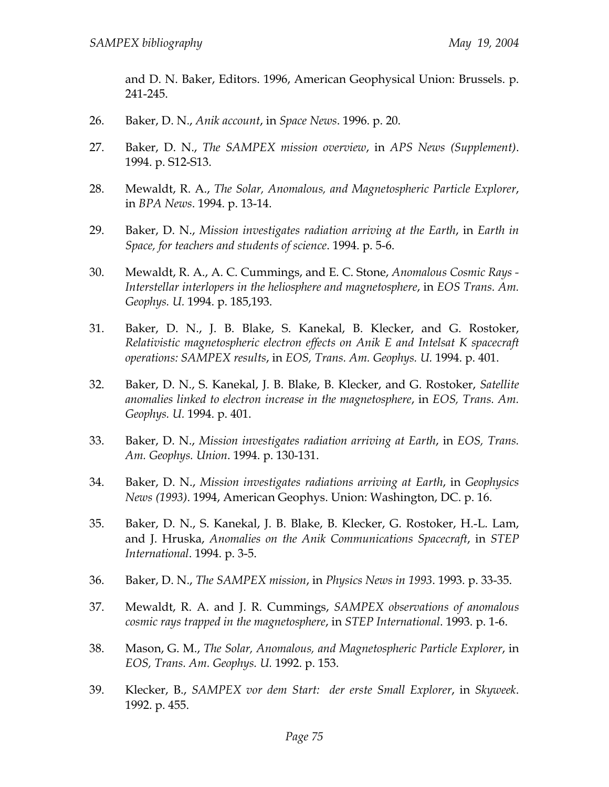and D. N. Baker, Editors. 1996, American Geophysical Union: Brussels. p. 241-245.

- 26. Baker, D. N., *Anik account*, in *Space News*. 1996. p. 20.
- 27. Baker, D. N., *The SAMPEX mission overview*, in *APS News (Supplement)*. 1994. p. S12-S13.
- 28. Mewaldt, R. A., *The Solar, Anomalous, and Magnetospheric Particle Explorer*, in *BPA News*. 1994. p. 13-14.
- 29. Baker, D. N., *Mission investigates radiation arriving at the Earth*, in *Earth in Space, for teachers and students of science*. 1994. p. 5-6.
- 30. Mewaldt, R. A., A. C. Cummings, and E. C. Stone, *Anomalous Cosmic Rays Interstellar interlopers in the heliosphere and magnetosphere*, in *EOS Trans. Am. Geophys. U.* 1994. p. 185,193.
- 31. Baker, D. N., J. B. Blake, S. Kanekal, B. Klecker, and G. Rostoker, *Relativistic magnetospheric electron effects on Anik E and Intelsat K spacecraft operations: SAMPEX results*, in *EOS, Trans. Am. Geophys. U.* 1994. p. 401.
- 32. Baker, D. N., S. Kanekal, J. B. Blake, B. Klecker, and G. Rostoker, *Satellite anomalies linked to electron increase in the magnetosphere*, in *EOS, Trans. Am. Geophys. U.* 1994. p. 401.
- 33. Baker, D. N., *Mission investigates radiation arriving at Earth*, in *EOS, Trans. Am. Geophys. Union*. 1994. p. 130-131.
- 34. Baker, D. N., *Mission investigates radiations arriving at Earth*, in *Geophysics News (1993)*. 1994, American Geophys. Union: Washington, DC. p. 16.
- 35. Baker, D. N., S. Kanekal, J. B. Blake, B. Klecker, G. Rostoker, H.-L. Lam, and J. Hruska, *Anomalies on the Anik Communications Spacecraft*, in *STEP International*. 1994. p. 3-5.
- 36. Baker, D. N., *The SAMPEX mission*, in *Physics News in 1993*. 1993. p. 33-35.
- 37. Mewaldt, R. A. and J. R. Cummings, *SAMPEX observations of anomalous cosmic rays trapped in the magnetosphere*, in *STEP International*. 1993. p. 1-6.
- 38. Mason, G. M., *The Solar, Anomalous, and Magnetospheric Particle Explorer*, in *EOS, Trans. Am. Geophys. U.* 1992. p. 153.
- 39. Klecker, B., *SAMPEX vor dem Start: der erste Small Explorer*, in *Skyweek*. 1992. p. 455.